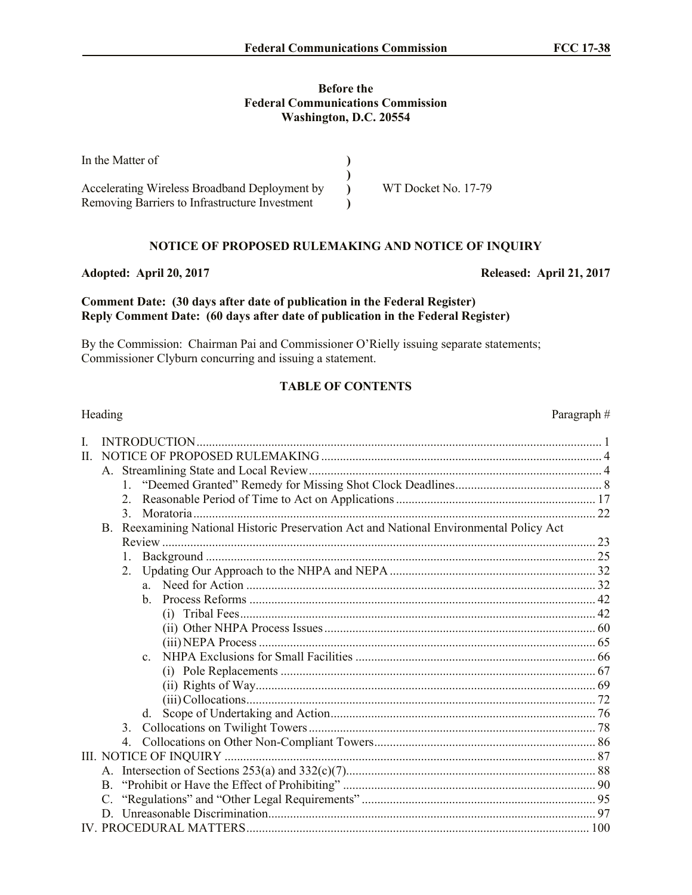### **Before the Federal Communications Commission Washington, D.C. 20554**

| In the Matter of                               |                     |
|------------------------------------------------|---------------------|
| Accelerating Wireless Broadband Deployment by  | WT Docket No. 17-79 |
| Removing Barriers to Infrastructure Investment |                     |

# **NOTICE OF PROPOSED RULEMAKING AND NOTICE OF INQUIRY**

### **Adopted: April 20, 2017 Released: April 21, 2017**

### **Comment Date: (30 days after date of publication in the Federal Register) Reply Comment Date: (60 days after date of publication in the Federal Register)**

By the Commission: Chairman Pai and Commissioner O'Rielly issuing separate statements; Commissioner Clyburn concurring and issuing a statement.

# **TABLE OF CONTENTS**

| Heading |    |                  |                                                                                      | Paragraph# |
|---------|----|------------------|--------------------------------------------------------------------------------------|------------|
| I.      |    |                  | INTRODUCTION                                                                         |            |
| П.      |    |                  |                                                                                      |            |
|         |    |                  |                                                                                      |            |
|         |    |                  |                                                                                      |            |
|         |    | $\mathfrak{2}^-$ |                                                                                      |            |
|         |    | $\mathcal{E}$    |                                                                                      |            |
|         | B. |                  | Reexamining National Historic Preservation Act and National Environmental Policy Act |            |
|         |    |                  |                                                                                      |            |
|         |    | 1.               |                                                                                      |            |
|         |    |                  |                                                                                      |            |
|         |    |                  |                                                                                      |            |
|         |    |                  | h.                                                                                   |            |
|         |    |                  |                                                                                      |            |
|         |    |                  |                                                                                      |            |
|         |    |                  |                                                                                      |            |
|         |    |                  | $\mathbf{c}$                                                                         |            |
|         |    |                  |                                                                                      |            |
|         |    |                  |                                                                                      |            |
|         |    |                  |                                                                                      |            |
|         |    |                  | d.                                                                                   |            |
|         |    |                  |                                                                                      |            |
|         |    |                  |                                                                                      |            |
|         |    |                  |                                                                                      |            |
|         |    |                  |                                                                                      |            |
|         |    |                  |                                                                                      |            |
|         |    |                  |                                                                                      |            |
|         | D. |                  |                                                                                      |            |
|         |    |                  |                                                                                      |            |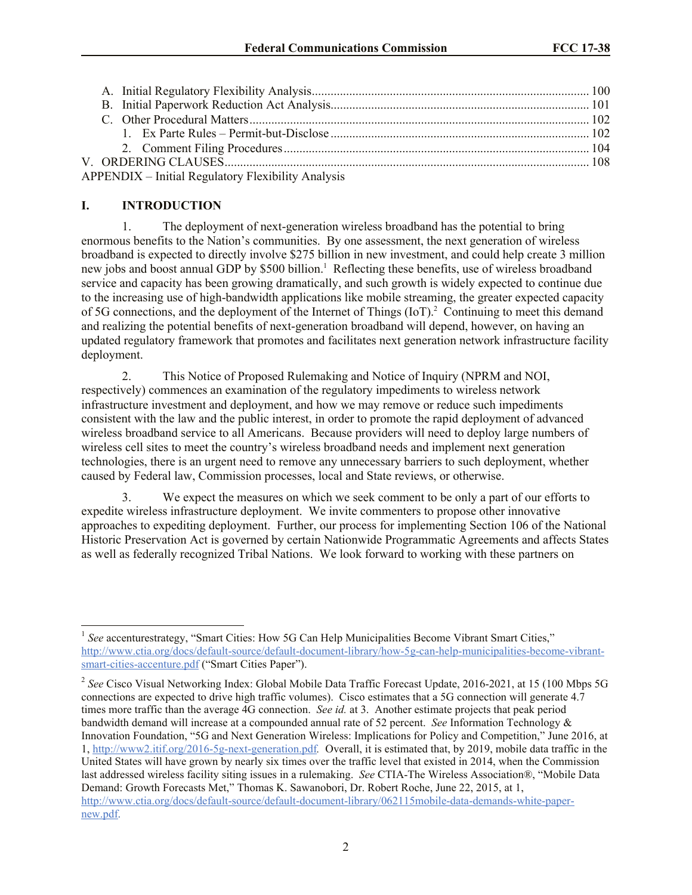| <b>APPENDIX - Initial Regulatory Flexibility Analysis</b> |  |
|-----------------------------------------------------------|--|

## **I. INTRODUCTION**

 $\overline{a}$ 

1. The deployment of next-generation wireless broadband has the potential to bring enormous benefits to the Nation's communities. By one assessment, the next generation of wireless broadband is expected to directly involve \$275 billion in new investment, and could help create 3 million new jobs and boost annual GDP by \$500 billion.<sup>1</sup> Reflecting these benefits, use of wireless broadband service and capacity has been growing dramatically, and such growth is widely expected to continue due to the increasing use of high-bandwidth applications like mobile streaming, the greater expected capacity of 5G connections, and the deployment of the Internet of Things  $(IoT)<sup>2</sup>$  Continuing to meet this demand and realizing the potential benefits of next-generation broadband will depend, however, on having an updated regulatory framework that promotes and facilitates next generation network infrastructure facility deployment.

2. This Notice of Proposed Rulemaking and Notice of Inquiry (NPRM and NOI, respectively) commences an examination of the regulatory impediments to wireless network infrastructure investment and deployment, and how we may remove or reduce such impediments consistent with the law and the public interest, in order to promote the rapid deployment of advanced wireless broadband service to all Americans. Because providers will need to deploy large numbers of wireless cell sites to meet the country's wireless broadband needs and implement next generation technologies, there is an urgent need to remove any unnecessary barriers to such deployment, whether caused by Federal law, Commission processes, local and State reviews, or otherwise.

3. We expect the measures on which we seek comment to be only a part of our efforts to expedite wireless infrastructure deployment. We invite commenters to propose other innovative approaches to expediting deployment. Further, our process for implementing Section 106 of the National Historic Preservation Act is governed by certain Nationwide Programmatic Agreements and affects States as well as federally recognized Tribal Nations. We look forward to working with these partners on

<sup>&</sup>lt;sup>1</sup> See accenturestrategy, "Smart Cities: How 5G Can Help Municipalities Become Vibrant Smart Cities," http://www.ctia.org/docs/default-source/default-document-library/how-5g-can-help-municipalities-become-vibrantsmart-cities-accenture.pdf ("Smart Cities Paper").

<sup>&</sup>lt;sup>2</sup> See Cisco Visual Networking Index: Global Mobile Data Traffic Forecast Update, 2016-2021, at 15 (100 Mbps 5G connections are expected to drive high traffic volumes). Cisco estimates that a 5G connection will generate 4.7 times more traffic than the average 4G connection. *See id.* at 3. Another estimate projects that peak period bandwidth demand will increase at a compounded annual rate of 52 percent. *See* Information Technology & Innovation Foundation, "5G and Next Generation Wireless: Implications for Policy and Competition," June 2016, at 1, http://www2.itif.org/2016-5g-next-generation.pdf*.* Overall, it is estimated that, by 2019, mobile data traffic in the United States will have grown by nearly six times over the traffic level that existed in 2014, when the Commission last addressed wireless facility siting issues in a rulemaking. *See* CTIA-The Wireless Association®, "Mobile Data Demand: Growth Forecasts Met," Thomas K. Sawanobori, Dr. Robert Roche, June 22, 2015, at 1, http://www.ctia.org/docs/default-source/default-document-library/062115mobile-data-demands-white-papernew.pdf.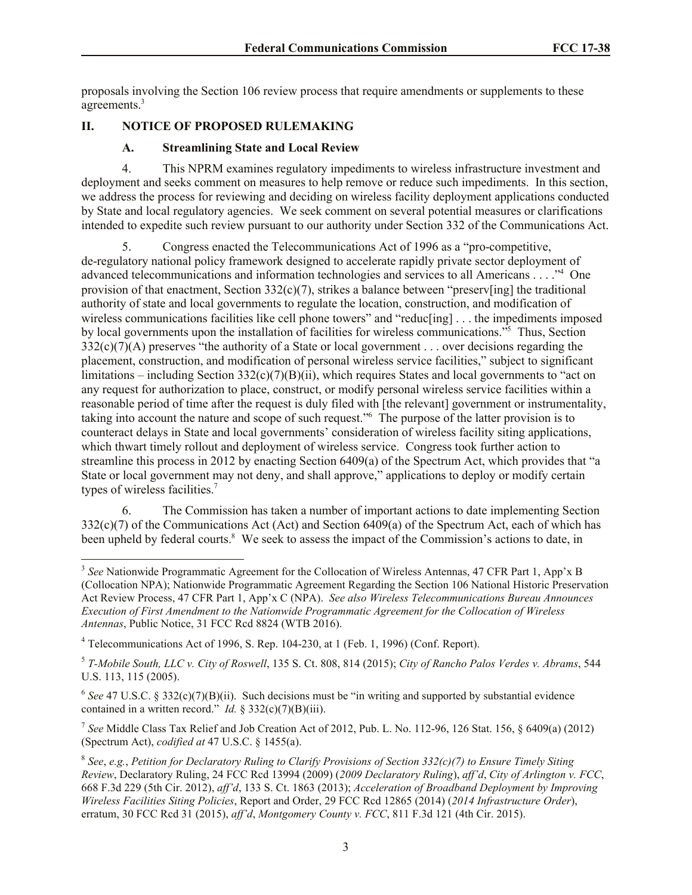proposals involving the Section 106 review process that require amendments or supplements to these agreements.<sup>3</sup>

## **II. NOTICE OF PROPOSED RULEMAKING**

### **A. Streamlining State and Local Review**

4. This NPRM examines regulatory impediments to wireless infrastructure investment and deployment and seeks comment on measures to help remove or reduce such impediments. In this section, we address the process for reviewing and deciding on wireless facility deployment applications conducted by State and local regulatory agencies. We seek comment on several potential measures or clarifications intended to expedite such review pursuant to our authority under Section 332 of the Communications Act.

5. Congress enacted the Telecommunications Act of 1996 as a "pro-competitive, de-regulatory national policy framework designed to accelerate rapidly private sector deployment of advanced telecommunications and information technologies and services to all Americans . . . ."<sup>4</sup> One provision of that enactment, Section  $332(c)(7)$ , strikes a balance between "preserv[ing] the traditional authority of state and local governments to regulate the location, construction, and modification of wireless communications facilities like cell phone towers" and "reduc[ing] . . . the impediments imposed by local governments upon the installation of facilities for wireless communications."<sup>5</sup> Thus, Section  $332(c)(7)(A)$  preserves "the authority of a State or local government . . . over decisions regarding the placement, construction, and modification of personal wireless service facilities," subject to significant limitations – including Section  $332(c)(7)(B)(ii)$ , which requires States and local governments to "act on any request for authorization to place, construct, or modify personal wireless service facilities within a reasonable period of time after the request is duly filed with [the relevant] government or instrumentality, taking into account the nature and scope of such request."<sup>6</sup> The purpose of the latter provision is to counteract delays in State and local governments' consideration of wireless facility siting applications, which thwart timely rollout and deployment of wireless service. Congress took further action to streamline this process in 2012 by enacting Section 6409(a) of the Spectrum Act, which provides that "a State or local government may not deny, and shall approve," applications to deploy or modify certain types of wireless facilities. $<sup>7</sup>$ </sup>

6. The Commission has taken a number of important actions to date implementing Section 332(c)(7) of the Communications Act (Act) and Section 6409(a) of the Spectrum Act, each of which has been upheld by federal courts.<sup>8</sup> We seek to assess the impact of the Commission's actions to date, in

<sup>&</sup>lt;sup>3</sup> See Nationwide Programmatic Agreement for the Collocation of Wireless Antennas, 47 CFR Part 1, App'x B (Collocation NPA); Nationwide Programmatic Agreement Regarding the Section 106 National Historic Preservation Act Review Process, 47 CFR Part 1, App'x C (NPA). *See also Wireless Telecommunications Bureau Announces Execution of First Amendment to the Nationwide Programmatic Agreement for the Collocation of Wireless Antennas*, Public Notice, 31 FCC Rcd 8824 (WTB 2016).

<sup>4</sup> Telecommunications Act of 1996, S. Rep. 104-230, at 1 (Feb. 1, 1996) (Conf. Report).

<sup>5</sup> *T-Mobile South, LLC v. City of Roswell*, 135 S. Ct. 808, 814 (2015); *City of Rancho Palos Verdes v. Abrams*, 544 U.S. 113, 115 (2005).

<sup>&</sup>lt;sup>6</sup> See 47 U.S.C. § 332(c)(7)(B)(ii). Such decisions must be "in writing and supported by substantial evidence contained in a written record." *Id.* § 332(c)(7)(B)(iii).

<sup>7</sup> *See* Middle Class Tax Relief and Job Creation Act of 2012, Pub. L. No. 112-96, 126 Stat. 156, § 6409(a) (2012) (Spectrum Act), *codified at* 47 U.S.C. § 1455(a).

<sup>8</sup> *See*, *e.g.*, *Petition for Declaratory Ruling to Clarify Provisions of Section 332(c)(7) to Ensure Timely Siting Review*, Declaratory Ruling, 24 FCC Rcd 13994 (2009) (*2009 Declaratory Ruling*), *aff'd*, *City of Arlington v. FCC*, 668 F.3d 229 (5th Cir. 2012), *aff'd*, 133 S. Ct. 1863 (2013); *Acceleration of Broadband Deployment by Improving Wireless Facilities Siting Policies*, Report and Order, 29 FCC Rcd 12865 (2014) (*2014 Infrastructure Order*), erratum, 30 FCC Rcd 31 (2015), *aff'd*, *Montgomery County v. FCC*, 811 F.3d 121 (4th Cir. 2015).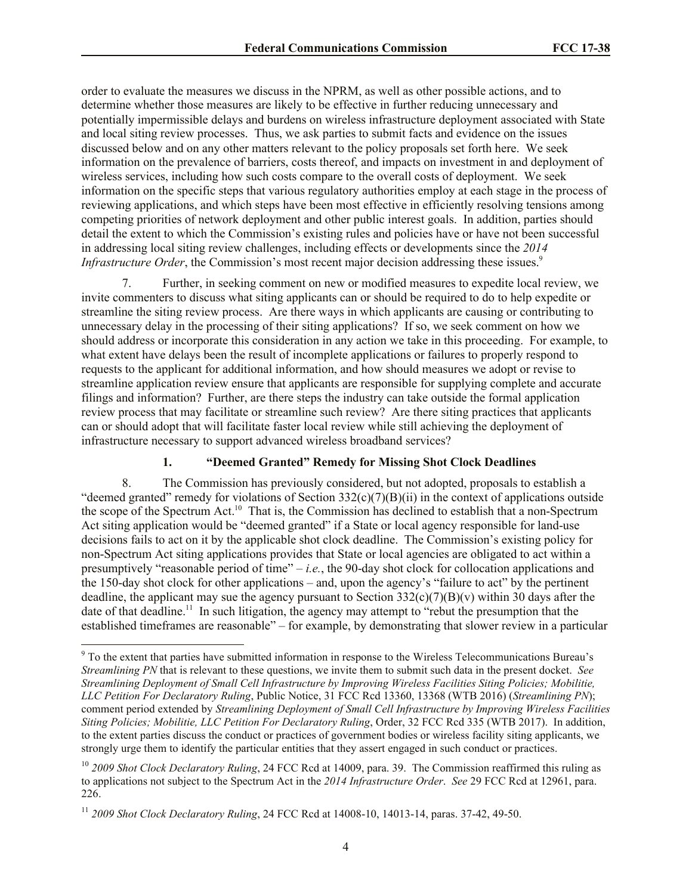order to evaluate the measures we discuss in the NPRM, as well as other possible actions, and to determine whether those measures are likely to be effective in further reducing unnecessary and potentially impermissible delays and burdens on wireless infrastructure deployment associated with State and local siting review processes. Thus, we ask parties to submit facts and evidence on the issues discussed below and on any other matters relevant to the policy proposals set forth here. We seek information on the prevalence of barriers, costs thereof, and impacts on investment in and deployment of wireless services, including how such costs compare to the overall costs of deployment. We seek information on the specific steps that various regulatory authorities employ at each stage in the process of reviewing applications, and which steps have been most effective in efficiently resolving tensions among competing priorities of network deployment and other public interest goals. In addition, parties should detail the extent to which the Commission's existing rules and policies have or have not been successful in addressing local siting review challenges, including effects or developments since the *2014 Infrastructure Order*, the Commission's most recent major decision addressing these issues.<sup>9</sup>

7. Further, in seeking comment on new or modified measures to expedite local review, we invite commenters to discuss what siting applicants can or should be required to do to help expedite or streamline the siting review process. Are there ways in which applicants are causing or contributing to unnecessary delay in the processing of their siting applications? If so, we seek comment on how we should address or incorporate this consideration in any action we take in this proceeding. For example, to what extent have delays been the result of incomplete applications or failures to properly respond to requests to the applicant for additional information, and how should measures we adopt or revise to streamline application review ensure that applicants are responsible for supplying complete and accurate filings and information? Further, are there steps the industry can take outside the formal application review process that may facilitate or streamline such review? Are there siting practices that applicants can or should adopt that will facilitate faster local review while still achieving the deployment of infrastructure necessary to support advanced wireless broadband services?

### **1. "Deemed Granted" Remedy for Missing Shot Clock Deadlines**

8. The Commission has previously considered, but not adopted, proposals to establish a "deemed granted" remedy for violations of Section  $332(c)(7)(B)(ii)$  in the context of applications outside the scope of the Spectrum Act.<sup>10</sup> That is, the Commission has declined to establish that a non-Spectrum Act siting application would be "deemed granted" if a State or local agency responsible for land-use decisions fails to act on it by the applicable shot clock deadline. The Commission's existing policy for non-Spectrum Act siting applications provides that State or local agencies are obligated to act within a presumptively "reasonable period of time" – *i.e.*, the 90-day shot clock for collocation applications and the 150-day shot clock for other applications – and, upon the agency's "failure to act" by the pertinent deadline, the applicant may sue the agency pursuant to Section  $332(c)(7)(B)(v)$  within 30 days after the date of that deadline.<sup>11</sup> In such litigation, the agency may attempt to "rebut the presumption that the established timeframes are reasonable" – for example, by demonstrating that slower review in a particular

<sup>9</sup> To the extent that parties have submitted information in response to the Wireless Telecommunications Bureau's *Streamlining PN* that is relevant to these questions, we invite them to submit such data in the present docket. *See Streamlining Deployment of Small Cell Infrastructure by Improving Wireless Facilities Siting Policies; Mobilitie, LLC Petition For Declaratory Ruling*, Public Notice, 31 FCC Rcd 13360, 13368 (WTB 2016) (*Streamlining PN*); comment period extended by *Streamlining Deployment of Small Cell Infrastructure by Improving Wireless Facilities Siting Policies; Mobilitie, LLC Petition For Declaratory Ruling*, Order, 32 FCC Rcd 335 (WTB 2017). In addition, to the extent parties discuss the conduct or practices of government bodies or wireless facility siting applicants, we strongly urge them to identify the particular entities that they assert engaged in such conduct or practices.

<sup>&</sup>lt;sup>10</sup> 2009 Shot Clock Declaratory Ruling, 24 FCC Rcd at 14009, para. 39. The Commission reaffirmed this ruling as to applications not subject to the Spectrum Act in the *2014 Infrastructure Order*. *See* 29 FCC Rcd at 12961, para. 226.

<sup>11</sup> *2009 Shot Clock Declaratory Ruling*, 24 FCC Rcd at 14008-10, 14013-14, paras. 37-42, 49-50.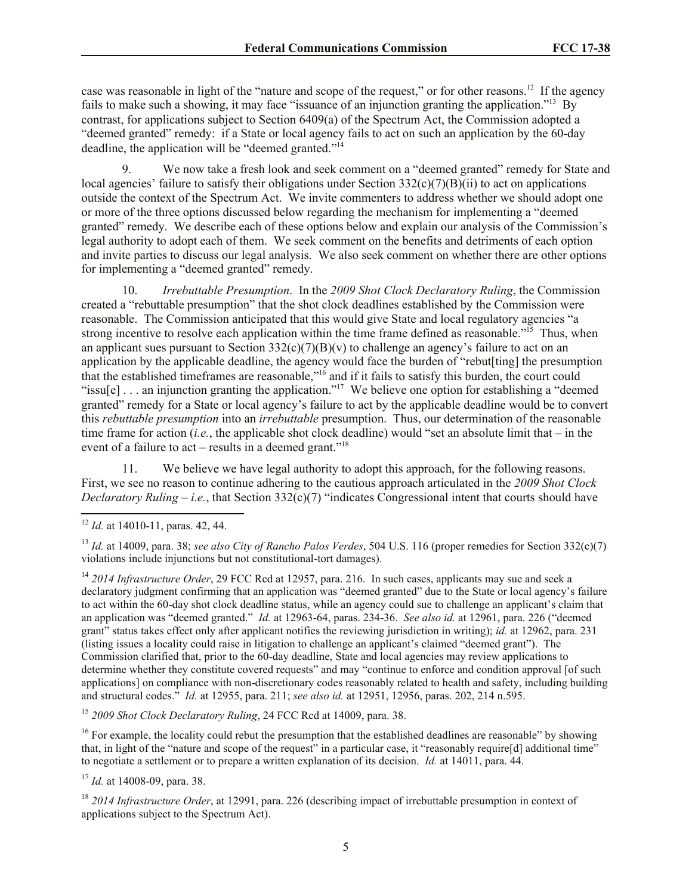case was reasonable in light of the "nature and scope of the request," or for other reasons.<sup>12</sup> If the agency fails to make such a showing, it may face "issuance of an injunction granting the application."<sup>13</sup> By contrast, for applications subject to Section 6409(a) of the Spectrum Act, the Commission adopted a "deemed granted" remedy: if a State or local agency fails to act on such an application by the 60-day deadline, the application will be "deemed granted."<sup>14</sup>

9. We now take a fresh look and seek comment on a "deemed granted" remedy for State and local agencies' failure to satisfy their obligations under Section  $332(c)(7)(B)(ii)$  to act on applications outside the context of the Spectrum Act. We invite commenters to address whether we should adopt one or more of the three options discussed below regarding the mechanism for implementing a "deemed granted" remedy. We describe each of these options below and explain our analysis of the Commission's legal authority to adopt each of them. We seek comment on the benefits and detriments of each option and invite parties to discuss our legal analysis. We also seek comment on whether there are other options for implementing a "deemed granted" remedy.

10. *Irrebuttable Presumption*. In the *2009 Shot Clock Declaratory Ruling*, the Commission created a "rebuttable presumption" that the shot clock deadlines established by the Commission were reasonable. The Commission anticipated that this would give State and local regulatory agencies "a strong incentive to resolve each application within the time frame defined as reasonable."<sup>15</sup> Thus, when an applicant sues pursuant to Section  $332(c)(7)(B)(v)$  to challenge an agency's failure to act on an application by the applicable deadline, the agency would face the burden of "rebut[ting] the presumption that the established timeframes are reasonable,"<sup>16</sup> and if it fails to satisfy this burden, the court could "issu[e] ... an injunction granting the application."<sup>17</sup> We believe one option for establishing a "deemed" granted" remedy for a State or local agency's failure to act by the applicable deadline would be to convert this *rebuttable presumption* into an *irrebuttable* presumption. Thus, our determination of the reasonable time frame for action (*i.e.*, the applicable shot clock deadline) would "set an absolute limit that – in the event of a failure to act – results in a deemed grant."<sup>18</sup>

11. We believe we have legal authority to adopt this approach, for the following reasons. First, we see no reason to continue adhering to the cautious approach articulated in the *2009 Shot Clock Declaratory Ruling* – *i.e.*, that Section 332(c)(7) "indicates Congressional intent that courts should have

 $\overline{a}$ 

<sup>14</sup> 2014 Infrastructure Order, 29 FCC Rcd at 12957, para. 216. In such cases, applicants may sue and seek a declaratory judgment confirming that an application was "deemed granted" due to the State or local agency's failure to act within the 60-day shot clock deadline status, while an agency could sue to challenge an applicant's claim that an application was "deemed granted." *Id.* at 12963-64, paras. 234-36. *See also id.* at 12961, para. 226 ("deemed grant" status takes effect only after applicant notifies the reviewing jurisdiction in writing); *id.* at 12962, para. 231 (listing issues a locality could raise in litigation to challenge an applicant's claimed "deemed grant"). The Commission clarified that, prior to the 60-day deadline, State and local agencies may review applications to determine whether they constitute covered requests" and may "continue to enforce and condition approval [of such applications] on compliance with non-discretionary codes reasonably related to health and safety, including building and structural codes." *Id.* at 12955, para. 211; *see also id.* at 12951, 12956, paras. 202, 214 n.595.

<sup>15</sup> *2009 Shot Clock Declaratory Ruling*, 24 FCC Rcd at 14009, para. 38.

 $16$  For example, the locality could rebut the presumption that the established deadlines are reasonable" by showing that, in light of the "nature and scope of the request" in a particular case, it "reasonably require[d] additional time" to negotiate a settlement or to prepare a written explanation of its decision. *Id.* at 14011, para. 44.

<sup>17</sup> *Id.* at 14008-09, para. 38.

<sup>18</sup> 2014 Infrastructure Order, at 12991, para. 226 (describing impact of irrebuttable presumption in context of applications subject to the Spectrum Act).

<sup>12</sup> *Id.* at 14010-11, paras. 42, 44.

<sup>13</sup> *Id.* at 14009, para. 38; *see also City of Rancho Palos Verdes*, 504 U.S. 116 (proper remedies for Section 332(c)(7) violations include injunctions but not constitutional-tort damages).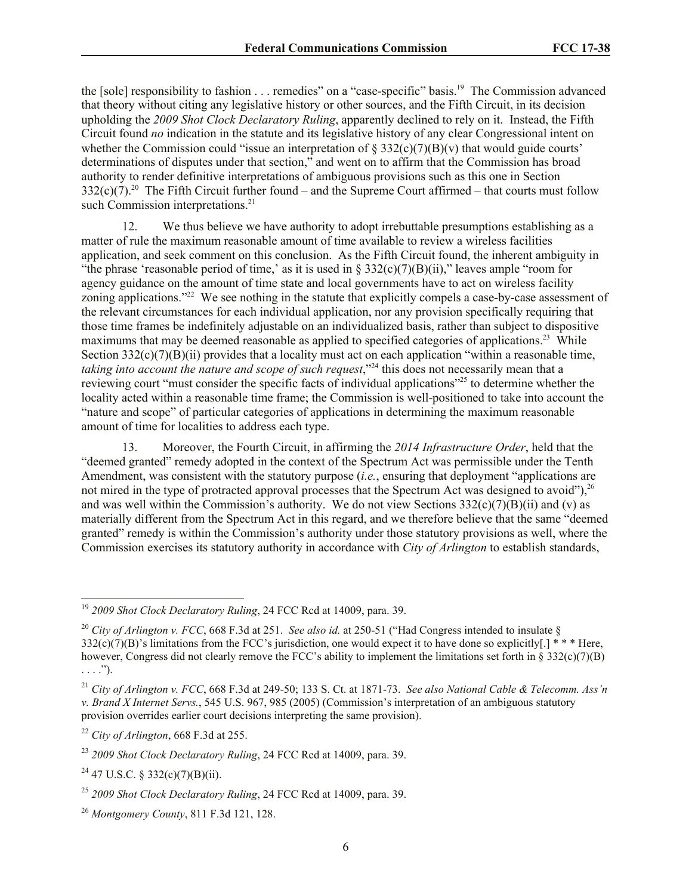the [sole] responsibility to fashion . . . remedies" on a "case-specific" basis. <sup>19</sup> The Commission advanced that theory without citing any legislative history or other sources, and the Fifth Circuit, in its decision upholding the *2009 Shot Clock Declaratory Ruling*, apparently declined to rely on it. Instead, the Fifth Circuit found *no* indication in the statute and its legislative history of any clear Congressional intent on whether the Commission could "issue an interpretation of  $\S 332(c)(7)(B)(v)$  that would guide courts' determinations of disputes under that section," and went on to affirm that the Commission has broad authority to render definitive interpretations of ambiguous provisions such as this one in Section  $332(c)(7).^{20}$  The Fifth Circuit further found – and the Supreme Court affirmed – that courts must follow such Commission interpretations.<sup>21</sup>

12. We thus believe we have authority to adopt irrebuttable presumptions establishing as a matter of rule the maximum reasonable amount of time available to review a wireless facilities application, and seek comment on this conclusion. As the Fifth Circuit found, the inherent ambiguity in "the phrase 'reasonable period of time,' as it is used in §  $332(c)(7)(B)(ii)$ ," leaves ample "room for agency guidance on the amount of time state and local governments have to act on wireless facility zoning applications."<sup>22</sup> We see nothing in the statute that explicitly compels a case-by-case assessment of the relevant circumstances for each individual application, nor any provision specifically requiring that those time frames be indefinitely adjustable on an individualized basis, rather than subject to dispositive maximums that may be deemed reasonable as applied to specified categories of applications.<sup>23</sup> While Section  $332(c)(7)(B)(ii)$  provides that a locality must act on each application "within a reasonable time, *taking into account the nature and scope of such request*,"<sup>24</sup> this does not necessarily mean that a reviewing court "must consider the specific facts of individual applications"<sup>25</sup> to determine whether the locality acted within a reasonable time frame; the Commission is well-positioned to take into account the "nature and scope" of particular categories of applications in determining the maximum reasonable amount of time for localities to address each type.

13. Moreover, the Fourth Circuit, in affirming the *2014 Infrastructure Order*, held that the "deemed granted" remedy adopted in the context of the Spectrum Act was permissible under the Tenth Amendment, was consistent with the statutory purpose (*i.e.*, ensuring that deployment "applications are not mired in the type of protracted approval processes that the Spectrum Act was designed to avoid"),  $26$ and was well within the Commission's authority. We do not view Sections  $332(c)(7)(B)(ii)$  and (v) as materially different from the Spectrum Act in this regard, and we therefore believe that the same "deemed granted" remedy is within the Commission's authority under those statutory provisions as well, where the Commission exercises its statutory authority in accordance with *City of Arlington* to establish standards,

<sup>19</sup> *2009 Shot Clock Declaratory Ruling*, 24 FCC Rcd at 14009, para. 39.

<sup>20</sup> *City of Arlington v. FCC*, 668 F.3d at 251. *See also id.* at 250-51 ("Had Congress intended to insulate §  $332(\dot{c})(7)(B)$ 's limitations from the FCC's jurisdiction, one would expect it to have done so explicitly[.] \*\*\* Here, however, Congress did not clearly remove the FCC's ability to implement the limitations set forth in  $\S 332(c)(7)(B)$  $\ldots$ .").

<sup>21</sup> *City of Arlington v. FCC*, 668 F.3d at 249-50; 133 S. Ct. at 1871-73. *See also National Cable & Telecomm. Ass'n v. Brand X Internet Servs.*, 545 U.S. 967, 985 (2005) (Commission's interpretation of an ambiguous statutory provision overrides earlier court decisions interpreting the same provision).

<sup>22</sup> *City of Arlington*, 668 F.3d at 255.

<sup>23</sup> *2009 Shot Clock Declaratory Ruling*, 24 FCC Rcd at 14009, para. 39.

 $24$  47 U.S.C. § 332(c)(7)(B)(ii).

<sup>25</sup> *2009 Shot Clock Declaratory Ruling*, 24 FCC Rcd at 14009, para. 39.

<sup>26</sup> *Montgomery County*, 811 F.3d 121, 128.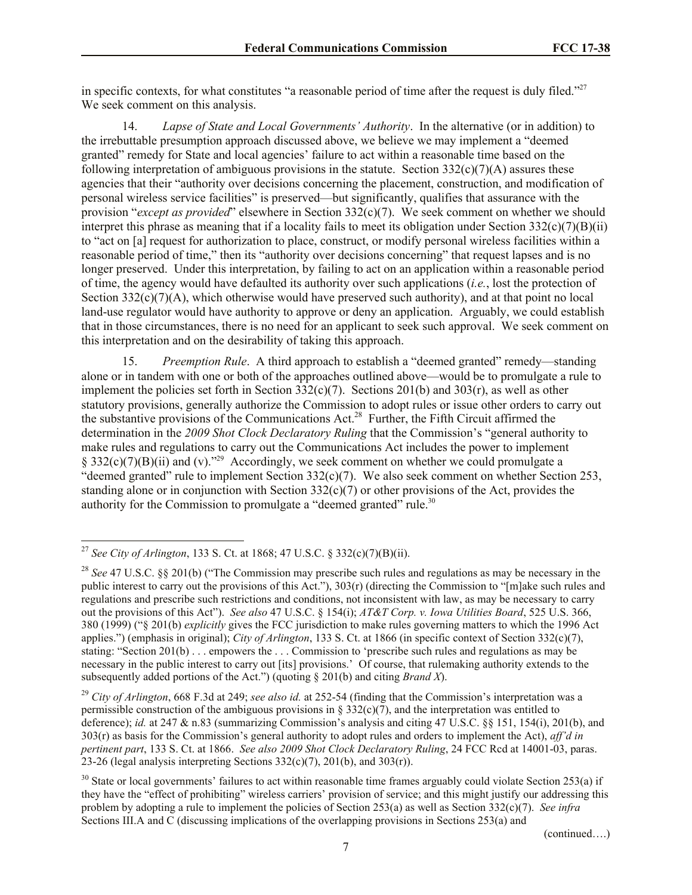in specific contexts, for what constitutes "a reasonable period of time after the request is duly filed."<sup>27</sup> We seek comment on this analysis.

14. *Lapse of State and Local Governments' Authority*. In the alternative (or in addition) to the irrebuttable presumption approach discussed above, we believe we may implement a "deemed granted" remedy for State and local agencies' failure to act within a reasonable time based on the following interpretation of ambiguous provisions in the statute. Section  $332(c)(7)(A)$  assures these agencies that their "authority over decisions concerning the placement, construction, and modification of personal wireless service facilities" is preserved—but significantly, qualifies that assurance with the provision "*except as provided*" elsewhere in Section 332(c)(7). We seek comment on whether we should interpret this phrase as meaning that if a locality fails to meet its obligation under Section  $332(c)(7)(B)(ii)$ to "act on [a] request for authorization to place, construct, or modify personal wireless facilities within a reasonable period of time," then its "authority over decisions concerning" that request lapses and is no longer preserved. Under this interpretation, by failing to act on an application within a reasonable period of time, the agency would have defaulted its authority over such applications (*i.e.*, lost the protection of Section  $332(c)(7)(A)$ , which otherwise would have preserved such authority), and at that point no local land-use regulator would have authority to approve or deny an application. Arguably, we could establish that in those circumstances, there is no need for an applicant to seek such approval. We seek comment on this interpretation and on the desirability of taking this approach.

15. *Preemption Rule*. A third approach to establish a "deemed granted" remedy—standing alone or in tandem with one or both of the approaches outlined above—would be to promulgate a rule to implement the policies set forth in Section  $332(c)(7)$ . Sections 201(b) and 303(r), as well as other statutory provisions, generally authorize the Commission to adopt rules or issue other orders to carry out the substantive provisions of the Communications Act.<sup>28</sup> Further, the Fifth Circuit affirmed the determination in the *2009 Shot Clock Declaratory Ruling* that the Commission's "general authority to make rules and regulations to carry out the Communications Act includes the power to implement  $\S 332(c)(7)(B)(ii)$  and (v).<sup>229</sup> Accordingly, we seek comment on whether we could promulgate a "deemed granted" rule to implement Section 332(c)(7). We also seek comment on whether Section 253, standing alone or in conjunction with Section  $332(c)(7)$  or other provisions of the Act, provides the authority for the Commission to promulgate a "deemed granted" rule.<sup>30</sup>

 $\overline{a}$ 

(continued….)

<sup>27</sup> *See City of Arlington*, 133 S. Ct. at 1868; 47 U.S.C. § 332(c)(7)(B)(ii).

<sup>28</sup> *See* 47 U.S.C. §§ 201(b) ("The Commission may prescribe such rules and regulations as may be necessary in the public interest to carry out the provisions of this Act."), 303(r) (directing the Commission to "[m]ake such rules and regulations and prescribe such restrictions and conditions, not inconsistent with law, as may be necessary to carry out the provisions of this Act"). *See also* 47 U.S.C. § 154(i); *AT&T Corp. v. Iowa Utilities Board*, 525 U.S. 366, 380 (1999) ("§ 201(b) *explicitly* gives the FCC jurisdiction to make rules governing matters to which the 1996 Act applies.") (emphasis in original); *City of Arlington*, 133 S. Ct. at 1866 (in specific context of Section 332(c)(7), stating: "Section 201(b) . . . empowers the . . . Commission to 'prescribe such rules and regulations as may be necessary in the public interest to carry out [its] provisions.' Of course, that rulemaking authority extends to the subsequently added portions of the Act.") (quoting § 201(b) and citing *Brand X*).

<sup>29</sup> *City of Arlington*, 668 F.3d at 249; *see also id.* at 252-54 (finding that the Commission's interpretation was a permissible construction of the ambiguous provisions in §  $332(c)(7)$ , and the interpretation was entitled to deference); *id.* at 247 & n.83 (summarizing Commission's analysis and citing 47 U.S.C. §§ 151, 154(i), 201(b), and 303(r) as basis for the Commission's general authority to adopt rules and orders to implement the Act), *aff'd in pertinent part*, 133 S. Ct. at 1866. *See also 2009 Shot Clock Declaratory Ruling*, 24 FCC Rcd at 14001-03, paras. 23-26 (legal analysis interpreting Sections  $332(c)(7)$ ,  $201(b)$ , and  $303(r)$ ).

 $30$  State or local governments' failures to act within reasonable time frames arguably could violate Section 253(a) if they have the "effect of prohibiting" wireless carriers' provision of service; and this might justify our addressing this problem by adopting a rule to implement the policies of Section 253(a) as well as Section 332(c)(7). *See infra* Sections III.A and C (discussing implications of the overlapping provisions in Sections 253(a) and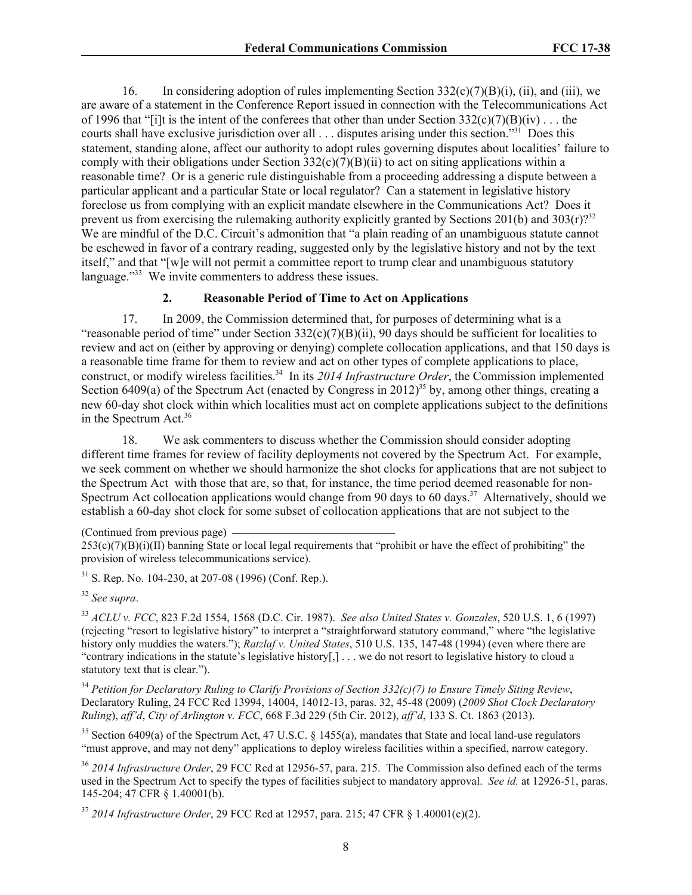16. In considering adoption of rules implementing Section  $332(c)(7)(B)(i)$ , (ii), and (iii), we are aware of a statement in the Conference Report issued in connection with the Telecommunications Act of 1996 that "[i]t is the intent of the conferees that other than under Section  $332(c)(7)(B)(iv)$ ... the courts shall have exclusive jurisdiction over all . . . disputes arising under this section."<sup>31</sup> Does this statement, standing alone, affect our authority to adopt rules governing disputes about localities' failure to comply with their obligations under Section  $332(c)(7)(B)(ii)$  to act on siting applications within a reasonable time? Or is a generic rule distinguishable from a proceeding addressing a dispute between a particular applicant and a particular State or local regulator? Can a statement in legislative history foreclose us from complying with an explicit mandate elsewhere in the Communications Act? Does it prevent us from exercising the rulemaking authority explicitly granted by Sections 201(b) and 303(r)?<sup>32</sup> We are mindful of the D.C. Circuit's admonition that "a plain reading of an unambiguous statute cannot be eschewed in favor of a contrary reading, suggested only by the legislative history and not by the text itself," and that "[w]e will not permit a committee report to trump clear and unambiguous statutory language."<sup>33</sup> We invite commenters to address these issues.

## **2. Reasonable Period of Time to Act on Applications**

17. In 2009, the Commission determined that, for purposes of determining what is a "reasonable period of time" under Section  $332(c)(7)(B)(ii)$ , 90 days should be sufficient for localities to review and act on (either by approving or denying) complete collocation applications, and that 150 days is a reasonable time frame for them to review and act on other types of complete applications to place, construct, or modify wireless facilities.<sup>34</sup> In its 2014 Infrastructure Order, the Commission implemented Section 6409(a) of the Spectrum Act (enacted by Congress in 2012)<sup>35</sup> by, among other things, creating a new 60-day shot clock within which localities must act on complete applications subject to the definitions in the Spectrum Act.<sup>36</sup>

18. We ask commenters to discuss whether the Commission should consider adopting different time frames for review of facility deployments not covered by the Spectrum Act. For example, we seek comment on whether we should harmonize the shot clocks for applications that are not subject to the Spectrum Act with those that are, so that, for instance, the time period deemed reasonable for non-Spectrum Act collocation applications would change from 90 days to 60 days.<sup>37</sup> Alternatively, should we establish a 60-day shot clock for some subset of collocation applications that are not subject to the

<sup>32</sup> *See supra*.

<sup>33</sup> *ACLU v. FCC*, 823 F.2d 1554, 1568 (D.C. Cir. 1987). *See also United States v. Gonzales*, 520 U.S. 1, 6 (1997) (rejecting "resort to legislative history" to interpret a "straightforward statutory command," where "the legislative history only muddies the waters."); *Ratzlaf v. United States*, 510 U.S. 135, 147-48 (1994) (even where there are "contrary indications in the statute's legislative history[,] . . . we do not resort to legislative history to cloud a statutory text that is clear.").

<sup>34</sup> *Petition for Declaratory Ruling to Clarify Provisions of Section 332(c)(7) to Ensure Timely Siting Review*, Declaratory Ruling, 24 FCC Rcd 13994, 14004, 14012-13, paras. 32, 45-48 (2009) (*2009 Shot Clock Declaratory Ruling*), *aff'd*, *City of Arlington v. FCC*, 668 F.3d 229 (5th Cir. 2012), *aff'd*, 133 S. Ct. 1863 (2013).

<sup>35</sup> Section 6409(a) of the Spectrum Act, 47 U.S.C. § 1455(a), mandates that State and local land-use regulators "must approve, and may not deny" applications to deploy wireless facilities within a specified, narrow category.

<sup>36</sup> *2014 Infrastructure Order*, 29 FCC Rcd at 12956-57, para. 215. The Commission also defined each of the terms used in the Spectrum Act to specify the types of facilities subject to mandatory approval. *See id.* at 12926-51, paras. 145-204; 47 CFR § 1.40001(b).

<sup>37</sup> *2014 Infrastructure Order*, 29 FCC Rcd at 12957, para. 215; 47 CFR § 1.40001(c)(2).

<sup>(</sup>Continued from previous page)

 $253(c)(7)(B)(i)(II)$  banning State or local legal requirements that "prohibit or have the effect of prohibiting" the provision of wireless telecommunications service).

 $31$  S. Rep. No. 104-230, at 207-08 (1996) (Conf. Rep.).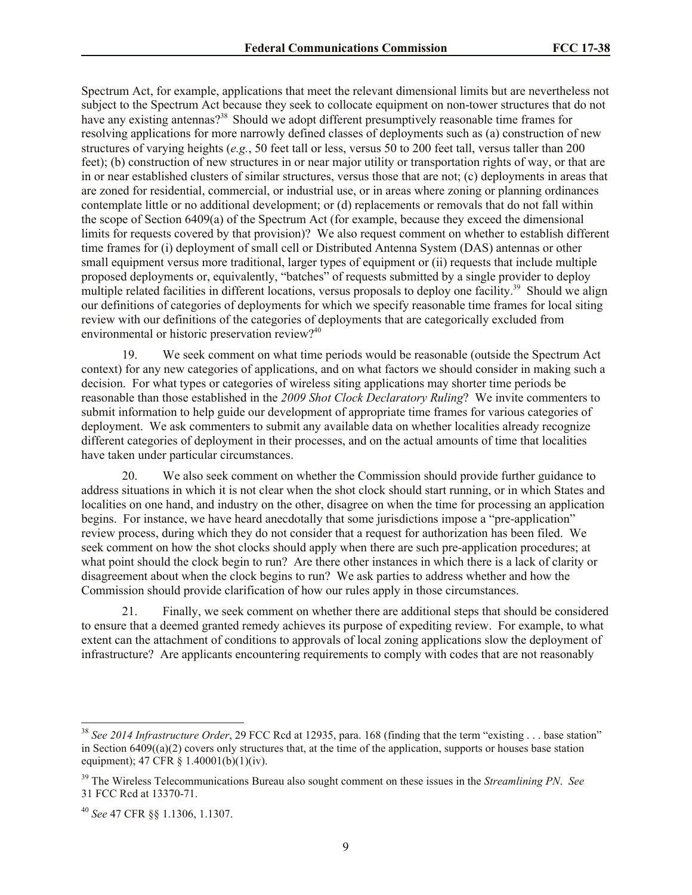Spectrum Act, for example, applications that meet the relevant dimensional limits but are nevertheless not subject to the Spectrum Act because they seek to collocate equipment on non-tower structures that do not have any existing antennas?<sup>38</sup> Should we adopt different presumptively reasonable time frames for resolving applications for more narrowly defined classes of deployments such as (a) construction of new structures of varying heights (*e.g.*, 50 feet tall or less, versus 50 to 200 feet tall, versus taller than 200 feet); (b) construction of new structures in or near major utility or transportation rights of way, or that are in or near established clusters of similar structures, versus those that are not; (c) deployments in areas that are zoned for residential, commercial, or industrial use, or in areas where zoning or planning ordinances contemplate little or no additional development; or (d) replacements or removals that do not fall within the scope of Section 6409(a) of the Spectrum Act (for example, because they exceed the dimensional limits for requests covered by that provision)? We also request comment on whether to establish different time frames for (i) deployment of small cell or Distributed Antenna System (DAS) antennas or other small equipment versus more traditional, larger types of equipment or (ii) requests that include multiple proposed deployments or, equivalently, "batches" of requests submitted by a single provider to deploy multiple related facilities in different locations, versus proposals to deploy one facility.<sup>39</sup> Should we align our definitions of categories of deployments for which we specify reasonable time frames for local siting review with our definitions of the categories of deployments that are categorically excluded from environmental or historic preservation review?<sup>40</sup>

19. We seek comment on what time periods would be reasonable (outside the Spectrum Act context) for any new categories of applications, and on what factors we should consider in making such a decision. For what types or categories of wireless siting applications may shorter time periods be reasonable than those established in the *2009 Shot Clock Declaratory Ruling*? We invite commenters to submit information to help guide our development of appropriate time frames for various categories of deployment. We ask commenters to submit any available data on whether localities already recognize different categories of deployment in their processes, and on the actual amounts of time that localities have taken under particular circumstances.

20. We also seek comment on whether the Commission should provide further guidance to address situations in which it is not clear when the shot clock should start running, or in which States and localities on one hand, and industry on the other, disagree on when the time for processing an application begins. For instance, we have heard anecdotally that some jurisdictions impose a "pre-application" review process, during which they do not consider that a request for authorization has been filed. We seek comment on how the shot clocks should apply when there are such pre-application procedures; at what point should the clock begin to run? Are there other instances in which there is a lack of clarity or disagreement about when the clock begins to run? We ask parties to address whether and how the Commission should provide clarification of how our rules apply in those circumstances.

21. Finally, we seek comment on whether there are additional steps that should be considered to ensure that a deemed granted remedy achieves its purpose of expediting review. For example, to what extent can the attachment of conditions to approvals of local zoning applications slow the deployment of infrastructure? Are applicants encountering requirements to comply with codes that are not reasonably

<sup>38</sup> *See 2014 Infrastructure Order*, 29 FCC Rcd at 12935, para. 168 (finding that the term "existing . . . base station" in Section  $6409((a)(2)$  covers only structures that, at the time of the application, supports or houses base station equipment); 47 CFR § 1.40001(b)(1)(iv).

<sup>39</sup> The Wireless Telecommunications Bureau also sought comment on these issues in the *Streamlining PN*. *See*  31 FCC Rcd at 13370-71.

<sup>40</sup> *See* 47 CFR §§ 1.1306, 1.1307.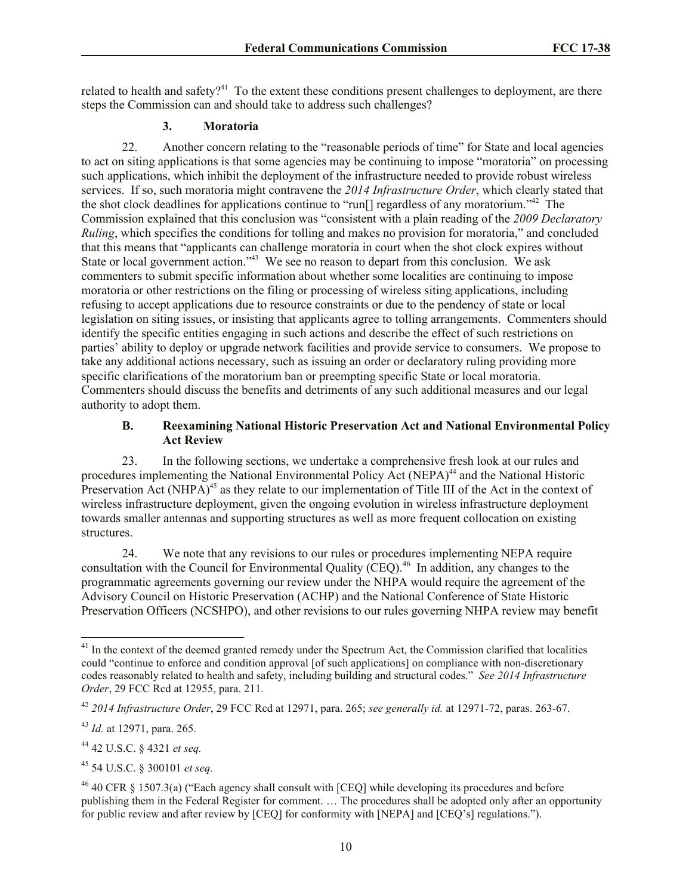related to health and safety?<sup>41</sup> To the extent these conditions present challenges to deployment, are there steps the Commission can and should take to address such challenges?

#### **3. Moratoria**

22. Another concern relating to the "reasonable periods of time" for State and local agencies to act on siting applications is that some agencies may be continuing to impose "moratoria" on processing such applications, which inhibit the deployment of the infrastructure needed to provide robust wireless services. If so, such moratoria might contravene the *2014 Infrastructure Order*, which clearly stated that the shot clock deadlines for applications continue to "run[] regardless of any moratorium."<sup>42</sup> The Commission explained that this conclusion was "consistent with a plain reading of the *2009 Declaratory Ruling*, which specifies the conditions for tolling and makes no provision for moratoria," and concluded that this means that "applicants can challenge moratoria in court when the shot clock expires without State or local government action."<sup>43</sup> We see no reason to depart from this conclusion. We ask commenters to submit specific information about whether some localities are continuing to impose moratoria or other restrictions on the filing or processing of wireless siting applications, including refusing to accept applications due to resource constraints or due to the pendency of state or local legislation on siting issues, or insisting that applicants agree to tolling arrangements. Commenters should identify the specific entities engaging in such actions and describe the effect of such restrictions on parties' ability to deploy or upgrade network facilities and provide service to consumers. We propose to take any additional actions necessary, such as issuing an order or declaratory ruling providing more specific clarifications of the moratorium ban or preempting specific State or local moratoria. Commenters should discuss the benefits and detriments of any such additional measures and our legal authority to adopt them.

### **B. Reexamining National Historic Preservation Act and National Environmental Policy Act Review**

23. In the following sections, we undertake a comprehensive fresh look at our rules and procedures implementing the National Environmental Policy Act (NEPA)<sup>44</sup> and the National Historic Preservation Act (NHPA)<sup>45</sup> as they relate to our implementation of Title III of the Act in the context of wireless infrastructure deployment, given the ongoing evolution in wireless infrastructure deployment towards smaller antennas and supporting structures as well as more frequent collocation on existing structures.

24. We note that any revisions to our rules or procedures implementing NEPA require consultation with the Council for Environmental Quality  $(CEO)$ <sup>46</sup> In addition, any changes to the programmatic agreements governing our review under the NHPA would require the agreement of the Advisory Council on Historic Preservation (ACHP) and the National Conference of State Historic Preservation Officers (NCSHPO), and other revisions to our rules governing NHPA review may benefit

<sup>&</sup>lt;sup>41</sup> In the context of the deemed granted remedy under the Spectrum Act, the Commission clarified that localities could "continue to enforce and condition approval [of such applications] on compliance with non-discretionary codes reasonably related to health and safety, including building and structural codes." *See 2014 Infrastructure Order*, 29 FCC Rcd at 12955, para. 211.

<sup>42</sup> *2014 Infrastructure Order*, 29 FCC Rcd at 12971, para. 265; *see generally id.* at 12971-72, paras. 263-67.

<sup>43</sup> *Id.* at 12971, para. 265.

<sup>44</sup> 42 U.S.C. § 4321 *et seq.*

<sup>45</sup> 54 U.S.C. § 300101 *et seq.*

 $46$  40 CFR § 1507.3(a) ("Each agency shall consult with [CEQ] while developing its procedures and before publishing them in the Federal Register for comment. … The procedures shall be adopted only after an opportunity for public review and after review by [CEQ] for conformity with [NEPA] and [CEQ's] regulations.").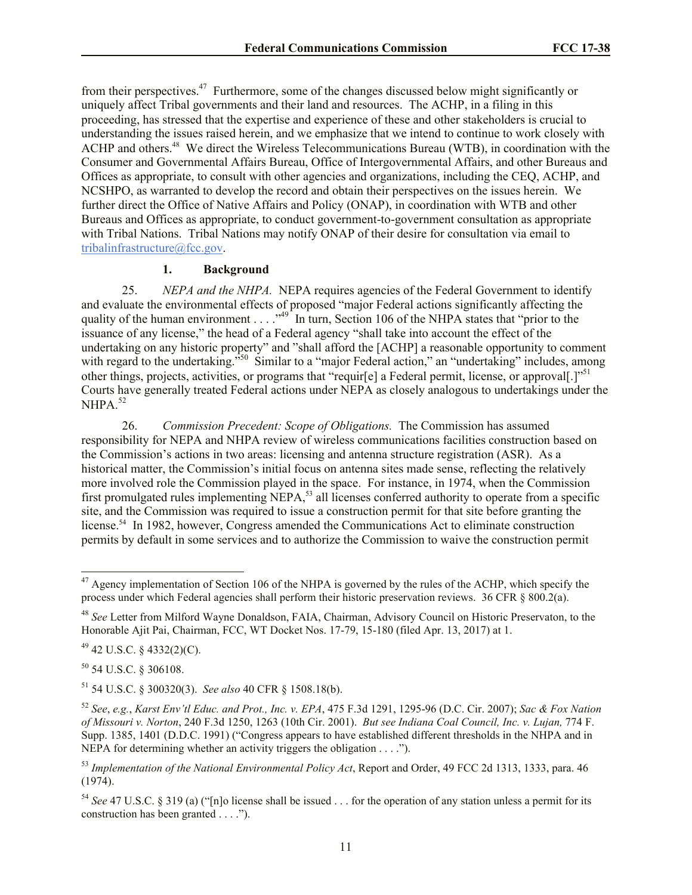from their perspectives.<sup>47</sup> Furthermore, some of the changes discussed below might significantly or uniquely affect Tribal governments and their land and resources. The ACHP, in a filing in this proceeding, has stressed that the expertise and experience of these and other stakeholders is crucial to understanding the issues raised herein, and we emphasize that we intend to continue to work closely with ACHP and others.<sup>48</sup> We direct the Wireless Telecommunications Bureau (WTB), in coordination with the Consumer and Governmental Affairs Bureau, Office of Intergovernmental Affairs, and other Bureaus and Offices as appropriate, to consult with other agencies and organizations, including the CEQ, ACHP, and NCSHPO, as warranted to develop the record and obtain their perspectives on the issues herein. We further direct the Office of Native Affairs and Policy (ONAP), in coordination with WTB and other Bureaus and Offices as appropriate, to conduct government-to-government consultation as appropriate with Tribal Nations. Tribal Nations may notify ONAP of their desire for consultation via email to tribalinfrastructure@fcc.gov.

### **1. Background**

25. *NEPA and the NHPA.* NEPA requires agencies of the Federal Government to identify and evaluate the environmental effects of proposed "major Federal actions significantly affecting the quality of the human environment . . . . "<sup>49</sup> In turn, Section 106 of the NHPA states that "prior to the issuance of any license," the head of a Federal agency "shall take into account the effect of the undertaking on any historic property" and "shall afford the [ACHP] a reasonable opportunity to comment with regard to the undertaking.<sup>550</sup> Similar to a "major Federal action," an "undertaking" includes, among other things, projects, activities, or programs that "requir[e] a Federal permit, license, or approval[.]"<sup>51</sup> Courts have generally treated Federal actions under NEPA as closely analogous to undertakings under the NHPA. 52

26. *Commission Precedent: Scope of Obligations.* The Commission has assumed responsibility for NEPA and NHPA review of wireless communications facilities construction based on the Commission's actions in two areas: licensing and antenna structure registration (ASR). As a historical matter, the Commission's initial focus on antenna sites made sense, reflecting the relatively more involved role the Commission played in the space. For instance, in 1974, when the Commission first promulgated rules implementing NEPA,<sup>53</sup> all licenses conferred authority to operate from a specific site, and the Commission was required to issue a construction permit for that site before granting the license.<sup>54</sup> In 1982, however, Congress amended the Communications Act to eliminate construction permits by default in some services and to authorize the Commission to waive the construction permit

<sup>50</sup> 54 U.S.C. § 306108.

 $\overline{\phantom{a}}$ 

<sup>&</sup>lt;sup>47</sup> Agency implementation of Section 106 of the NHPA is governed by the rules of the ACHP, which specify the process under which Federal agencies shall perform their historic preservation reviews. 36 CFR § 800.2(a).

<sup>48</sup> *See* Letter from Milford Wayne Donaldson, FAIA, Chairman, Advisory Council on Historic Preservaton, to the Honorable Ajit Pai, Chairman, FCC, WT Docket Nos. 17-79, 15-180 (filed Apr. 13, 2017) at 1.

 $49$  42 U.S.C. § 4332(2)(C).

<sup>51</sup> 54 U.S.C. § 300320(3). *See also* 40 CFR § 1508.18(b).

<sup>52</sup> *See*, *e.g.*, *Karst Env'tl Educ. and Prot., Inc. v. EPA*, 475 F.3d 1291, 1295-96 (D.C. Cir. 2007); *Sac & Fox Nation of Missouri v. Norton*, 240 F.3d 1250, 1263 (10th Cir. 2001). *But see Indiana Coal Council, Inc. v. Lujan,* 774 F. Supp. 1385, 1401 (D.D.C. 1991) ("Congress appears to have established different thresholds in the NHPA and in NEPA for determining whether an activity triggers the obligation . . . .").

<sup>53</sup> *Implementation of the National Environmental Policy Act*, Report and Order, 49 FCC 2d 1313, 1333, para. 46 (1974).

<sup>54</sup> *See* 47 U.S.C. § 319 (a) ("[n]o license shall be issued . . . for the operation of any station unless a permit for its construction has been granted . . . .").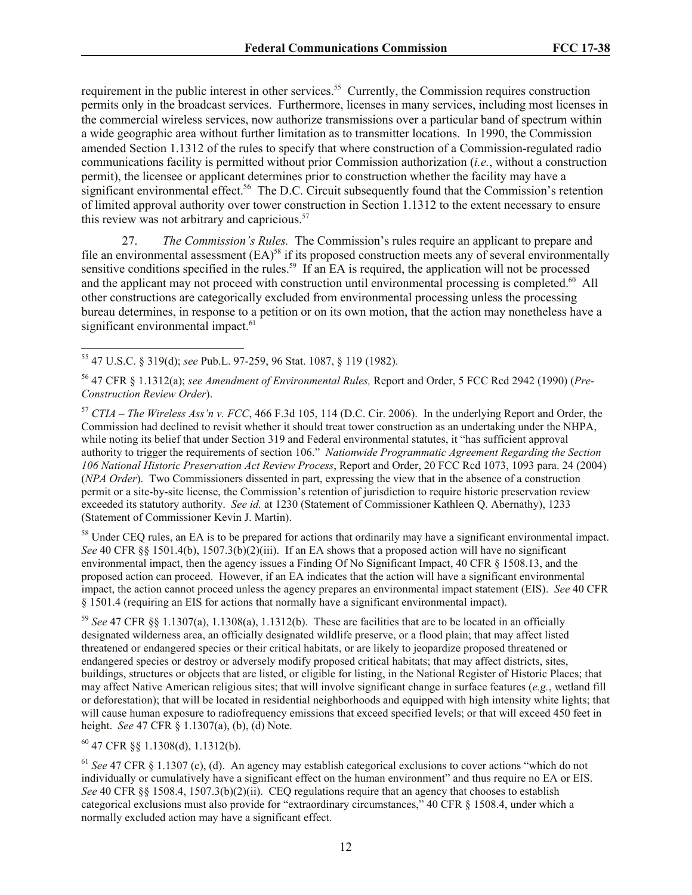requirement in the public interest in other services.<sup>55</sup> Currently, the Commission requires construction permits only in the broadcast services. Furthermore, licenses in many services, including most licenses in the commercial wireless services, now authorize transmissions over a particular band of spectrum within a wide geographic area without further limitation as to transmitter locations. In 1990, the Commission amended Section 1.1312 of the rules to specify that where construction of a Commission-regulated radio communications facility is permitted without prior Commission authorization (*i.e.*, without a construction permit), the licensee or applicant determines prior to construction whether the facility may have a significant environmental effect.<sup>56</sup> The D.C. Circuit subsequently found that the Commission's retention of limited approval authority over tower construction in Section 1.1312 to the extent necessary to ensure this review was not arbitrary and capricious.<sup>57</sup>

27. *The Commission's Rules.* The Commission's rules require an applicant to prepare and file an environmental assessment  $(EA)^{58}$  if its proposed construction meets any of several environmentally sensitive conditions specified in the rules.<sup>59</sup> If an EA is required, the application will not be processed and the applicant may not proceed with construction until environmental processing is completed.<sup>60</sup> All other constructions are categorically excluded from environmental processing unless the processing bureau determines, in response to a petition or on its own motion, that the action may nonetheless have a significant environmental impact.<sup>61</sup>

 $\overline{\phantom{a}}$ <sup>55</sup> 47 U.S.C. § 319(d); *see* Pub.L. 97-259, 96 Stat. 1087, § 119 (1982).

<sup>56</sup> 47 CFR § 1.1312(a); *see Amendment of Environmental Rules,* Report and Order, 5 FCC Rcd 2942 (1990) (*Pre-Construction Review Order*).

<sup>57</sup> *CTIA – The Wireless Ass'n v. FCC*, 466 F.3d 105, 114 (D.C. Cir. 2006). In the underlying Report and Order, the Commission had declined to revisit whether it should treat tower construction as an undertaking under the NHPA, while noting its belief that under Section 319 and Federal environmental statutes, it "has sufficient approval authority to trigger the requirements of section 106." *Nationwide Programmatic Agreement Regarding the Section 106 National Historic Preservation Act Review Process*, Report and Order, 20 FCC Rcd 1073, 1093 para. 24 (2004) (*NPA Order*). Two Commissioners dissented in part, expressing the view that in the absence of a construction permit or a site-by-site license, the Commission's retention of jurisdiction to require historic preservation review exceeded its statutory authority. *See id.* at 1230 (Statement of Commissioner Kathleen Q. Abernathy), 1233 (Statement of Commissioner Kevin J. Martin).

<sup>58</sup> Under CEQ rules, an EA is to be prepared for actions that ordinarily may have a significant environmental impact. *See* 40 CFR §§ 1501.4(b), 1507.3(b)(2)(iii). If an EA shows that a proposed action will have no significant environmental impact, then the agency issues a Finding Of No Significant Impact, 40 CFR § 1508.13, and the proposed action can proceed. However, if an EA indicates that the action will have a significant environmental impact, the action cannot proceed unless the agency prepares an environmental impact statement (EIS). *See* 40 CFR § 1501.4 (requiring an EIS for actions that normally have a significant environmental impact).

<sup>59</sup> *See* 47 CFR §§ 1.1307(a), 1.1308(a), 1.1312(b). These are facilities that are to be located in an officially designated wilderness area, an officially designated wildlife preserve, or a flood plain; that may affect listed threatened or endangered species or their critical habitats, or are likely to jeopardize proposed threatened or endangered species or destroy or adversely modify proposed critical habitats; that may affect districts, sites, buildings, structures or objects that are listed, or eligible for listing, in the National Register of Historic Places; that may affect Native American religious sites; that will involve significant change in surface features (*e.g.*, wetland fill or deforestation); that will be located in residential neighborhoods and equipped with high intensity white lights; that will cause human exposure to radiofrequency emissions that exceed specified levels; or that will exceed 450 feet in height. *See* 47 CFR § 1.1307(a), (b), (d) Note.

<sup>60</sup> 47 CFR §§ 1.1308(d), 1.1312(b).

<sup>61</sup> *See* 47 CFR § 1.1307 (c), (d). An agency may establish categorical exclusions to cover actions "which do not individually or cumulatively have a significant effect on the human environment" and thus require no EA or EIS. *See* 40 CFR §§ 1508.4, 1507.3(b)(2)(ii). CEQ regulations require that an agency that chooses to establish categorical exclusions must also provide for "extraordinary circumstances," 40 CFR § 1508.4, under which a normally excluded action may have a significant effect.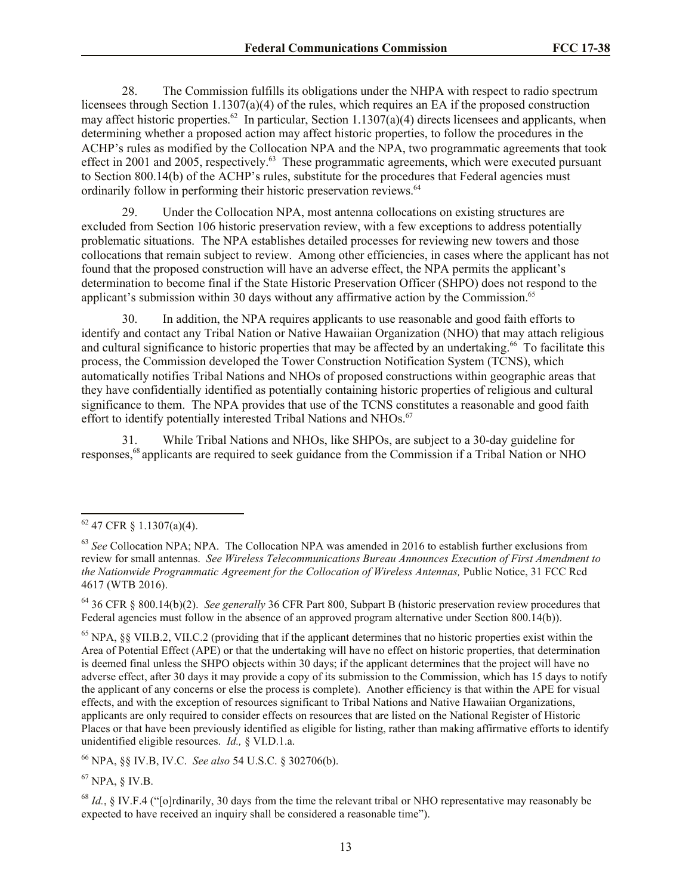28. The Commission fulfills its obligations under the NHPA with respect to radio spectrum licensees through Section 1.1307(a)(4) of the rules, which requires an EA if the proposed construction may affect historic properties.<sup>62</sup> In particular, Section 1.1307(a)(4) directs licensees and applicants, when determining whether a proposed action may affect historic properties, to follow the procedures in the ACHP's rules as modified by the Collocation NPA and the NPA, two programmatic agreements that took effect in 2001 and 2005, respectively.<sup>63</sup> These programmatic agreements, which were executed pursuant to Section 800.14(b) of the ACHP's rules, substitute for the procedures that Federal agencies must ordinarily follow in performing their historic preservation reviews.<sup>64</sup>

29. Under the Collocation NPA, most antenna collocations on existing structures are excluded from Section 106 historic preservation review, with a few exceptions to address potentially problematic situations. The NPA establishes detailed processes for reviewing new towers and those collocations that remain subject to review. Among other efficiencies, in cases where the applicant has not found that the proposed construction will have an adverse effect, the NPA permits the applicant's determination to become final if the State Historic Preservation Officer (SHPO) does not respond to the applicant's submission within 30 days without any affirmative action by the Commission.<sup>65</sup>

30. In addition, the NPA requires applicants to use reasonable and good faith efforts to identify and contact any Tribal Nation or Native Hawaiian Organization (NHO) that may attach religious and cultural significance to historic properties that may be affected by an undertaking.<sup>66</sup> To facilitate this process, the Commission developed the Tower Construction Notification System (TCNS), which automatically notifies Tribal Nations and NHOs of proposed constructions within geographic areas that they have confidentially identified as potentially containing historic properties of religious and cultural significance to them. The NPA provides that use of the TCNS constitutes a reasonable and good faith effort to identify potentially interested Tribal Nations and NHOs.<sup>67</sup>

31. While Tribal Nations and NHOs, like SHPOs, are subject to a 30-day guideline for responses,<sup>68</sup> applicants are required to seek guidance from the Commission if a Tribal Nation or NHO

 $\overline{a}$ 

<sup>66</sup> NPA, §§ IV.B, IV.C. *See also* 54 U.S.C. § 302706(b).

 $67$  NPA,  $\delta$  IV.B.

 $62$  47 CFR § 1.1307(a)(4).

<sup>63</sup> *See* Collocation NPA; NPA. The Collocation NPA was amended in 2016 to establish further exclusions from review for small antennas. *See Wireless Telecommunications Bureau Announces Execution of First Amendment to the Nationwide Programmatic Agreement for the Collocation of Wireless Antennas,* Public Notice, 31 FCC Rcd 4617 (WTB 2016).

<sup>64</sup> 36 CFR § 800.14(b)(2). *See generally* 36 CFR Part 800, Subpart B (historic preservation review procedures that Federal agencies must follow in the absence of an approved program alternative under Section 800.14(b)).

 $^{65}$  NPA,  $\$  VII.B.2, VII.C.2 (providing that if the applicant determines that no historic properties exist within the Area of Potential Effect (APE) or that the undertaking will have no effect on historic properties, that determination is deemed final unless the SHPO objects within 30 days; if the applicant determines that the project will have no adverse effect, after 30 days it may provide a copy of its submission to the Commission, which has 15 days to notify the applicant of any concerns or else the process is complete). Another efficiency is that within the APE for visual effects, and with the exception of resources significant to Tribal Nations and Native Hawaiian Organizations, applicants are only required to consider effects on resources that are listed on the National Register of Historic Places or that have been previously identified as eligible for listing, rather than making affirmative efforts to identify unidentified eligible resources. *Id.,* § VI.D.1.a.

<sup>68</sup> *Id.*, § IV.F.4 ("[o]rdinarily, 30 days from the time the relevant tribal or NHO representative may reasonably be expected to have received an inquiry shall be considered a reasonable time").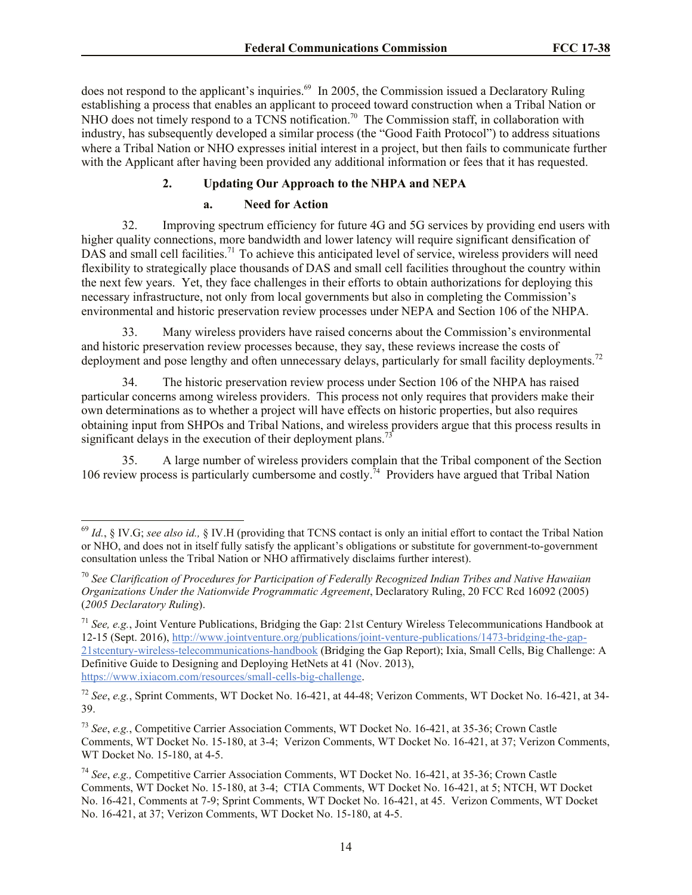does not respond to the applicant's inquiries.<sup>69</sup> In 2005, the Commission issued a Declaratory Ruling establishing a process that enables an applicant to proceed toward construction when a Tribal Nation or NHO does not timely respond to a TCNS notification.<sup>70</sup> The Commission staff, in collaboration with industry, has subsequently developed a similar process (the "Good Faith Protocol") to address situations where a Tribal Nation or NHO expresses initial interest in a project, but then fails to communicate further with the Applicant after having been provided any additional information or fees that it has requested.

# **2. Updating Our Approach to the NHPA and NEPA**

# **a. Need for Action**

32. Improving spectrum efficiency for future 4G and 5G services by providing end users with higher quality connections, more bandwidth and lower latency will require significant densification of DAS and small cell facilities.<sup>71</sup> To achieve this anticipated level of service, wireless providers will need flexibility to strategically place thousands of DAS and small cell facilities throughout the country within the next few years. Yet, they face challenges in their efforts to obtain authorizations for deploying this necessary infrastructure, not only from local governments but also in completing the Commission's environmental and historic preservation review processes under NEPA and Section 106 of the NHPA.

33. Many wireless providers have raised concerns about the Commission's environmental and historic preservation review processes because, they say, these reviews increase the costs of deployment and pose lengthy and often unnecessary delays, particularly for small facility deployments.<sup>72</sup>

34. The historic preservation review process under Section 106 of the NHPA has raised particular concerns among wireless providers. This process not only requires that providers make their own determinations as to whether a project will have effects on historic properties, but also requires obtaining input from SHPOs and Tribal Nations, and wireless providers argue that this process results in significant delays in the execution of their deployment plans.<sup>7</sup>

35. A large number of wireless providers complain that the Tribal component of the Section 106 review process is particularly cumbersome and costly.<sup>74</sup> Providers have argued that Tribal Nation

 $\overline{a}$ <sup>69</sup> *Id.*, § IV.G; *see also id.,* § IV.H (providing that TCNS contact is only an initial effort to contact the Tribal Nation or NHO, and does not in itself fully satisfy the applicant's obligations or substitute for government-to-government consultation unless the Tribal Nation or NHO affirmatively disclaims further interest).

<sup>70</sup> *See Clarification of Procedures for Participation of Federally Recognized Indian Tribes and Native Hawaiian Organizations Under the Nationwide Programmatic Agreement*, Declaratory Ruling, 20 FCC Rcd 16092 (2005) (*2005 Declaratory Ruling*).

<sup>71</sup> *See, e.g.*, Joint Venture Publications, Bridging the Gap: 21st Century Wireless Telecommunications Handbook at 12-15 (Sept. 2016), http://www.jointventure.org/publications/joint-venture-publications/1473-bridging-the-gap-21stcentury-wireless-telecommunications-handbook (Bridging the Gap Report); Ixia, Small Cells, Big Challenge: A Definitive Guide to Designing and Deploying HetNets at 41 (Nov. 2013), https://www.ixiacom.com/resources/small-cells-big-challenge.

<sup>72</sup> *See*, *e.g.*, Sprint Comments, WT Docket No. 16-421, at 44-48; Verizon Comments, WT Docket No. 16-421, at 34- 39.

<sup>73</sup> *See*, *e.g.*, Competitive Carrier Association Comments, WT Docket No. 16-421, at 35-36; Crown Castle Comments, WT Docket No. 15-180, at 3-4; Verizon Comments, WT Docket No. 16-421, at 37; Verizon Comments, WT Docket No. 15-180, at 4-5.

<sup>74</sup> *See*, *e.g.,* Competitive Carrier Association Comments, WT Docket No. 16-421, at 35-36; Crown Castle Comments, WT Docket No. 15-180, at 3-4; CTIA Comments, WT Docket No. 16-421, at 5; NTCH, WT Docket No. 16-421, Comments at 7-9; Sprint Comments, WT Docket No. 16-421, at 45. Verizon Comments, WT Docket No. 16-421, at 37; Verizon Comments, WT Docket No. 15-180, at 4-5.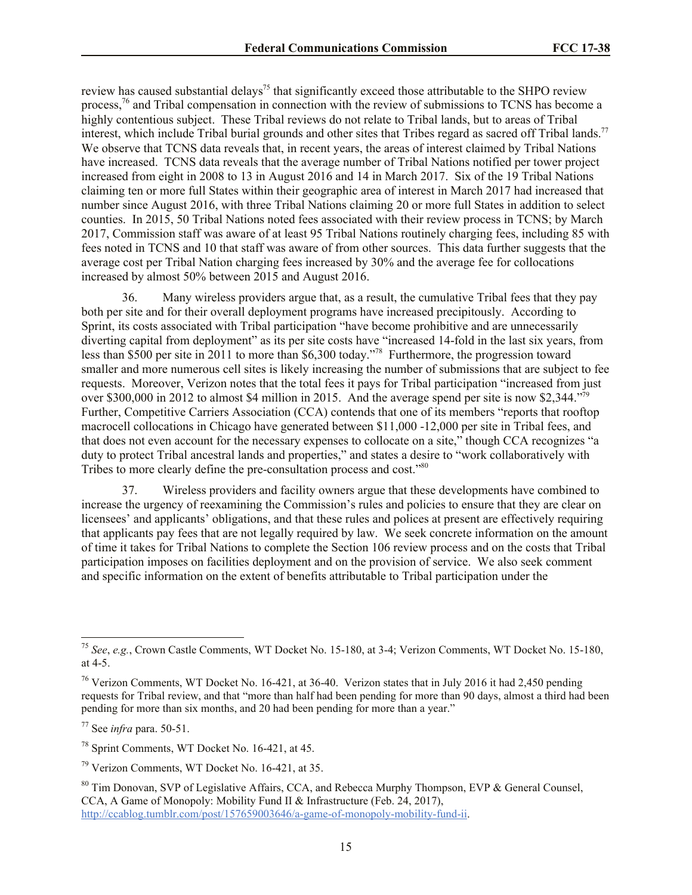review has caused substantial delays<sup>75</sup> that significantly exceed those attributable to the SHPO review process,<sup>76</sup> and Tribal compensation in connection with the review of submissions to TCNS has become a highly contentious subject. These Tribal reviews do not relate to Tribal lands, but to areas of Tribal interest, which include Tribal burial grounds and other sites that Tribes regard as sacred off Tribal lands.<sup>77</sup> We observe that TCNS data reveals that, in recent years, the areas of interest claimed by Tribal Nations have increased. TCNS data reveals that the average number of Tribal Nations notified per tower project increased from eight in 2008 to 13 in August 2016 and 14 in March 2017. Six of the 19 Tribal Nations claiming ten or more full States within their geographic area of interest in March 2017 had increased that number since August 2016, with three Tribal Nations claiming 20 or more full States in addition to select counties. In 2015, 50 Tribal Nations noted fees associated with their review process in TCNS; by March 2017, Commission staff was aware of at least 95 Tribal Nations routinely charging fees, including 85 with fees noted in TCNS and 10 that staff was aware of from other sources. This data further suggests that the average cost per Tribal Nation charging fees increased by 30% and the average fee for collocations increased by almost 50% between 2015 and August 2016.

36. Many wireless providers argue that, as a result, the cumulative Tribal fees that they pay both per site and for their overall deployment programs have increased precipitously. According to Sprint, its costs associated with Tribal participation "have become prohibitive and are unnecessarily diverting capital from deployment" as its per site costs have "increased 14-fold in the last six years, from less than \$500 per site in 2011 to more than \$6,300 today."<sup>78</sup> Furthermore, the progression toward smaller and more numerous cell sites is likely increasing the number of submissions that are subject to fee requests. Moreover, Verizon notes that the total fees it pays for Tribal participation "increased from just over \$300,000 in 2012 to almost \$4 million in 2015. And the average spend per site is now \$2,344."<sup>79</sup> Further, Competitive Carriers Association (CCA) contends that one of its members "reports that rooftop macrocell collocations in Chicago have generated between \$11,000 -12,000 per site in Tribal fees, and that does not even account for the necessary expenses to collocate on a site," though CCA recognizes "a duty to protect Tribal ancestral lands and properties," and states a desire to "work collaboratively with Tribes to more clearly define the pre-consultation process and cost."<sup>80</sup>

37. Wireless providers and facility owners argue that these developments have combined to increase the urgency of reexamining the Commission's rules and policies to ensure that they are clear on licensees' and applicants' obligations, and that these rules and polices at present are effectively requiring that applicants pay fees that are not legally required by law. We seek concrete information on the amount of time it takes for Tribal Nations to complete the Section 106 review process and on the costs that Tribal participation imposes on facilities deployment and on the provision of service. We also seek comment and specific information on the extent of benefits attributable to Tribal participation under the

<sup>77</sup> See *infra* para. 50-51.

<sup>75</sup> *See*, *e.g.*, Crown Castle Comments, WT Docket No. 15-180, at 3-4; Verizon Comments, WT Docket No. 15-180, at 4-5.

<sup>&</sup>lt;sup>76</sup> Verizon Comments, WT Docket No. 16-421, at 36-40. Verizon states that in July 2016 it had 2,450 pending requests for Tribal review, and that "more than half had been pending for more than 90 days, almost a third had been pending for more than six months, and 20 had been pending for more than a year."

<sup>78</sup> Sprint Comments, WT Docket No. 16-421, at 45.

<sup>79</sup> Verizon Comments, WT Docket No. 16-421, at 35.

<sup>&</sup>lt;sup>80</sup> Tim Donovan, SVP of Legislative Affairs, CCA, and Rebecca Murphy Thompson, EVP & General Counsel, CCA, A Game of Monopoly: Mobility Fund II & Infrastructure (Feb. 24, 2017), http://ccablog.tumblr.com/post/157659003646/a-game-of-monopoly-mobility-fund-ii.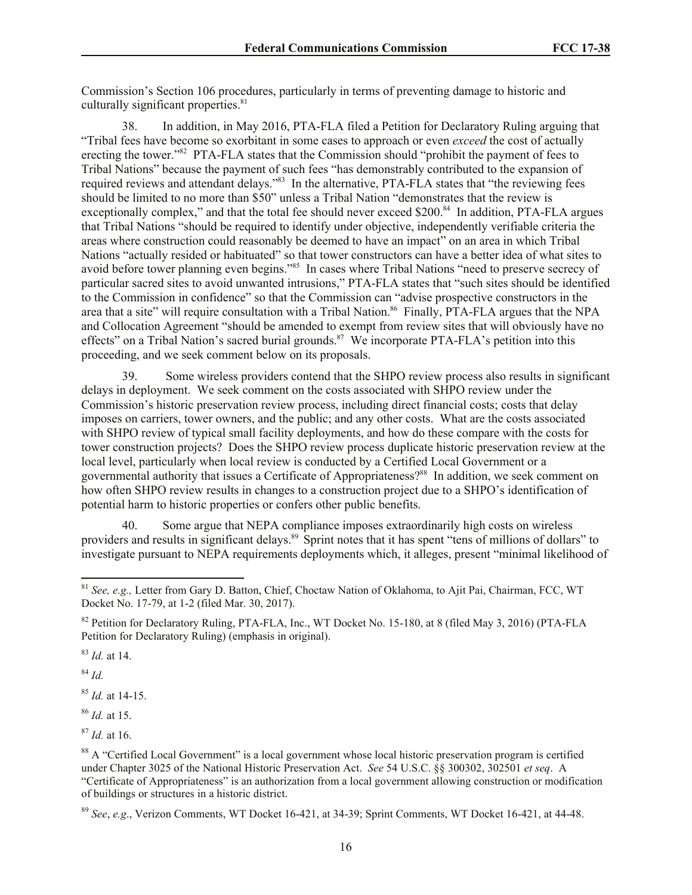Commission's Section 106 procedures, particularly in terms of preventing damage to historic and culturally significant properties. $81$ 

38. In addition, in May 2016, PTA-FLA filed a Petition for Declaratory Ruling arguing that "Tribal fees have become so exorbitant in some cases to approach or even *exceed* the cost of actually erecting the tower."<sup>82</sup> PTA-FLA states that the Commission should "prohibit the payment of fees to Tribal Nations" because the payment of such fees "has demonstrably contributed to the expansion of required reviews and attendant delays."<sup>83</sup> In the alternative, PTA-FLA states that "the reviewing fees should be limited to no more than \$50" unless a Tribal Nation "demonstrates that the review is exceptionally complex," and that the total fee should never exceed \$200.<sup>84</sup> In addition, PTA-FLA argues that Tribal Nations "should be required to identify under objective, independently verifiable criteria the areas where construction could reasonably be deemed to have an impact" on an area in which Tribal Nations "actually resided or habituated" so that tower constructors can have a better idea of what sites to avoid before tower planning even begins."<sup>85</sup> In cases where Tribal Nations "need to preserve secrecy of particular sacred sites to avoid unwanted intrusions," PTA-FLA states that "such sites should be identified to the Commission in confidence" so that the Commission can "advise prospective constructors in the area that a site" will require consultation with a Tribal Nation.<sup>86</sup> Finally, PTA-FLA argues that the NPA and Collocation Agreement "should be amended to exempt from review sites that will obviously have no effects" on a Tribal Nation's sacred burial grounds.<sup>87</sup> We incorporate PTA-FLA's petition into this proceeding, and we seek comment below on its proposals.

39. Some wireless providers contend that the SHPO review process also results in significant delays in deployment. We seek comment on the costs associated with SHPO review under the Commission's historic preservation review process, including direct financial costs; costs that delay imposes on carriers, tower owners, and the public; and any other costs. What are the costs associated with SHPO review of typical small facility deployments, and how do these compare with the costs for tower construction projects? Does the SHPO review process duplicate historic preservation review at the local level, particularly when local review is conducted by a Certified Local Government or a governmental authority that issues a Certificate of Appropriateness?<sup>88</sup> In addition, we seek comment on how often SHPO review results in changes to a construction project due to a SHPO's identification of potential harm to historic properties or confers other public benefits.

40. Some argue that NEPA compliance imposes extraordinarily high costs on wireless providers and results in significant delays.<sup>89</sup> Sprint notes that it has spent "tens of millions of dollars" to investigate pursuant to NEPA requirements deployments which, it alleges, present "minimal likelihood of

<sup>83</sup> *Id.* at 14.

<sup>84</sup> *Id.*

 $\overline{a}$ 

<sup>85</sup> *Id.* at 14-15.

<sup>86</sup> *Id.* at 15.

<sup>87</sup> *Id.* at 16.

<sup>81</sup> *See, e.g.,* Letter from Gary D. Batton, Chief, Choctaw Nation of Oklahoma, to Ajit Pai, Chairman, FCC, WT Docket No. 17-79, at 1-2 (filed Mar. 30, 2017).

<sup>&</sup>lt;sup>82</sup> Petition for Declaratory Ruling, PTA-FLA, Inc., WT Docket No. 15-180, at 8 (filed May 3, 2016) (PTA-FLA Petition for Declaratory Ruling) (emphasis in original).

<sup>&</sup>lt;sup>88</sup> A "Certified Local Government" is a local government whose local historic preservation program is certified under Chapter 3025 of the National Historic Preservation Act. *See* 54 U.S.C. §§ 300302, 302501 *et seq*. A "Certificate of Appropriateness" is an authorization from a local government allowing construction or modification of buildings or structures in a historic district.

<sup>89</sup> *See*, *e.g*., Verizon Comments, WT Docket 16-421, at 34-39; Sprint Comments, WT Docket 16-421, at 44-48.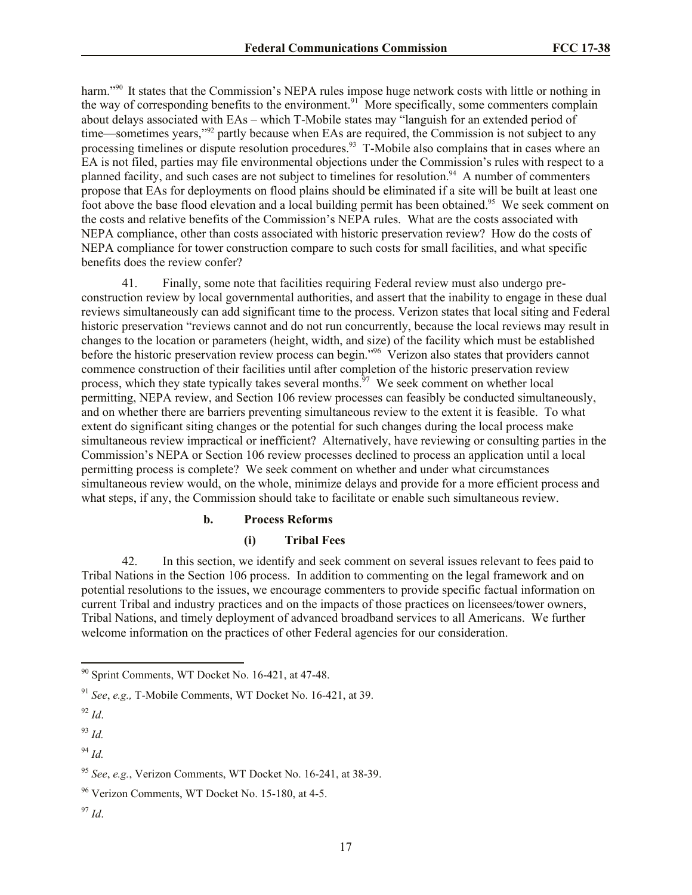harm."<sup>90</sup> It states that the Commission's NEPA rules impose huge network costs with little or nothing in the way of corresponding benefits to the environment.<sup>91</sup> More specifically, some commenters complain about delays associated with EAs – which T-Mobile states may "languish for an extended period of time—sometimes years,<sup>"92</sup> partly because when EAs are required, the Commission is not subject to any processing timelines or dispute resolution procedures.<sup>93</sup> T-Mobile also complains that in cases where an EA is not filed, parties may file environmental objections under the Commission's rules with respect to a planned facility, and such cases are not subject to timelines for resolution.<sup>94</sup> A number of commenters propose that EAs for deployments on flood plains should be eliminated if a site will be built at least one foot above the base flood elevation and a local building permit has been obtained.<sup>95</sup> We seek comment on the costs and relative benefits of the Commission's NEPA rules. What are the costs associated with NEPA compliance, other than costs associated with historic preservation review? How do the costs of NEPA compliance for tower construction compare to such costs for small facilities, and what specific benefits does the review confer?

41. Finally, some note that facilities requiring Federal review must also undergo preconstruction review by local governmental authorities, and assert that the inability to engage in these dual reviews simultaneously can add significant time to the process. Verizon states that local siting and Federal historic preservation "reviews cannot and do not run concurrently, because the local reviews may result in changes to the location or parameters (height, width, and size) of the facility which must be established before the historic preservation review process can begin."<sup>96</sup> Verizon also states that providers cannot commence construction of their facilities until after completion of the historic preservation review process, which they state typically takes several months.<sup>97</sup> We seek comment on whether local permitting, NEPA review, and Section 106 review processes can feasibly be conducted simultaneously, and on whether there are barriers preventing simultaneous review to the extent it is feasible. To what extent do significant siting changes or the potential for such changes during the local process make simultaneous review impractical or inefficient? Alternatively, have reviewing or consulting parties in the Commission's NEPA or Section 106 review processes declined to process an application until a local permitting process is complete? We seek comment on whether and under what circumstances simultaneous review would, on the whole, minimize delays and provide for a more efficient process and what steps, if any, the Commission should take to facilitate or enable such simultaneous review.

### **b. Process Reforms**

### **(i) Tribal Fees**

42. In this section, we identify and seek comment on several issues relevant to fees paid to Tribal Nations in the Section 106 process. In addition to commenting on the legal framework and on potential resolutions to the issues, we encourage commenters to provide specific factual information on current Tribal and industry practices and on the impacts of those practices on licensees/tower owners, Tribal Nations, and timely deployment of advanced broadband services to all Americans. We further welcome information on the practices of other Federal agencies for our consideration.

 $\overline{a}$ 

<sup>94</sup> *Id.*

 $^{97}$  *Id*.

<sup>&</sup>lt;sup>90</sup> Sprint Comments, WT Docket No. 16-421, at 47-48.

<sup>91</sup> *See*, *e.g.,* T-Mobile Comments, WT Docket No. 16-421, at 39.

 $^{92}$  *Id.* 

<sup>93</sup> *Id.*

<sup>95</sup> *See*, *e.g.*, Verizon Comments, WT Docket No. 16-241, at 38-39.

 $96$  Verizon Comments, WT Docket No. 15-180, at 4-5.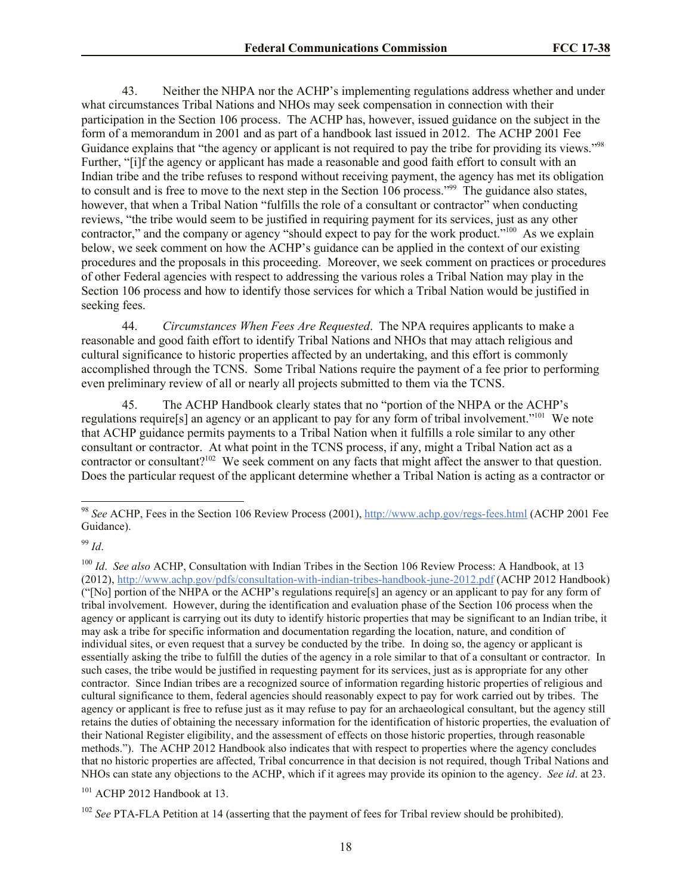43. Neither the NHPA nor the ACHP's implementing regulations address whether and under what circumstances Tribal Nations and NHOs may seek compensation in connection with their participation in the Section 106 process. The ACHP has, however, issued guidance on the subject in the form of a memorandum in 2001 and as part of a handbook last issued in 2012. The ACHP 2001 Fee Guidance explains that "the agency or applicant is not required to pay the tribe for providing its views."<sup>98</sup> Further, "[i]f the agency or applicant has made a reasonable and good faith effort to consult with an Indian tribe and the tribe refuses to respond without receiving payment, the agency has met its obligation to consult and is free to move to the next step in the Section 106 process."<sup>99</sup> The guidance also states, however, that when a Tribal Nation "fulfills the role of a consultant or contractor" when conducting reviews, "the tribe would seem to be justified in requiring payment for its services, just as any other contractor," and the company or agency "should expect to pay for the work product."<sup>100</sup> As we explain below, we seek comment on how the ACHP's guidance can be applied in the context of our existing procedures and the proposals in this proceeding. Moreover, we seek comment on practices or procedures of other Federal agencies with respect to addressing the various roles a Tribal Nation may play in the Section 106 process and how to identify those services for which a Tribal Nation would be justified in seeking fees.

44. *Circumstances When Fees Are Requested*. The NPA requires applicants to make a reasonable and good faith effort to identify Tribal Nations and NHOs that may attach religious and cultural significance to historic properties affected by an undertaking, and this effort is commonly accomplished through the TCNS. Some Tribal Nations require the payment of a fee prior to performing even preliminary review of all or nearly all projects submitted to them via the TCNS.

45. The ACHP Handbook clearly states that no "portion of the NHPA or the ACHP's regulations require<sup>[5]</sup> an agency or an applicant to pay for any form of tribal involvement."<sup>101</sup> We note that ACHP guidance permits payments to a Tribal Nation when it fulfills a role similar to any other consultant or contractor. At what point in the TCNS process, if any, might a Tribal Nation act as a contractor or consultant?<sup>102</sup> We seek comment on any facts that might affect the answer to that question. Does the particular request of the applicant determine whether a Tribal Nation is acting as a contractor or

<sup>99</sup> *Id*.

 $\overline{a}$ 

<sup>100</sup> *Id. See also* ACHP, Consultation with Indian Tribes in the Section 106 Review Process: A Handbook, at 13 (2012), http://www.achp.gov/pdfs/consultation-with-indian-tribes-handbook-june-2012.pdf (ACHP 2012 Handbook) ("[No] portion of the NHPA or the ACHP's regulations require[s] an agency or an applicant to pay for any form of tribal involvement. However, during the identification and evaluation phase of the Section 106 process when the agency or applicant is carrying out its duty to identify historic properties that may be significant to an Indian tribe, it may ask a tribe for specific information and documentation regarding the location, nature, and condition of individual sites, or even request that a survey be conducted by the tribe. In doing so, the agency or applicant is essentially asking the tribe to fulfill the duties of the agency in a role similar to that of a consultant or contractor. In such cases, the tribe would be justified in requesting payment for its services, just as is appropriate for any other contractor. Since Indian tribes are a recognized source of information regarding historic properties of religious and cultural significance to them, federal agencies should reasonably expect to pay for work carried out by tribes. The agency or applicant is free to refuse just as it may refuse to pay for an archaeological consultant, but the agency still retains the duties of obtaining the necessary information for the identification of historic properties, the evaluation of their National Register eligibility, and the assessment of effects on those historic properties, through reasonable methods."). The ACHP 2012 Handbook also indicates that with respect to properties where the agency concludes that no historic properties are affected, Tribal concurrence in that decision is not required, though Tribal Nations and NHOs can state any objections to the ACHP, which if it agrees may provide its opinion to the agency. *See id*. at 23.

<sup>101</sup> ACHP 2012 Handbook at 13.

<sup>98</sup> *See* ACHP, Fees in the Section 106 Review Process (2001), http://www.achp.gov/regs-fees.html (ACHP 2001 Fee Guidance).

<sup>&</sup>lt;sup>102</sup> *See* PTA-FLA Petition at 14 (asserting that the payment of fees for Tribal review should be prohibited).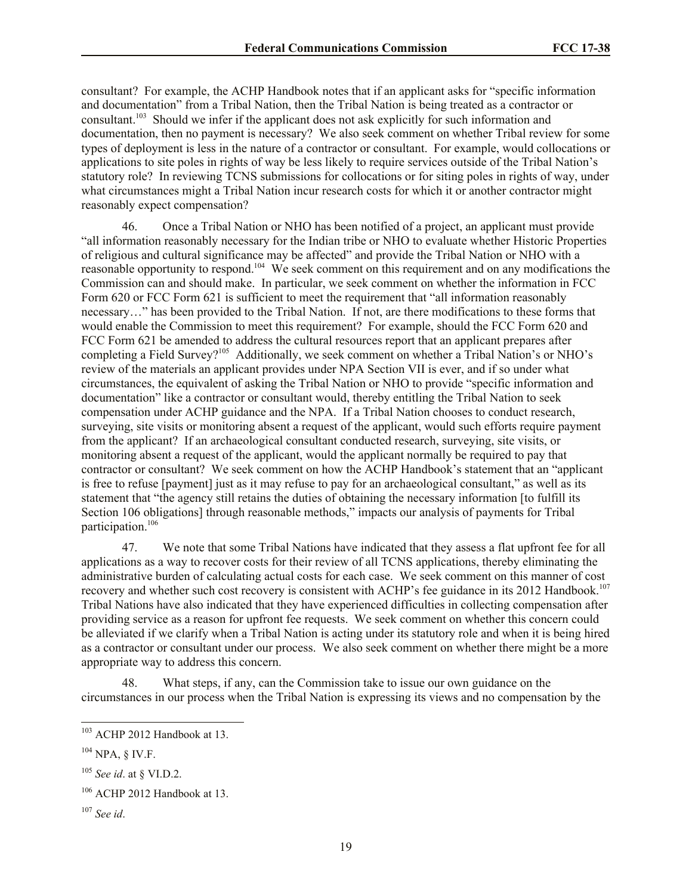consultant? For example, the ACHP Handbook notes that if an applicant asks for "specific information and documentation" from a Tribal Nation, then the Tribal Nation is being treated as a contractor or consultant.<sup>103</sup> Should we infer if the applicant does not ask explicitly for such information and documentation, then no payment is necessary? We also seek comment on whether Tribal review for some types of deployment is less in the nature of a contractor or consultant. For example, would collocations or applications to site poles in rights of way be less likely to require services outside of the Tribal Nation's statutory role? In reviewing TCNS submissions for collocations or for siting poles in rights of way, under what circumstances might a Tribal Nation incur research costs for which it or another contractor might reasonably expect compensation?

46. Once a Tribal Nation or NHO has been notified of a project, an applicant must provide "all information reasonably necessary for the Indian tribe or NHO to evaluate whether Historic Properties of religious and cultural significance may be affected" and provide the Tribal Nation or NHO with a reasonable opportunity to respond.<sup>104</sup> We seek comment on this requirement and on any modifications the Commission can and should make. In particular, we seek comment on whether the information in FCC Form 620 or FCC Form 621 is sufficient to meet the requirement that "all information reasonably necessary…" has been provided to the Tribal Nation. If not, are there modifications to these forms that would enable the Commission to meet this requirement? For example, should the FCC Form 620 and FCC Form 621 be amended to address the cultural resources report that an applicant prepares after completing a Field Survey?<sup>105</sup> Additionally, we seek comment on whether a Tribal Nation's or NHO's review of the materials an applicant provides under NPA Section VII is ever, and if so under what circumstances, the equivalent of asking the Tribal Nation or NHO to provide "specific information and documentation" like a contractor or consultant would, thereby entitling the Tribal Nation to seek compensation under ACHP guidance and the NPA. If a Tribal Nation chooses to conduct research, surveying, site visits or monitoring absent a request of the applicant, would such efforts require payment from the applicant? If an archaeological consultant conducted research, surveying, site visits, or monitoring absent a request of the applicant, would the applicant normally be required to pay that contractor or consultant? We seek comment on how the ACHP Handbook's statement that an "applicant is free to refuse [payment] just as it may refuse to pay for an archaeological consultant," as well as its statement that "the agency still retains the duties of obtaining the necessary information [to fulfill its Section 106 obligations] through reasonable methods," impacts our analysis of payments for Tribal participation. 106

47. We note that some Tribal Nations have indicated that they assess a flat upfront fee for all applications as a way to recover costs for their review of all TCNS applications, thereby eliminating the administrative burden of calculating actual costs for each case. We seek comment on this manner of cost recovery and whether such cost recovery is consistent with ACHP's fee guidance in its 2012 Handbook.<sup>107</sup> Tribal Nations have also indicated that they have experienced difficulties in collecting compensation after providing service as a reason for upfront fee requests. We seek comment on whether this concern could be alleviated if we clarify when a Tribal Nation is acting under its statutory role and when it is being hired as a contractor or consultant under our process. We also seek comment on whether there might be a more appropriate way to address this concern.

48. What steps, if any, can the Commission take to issue our own guidance on the circumstances in our process when the Tribal Nation is expressing its views and no compensation by the

l

<sup>&</sup>lt;sup>103</sup> ACHP 2012 Handbook at 13.

 $104$  NPA,  $8$  IV.F.

<sup>105</sup> *See id*. at § VI.D.2.

 $106$  ACHP 2012 Handbook at 13.

<sup>107</sup> *See id*.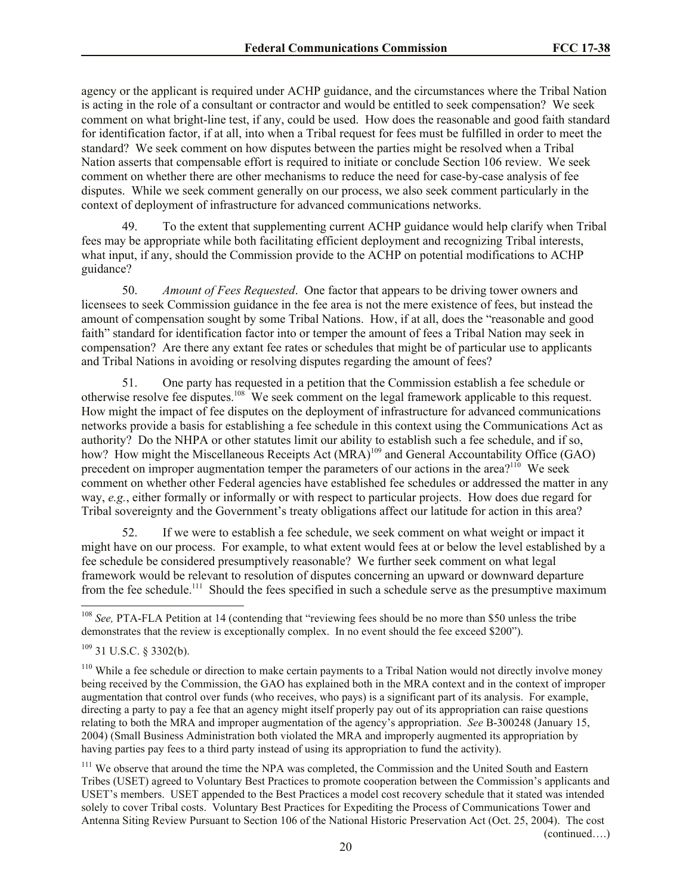agency or the applicant is required under ACHP guidance, and the circumstances where the Tribal Nation is acting in the role of a consultant or contractor and would be entitled to seek compensation? We seek comment on what bright-line test, if any, could be used. How does the reasonable and good faith standard for identification factor, if at all, into when a Tribal request for fees must be fulfilled in order to meet the standard? We seek comment on how disputes between the parties might be resolved when a Tribal Nation asserts that compensable effort is required to initiate or conclude Section 106 review. We seek comment on whether there are other mechanisms to reduce the need for case-by-case analysis of fee disputes. While we seek comment generally on our process, we also seek comment particularly in the context of deployment of infrastructure for advanced communications networks.

49. To the extent that supplementing current ACHP guidance would help clarify when Tribal fees may be appropriate while both facilitating efficient deployment and recognizing Tribal interests, what input, if any, should the Commission provide to the ACHP on potential modifications to ACHP guidance?

50. *Amount of Fees Requested*. One factor that appears to be driving tower owners and licensees to seek Commission guidance in the fee area is not the mere existence of fees, but instead the amount of compensation sought by some Tribal Nations. How, if at all, does the "reasonable and good faith" standard for identification factor into or temper the amount of fees a Tribal Nation may seek in compensation? Are there any extant fee rates or schedules that might be of particular use to applicants and Tribal Nations in avoiding or resolving disputes regarding the amount of fees?

51. One party has requested in a petition that the Commission establish a fee schedule or otherwise resolve fee disputes.<sup>108</sup> We seek comment on the legal framework applicable to this request. How might the impact of fee disputes on the deployment of infrastructure for advanced communications networks provide a basis for establishing a fee schedule in this context using the Communications Act as authority? Do the NHPA or other statutes limit our ability to establish such a fee schedule, and if so, how? How might the Miscellaneous Receipts Act (MRA)<sup>109</sup> and General Accountability Office (GAO) precedent on improper augmentation temper the parameters of our actions in the area?<sup>110</sup> We seek comment on whether other Federal agencies have established fee schedules or addressed the matter in any way, *e.g.*, either formally or informally or with respect to particular projects. How does due regard for Tribal sovereignty and the Government's treaty obligations affect our latitude for action in this area?

52. If we were to establish a fee schedule, we seek comment on what weight or impact it might have on our process. For example, to what extent would fees at or below the level established by a fee schedule be considered presumptively reasonable? We further seek comment on what legal framework would be relevant to resolution of disputes concerning an upward or downward departure from the fee schedule.<sup>111</sup> Should the fees specified in such a schedule serve as the presumptive maximum

 $\overline{\phantom{a}}$ 

<sup>111</sup> We observe that around the time the NPA was completed, the Commission and the United South and Eastern Tribes (USET) agreed to Voluntary Best Practices to promote cooperation between the Commission's applicants and USET's members. USET appended to the Best Practices a model cost recovery schedule that it stated was intended solely to cover Tribal costs. Voluntary Best Practices for Expediting the Process of Communications Tower and Antenna Siting Review Pursuant to Section 106 of the National Historic Preservation Act (Oct. 25, 2004). The cost (continued….)

<sup>&</sup>lt;sup>108</sup> *See*, PTA-FLA Petition at 14 (contending that "reviewing fees should be no more than \$50 unless the tribe demonstrates that the review is exceptionally complex. In no event should the fee exceed \$200").

 $109$  31 U.S.C. § 3302(b).

<sup>&</sup>lt;sup>110</sup> While a fee schedule or direction to make certain payments to a Tribal Nation would not directly involve money being received by the Commission, the GAO has explained both in the MRA context and in the context of improper augmentation that control over funds (who receives, who pays) is a significant part of its analysis. For example, directing a party to pay a fee that an agency might itself properly pay out of its appropriation can raise questions relating to both the MRA and improper augmentation of the agency's appropriation. *See* B-300248 (January 15, 2004) (Small Business Administration both violated the MRA and improperly augmented its appropriation by having parties pay fees to a third party instead of using its appropriation to fund the activity).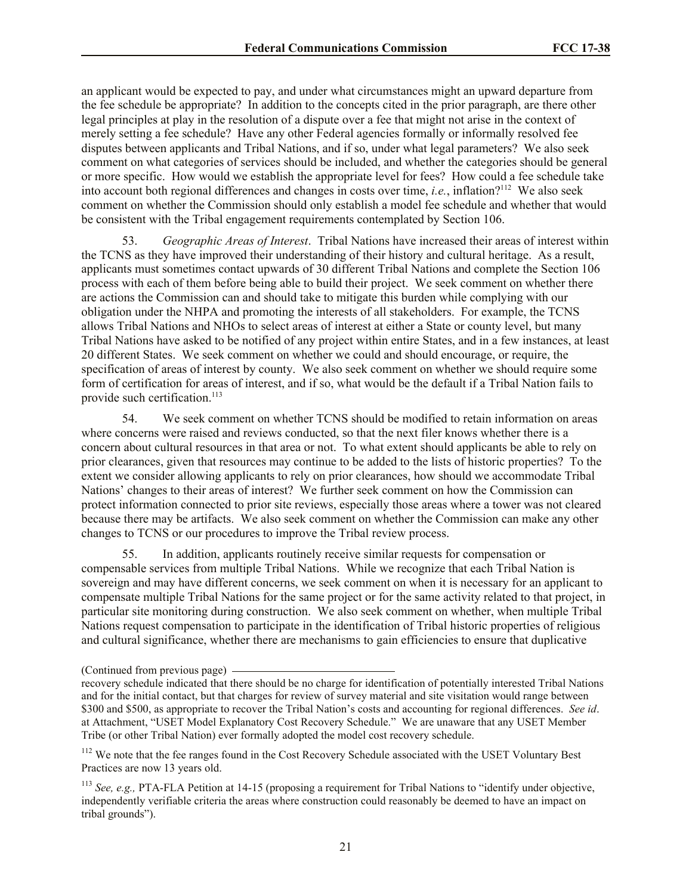an applicant would be expected to pay, and under what circumstances might an upward departure from the fee schedule be appropriate? In addition to the concepts cited in the prior paragraph, are there other legal principles at play in the resolution of a dispute over a fee that might not arise in the context of merely setting a fee schedule? Have any other Federal agencies formally or informally resolved fee disputes between applicants and Tribal Nations, and if so, under what legal parameters? We also seek comment on what categories of services should be included, and whether the categories should be general or more specific. How would we establish the appropriate level for fees? How could a fee schedule take into account both regional differences and changes in costs over time, *i.e.*, inflation?<sup>112</sup> We also seek comment on whether the Commission should only establish a model fee schedule and whether that would be consistent with the Tribal engagement requirements contemplated by Section 106.

53. *Geographic Areas of Interest*. Tribal Nations have increased their areas of interest within the TCNS as they have improved their understanding of their history and cultural heritage. As a result, applicants must sometimes contact upwards of 30 different Tribal Nations and complete the Section 106 process with each of them before being able to build their project. We seek comment on whether there are actions the Commission can and should take to mitigate this burden while complying with our obligation under the NHPA and promoting the interests of all stakeholders. For example, the TCNS allows Tribal Nations and NHOs to select areas of interest at either a State or county level, but many Tribal Nations have asked to be notified of any project within entire States, and in a few instances, at least 20 different States. We seek comment on whether we could and should encourage, or require, the specification of areas of interest by county. We also seek comment on whether we should require some form of certification for areas of interest, and if so, what would be the default if a Tribal Nation fails to provide such certification.<sup>113</sup>

54. We seek comment on whether TCNS should be modified to retain information on areas where concerns were raised and reviews conducted, so that the next filer knows whether there is a concern about cultural resources in that area or not. To what extent should applicants be able to rely on prior clearances, given that resources may continue to be added to the lists of historic properties? To the extent we consider allowing applicants to rely on prior clearances, how should we accommodate Tribal Nations' changes to their areas of interest? We further seek comment on how the Commission can protect information connected to prior site reviews, especially those areas where a tower was not cleared because there may be artifacts. We also seek comment on whether the Commission can make any other changes to TCNS or our procedures to improve the Tribal review process.

55. In addition, applicants routinely receive similar requests for compensation or compensable services from multiple Tribal Nations. While we recognize that each Tribal Nation is sovereign and may have different concerns, we seek comment on when it is necessary for an applicant to compensate multiple Tribal Nations for the same project or for the same activity related to that project, in particular site monitoring during construction. We also seek comment on whether, when multiple Tribal Nations request compensation to participate in the identification of Tribal historic properties of religious and cultural significance, whether there are mechanisms to gain efficiencies to ensure that duplicative

<sup>(</sup>Continued from previous page)

recovery schedule indicated that there should be no charge for identification of potentially interested Tribal Nations and for the initial contact, but that charges for review of survey material and site visitation would range between \$300 and \$500, as appropriate to recover the Tribal Nation's costs and accounting for regional differences. *See id*. at Attachment, "USET Model Explanatory Cost Recovery Schedule." We are unaware that any USET Member Tribe (or other Tribal Nation) ever formally adopted the model cost recovery schedule.

<sup>&</sup>lt;sup>112</sup> We note that the fee ranges found in the Cost Recovery Schedule associated with the USET Voluntary Best Practices are now 13 years old.

<sup>&</sup>lt;sup>113</sup> *See, e.g., PTA-FLA Petition at 14-15 (proposing a requirement for Tribal Nations to "identify under objective,* independently verifiable criteria the areas where construction could reasonably be deemed to have an impact on tribal grounds").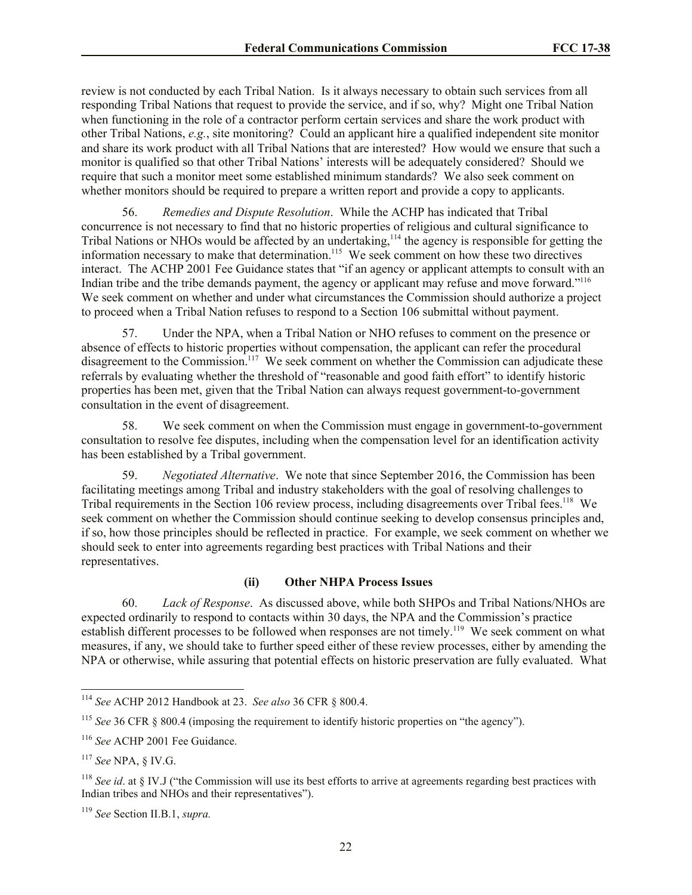review is not conducted by each Tribal Nation. Is it always necessary to obtain such services from all responding Tribal Nations that request to provide the service, and if so, why? Might one Tribal Nation when functioning in the role of a contractor perform certain services and share the work product with other Tribal Nations, *e.g.*, site monitoring? Could an applicant hire a qualified independent site monitor and share its work product with all Tribal Nations that are interested? How would we ensure that such a monitor is qualified so that other Tribal Nations' interests will be adequately considered? Should we require that such a monitor meet some established minimum standards? We also seek comment on whether monitors should be required to prepare a written report and provide a copy to applicants.

56. *Remedies and Dispute Resolution*. While the ACHP has indicated that Tribal concurrence is not necessary to find that no historic properties of religious and cultural significance to Tribal Nations or NHOs would be affected by an undertaking,<sup>114</sup> the agency is responsible for getting the information necessary to make that determination.<sup>115</sup> We seek comment on how these two directives interact. The ACHP 2001 Fee Guidance states that "if an agency or applicant attempts to consult with an Indian tribe and the tribe demands payment, the agency or applicant may refuse and move forward."<sup>116</sup> We seek comment on whether and under what circumstances the Commission should authorize a project to proceed when a Tribal Nation refuses to respond to a Section 106 submittal without payment.

57. Under the NPA, when a Tribal Nation or NHO refuses to comment on the presence or absence of effects to historic properties without compensation, the applicant can refer the procedural disagreement to the Commission.<sup>117</sup> We seek comment on whether the Commission can adjudicate these referrals by evaluating whether the threshold of "reasonable and good faith effort" to identify historic properties has been met, given that the Tribal Nation can always request government-to-government consultation in the event of disagreement.

58. We seek comment on when the Commission must engage in government-to-government consultation to resolve fee disputes, including when the compensation level for an identification activity has been established by a Tribal government.

59. *Negotiated Alternative*. We note that since September 2016, the Commission has been facilitating meetings among Tribal and industry stakeholders with the goal of resolving challenges to Tribal requirements in the Section 106 review process, including disagreements over Tribal fees.<sup>118</sup> We seek comment on whether the Commission should continue seeking to develop consensus principles and, if so, how those principles should be reflected in practice. For example, we seek comment on whether we should seek to enter into agreements regarding best practices with Tribal Nations and their representatives.

#### **(ii) Other NHPA Process Issues**

60. *Lack of Response*. As discussed above, while both SHPOs and Tribal Nations/NHOs are expected ordinarily to respond to contacts within 30 days, the NPA and the Commission's practice establish different processes to be followed when responses are not timely.<sup>119</sup> We seek comment on what measures, if any, we should take to further speed either of these review processes, either by amending the NPA or otherwise, while assuring that potential effects on historic preservation are fully evaluated. What

l

<sup>114</sup> *See* ACHP 2012 Handbook at 23. *See also* 36 CFR § 800.4.

<sup>115</sup> *See* 36 CFR § 800.4 (imposing the requirement to identify historic properties on "the agency").

<sup>&</sup>lt;sup>116</sup> See ACHP 2001 Fee Guidance.

<sup>117</sup> *See* NPA, § IV.G.

<sup>118</sup> *See id*. at § IV.J ("the Commission will use its best efforts to arrive at agreements regarding best practices with Indian tribes and NHOs and their representatives").

<sup>119</sup> *See* Section II.B.1, *supra.*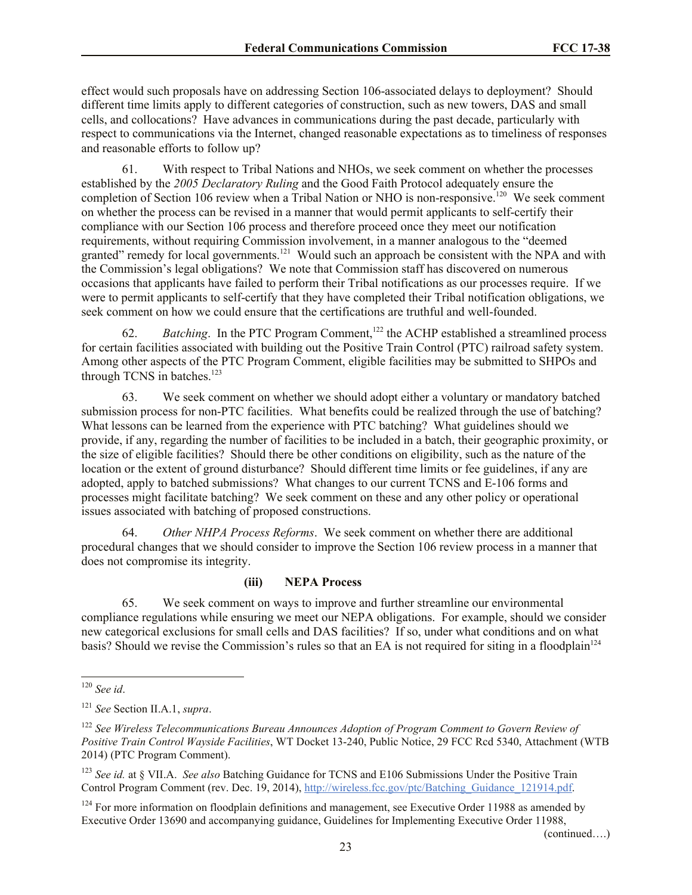effect would such proposals have on addressing Section 106-associated delays to deployment? Should different time limits apply to different categories of construction, such as new towers, DAS and small cells, and collocations? Have advances in communications during the past decade, particularly with respect to communications via the Internet, changed reasonable expectations as to timeliness of responses and reasonable efforts to follow up?

61. With respect to Tribal Nations and NHOs, we seek comment on whether the processes established by the *2005 Declaratory Ruling* and the Good Faith Protocol adequately ensure the completion of Section 106 review when a Tribal Nation or NHO is non-responsive.<sup>120</sup> We seek comment on whether the process can be revised in a manner that would permit applicants to self-certify their compliance with our Section 106 process and therefore proceed once they meet our notification requirements, without requiring Commission involvement, in a manner analogous to the "deemed granted" remedy for local governments.<sup>121</sup> Would such an approach be consistent with the NPA and with the Commission's legal obligations? We note that Commission staff has discovered on numerous occasions that applicants have failed to perform their Tribal notifications as our processes require. If we were to permit applicants to self-certify that they have completed their Tribal notification obligations, we seek comment on how we could ensure that the certifications are truthful and well-founded.

62. *Batching*. In the PTC Program Comment,<sup>122</sup> the ACHP established a streamlined process for certain facilities associated with building out the Positive Train Control (PTC) railroad safety system. Among other aspects of the PTC Program Comment, eligible facilities may be submitted to SHPOs and through TCNS in batches.<sup>123</sup>

63. We seek comment on whether we should adopt either a voluntary or mandatory batched submission process for non-PTC facilities. What benefits could be realized through the use of batching? What lessons can be learned from the experience with PTC batching? What guidelines should we provide, if any, regarding the number of facilities to be included in a batch, their geographic proximity, or the size of eligible facilities? Should there be other conditions on eligibility, such as the nature of the location or the extent of ground disturbance? Should different time limits or fee guidelines, if any are adopted, apply to batched submissions? What changes to our current TCNS and E-106 forms and processes might facilitate batching? We seek comment on these and any other policy or operational issues associated with batching of proposed constructions.

64. *Other NHPA Process Reforms*. We seek comment on whether there are additional procedural changes that we should consider to improve the Section 106 review process in a manner that does not compromise its integrity.

# **(iii) NEPA Process**

65. We seek comment on ways to improve and further streamline our environmental compliance regulations while ensuring we meet our NEPA obligations. For example, should we consider new categorical exclusions for small cells and DAS facilities? If so, under what conditions and on what basis? Should we revise the Commission's rules so that an EA is not required for siting in a floodplain<sup>124</sup>

 $\overline{\phantom{a}}$ 

(continued….)

<sup>120</sup> *See id*.

<sup>121</sup> *See* Section II.A.1, *supra*.

<sup>122</sup> *See Wireless Telecommunications Bureau Announces Adoption of Program Comment to Govern Review of Positive Train Control Wayside Facilities*, WT Docket 13-240, Public Notice, 29 FCC Rcd 5340, Attachment (WTB 2014) (PTC Program Comment).

<sup>123</sup> *See id.* at § VII.A. *See also* Batching Guidance for TCNS and E106 Submissions Under the Positive Train Control Program Comment (rev. Dec. 19, 2014), http://wireless.fcc.gov/ptc/Batching\_Guidance\_121914.pdf.

<sup>&</sup>lt;sup>124</sup> For more information on floodplain definitions and management, see Executive Order 11988 as amended by Executive Order 13690 and accompanying guidance, Guidelines for Implementing Executive Order 11988,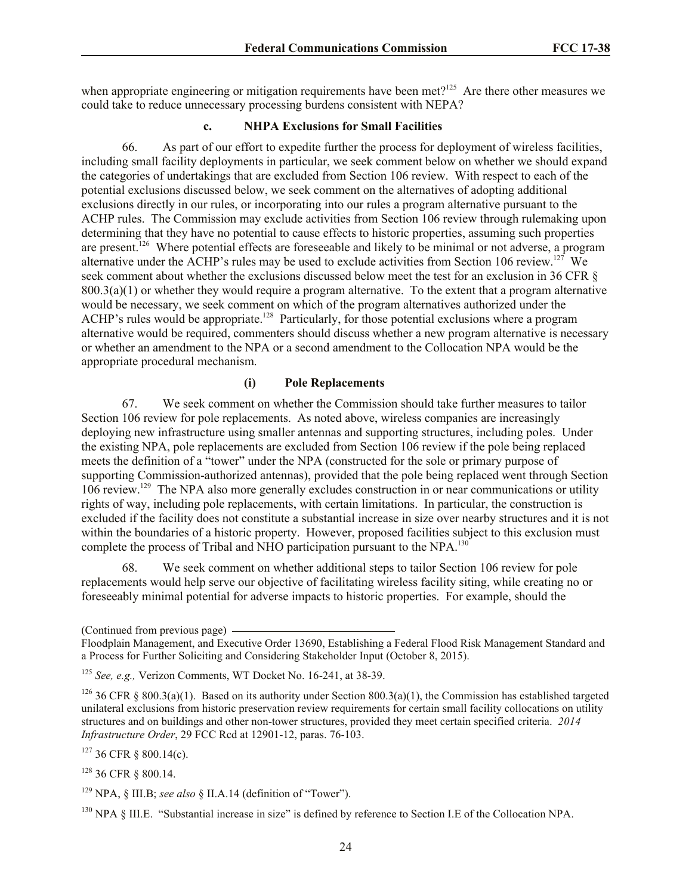when appropriate engineering or mitigation requirements have been met? $125$  Are there other measures we could take to reduce unnecessary processing burdens consistent with NEPA?

#### **c. NHPA Exclusions for Small Facilities**

66. As part of our effort to expedite further the process for deployment of wireless facilities, including small facility deployments in particular, we seek comment below on whether we should expand the categories of undertakings that are excluded from Section 106 review. With respect to each of the potential exclusions discussed below, we seek comment on the alternatives of adopting additional exclusions directly in our rules, or incorporating into our rules a program alternative pursuant to the ACHP rules. The Commission may exclude activities from Section 106 review through rulemaking upon determining that they have no potential to cause effects to historic properties, assuming such properties are present.<sup>126</sup> Where potential effects are foreseeable and likely to be minimal or not adverse, a program alternative under the ACHP's rules may be used to exclude activities from Section 106 review.<sup>127</sup> We seek comment about whether the exclusions discussed below meet the test for an exclusion in 36 CFR  $\&$  $800.3(a)(1)$  or whether they would require a program alternative. To the extent that a program alternative would be necessary, we seek comment on which of the program alternatives authorized under the ACHP's rules would be appropriate.<sup>128</sup> Particularly, for those potential exclusions where a program alternative would be required, commenters should discuss whether a new program alternative is necessary or whether an amendment to the NPA or a second amendment to the Collocation NPA would be the appropriate procedural mechanism.

### **(i) Pole Replacements**

67. We seek comment on whether the Commission should take further measures to tailor Section 106 review for pole replacements. As noted above, wireless companies are increasingly deploying new infrastructure using smaller antennas and supporting structures, including poles. Under the existing NPA, pole replacements are excluded from Section 106 review if the pole being replaced meets the definition of a "tower" under the NPA (constructed for the sole or primary purpose of supporting Commission-authorized antennas), provided that the pole being replaced went through Section 106 review.<sup>129</sup> The NPA also more generally excludes construction in or near communications or utility rights of way, including pole replacements, with certain limitations. In particular, the construction is excluded if the facility does not constitute a substantial increase in size over nearby structures and it is not within the boundaries of a historic property. However, proposed facilities subject to this exclusion must complete the process of Tribal and NHO participation pursuant to the NPA.<sup>130</sup>

68. We seek comment on whether additional steps to tailor Section 106 review for pole replacements would help serve our objective of facilitating wireless facility siting, while creating no or foreseeably minimal potential for adverse impacts to historic properties. For example, should the

 $127$  36 CFR  $\&$  800.14(c).

<sup>128</sup> 36 CFR § 800.14.

<sup>129</sup> NPA, § III.B; *see also* § II.A.14 (definition of "Tower").

<sup>130</sup> NPA § III.E. "Substantial increase in size" is defined by reference to Section I.E of the Collocation NPA.

<sup>(</sup>Continued from previous page)

Floodplain Management, and Executive Order 13690, Establishing a Federal Flood Risk Management Standard and a Process for Further Soliciting and Considering Stakeholder Input (October 8, 2015).

<sup>125</sup> *See, e.g.,* Verizon Comments, WT Docket No. 16-241, at 38-39.

<sup>&</sup>lt;sup>126</sup> 36 CFR § 800.3(a)(1). Based on its authority under Section 800.3(a)(1), the Commission has established targeted unilateral exclusions from historic preservation review requirements for certain small facility collocations on utility structures and on buildings and other non-tower structures, provided they meet certain specified criteria. *2014 Infrastructure Order*, 29 FCC Rcd at 12901-12, paras. 76-103.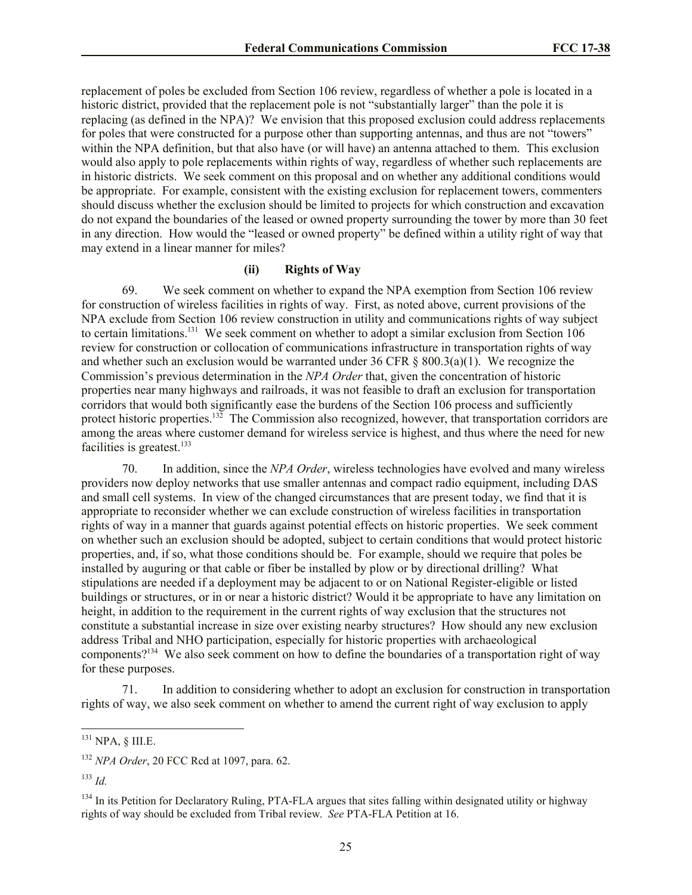replacement of poles be excluded from Section 106 review, regardless of whether a pole is located in a historic district, provided that the replacement pole is not "substantially larger" than the pole it is replacing (as defined in the NPA)? We envision that this proposed exclusion could address replacements for poles that were constructed for a purpose other than supporting antennas, and thus are not "towers" within the NPA definition, but that also have (or will have) an antenna attached to them. This exclusion would also apply to pole replacements within rights of way, regardless of whether such replacements are in historic districts. We seek comment on this proposal and on whether any additional conditions would be appropriate. For example, consistent with the existing exclusion for replacement towers, commenters should discuss whether the exclusion should be limited to projects for which construction and excavation do not expand the boundaries of the leased or owned property surrounding the tower by more than 30 feet in any direction. How would the "leased or owned property" be defined within a utility right of way that may extend in a linear manner for miles?

### **(ii) Rights of Way**

69. We seek comment on whether to expand the NPA exemption from Section 106 review for construction of wireless facilities in rights of way. First, as noted above, current provisions of the NPA exclude from Section 106 review construction in utility and communications rights of way subject to certain limitations.<sup>131</sup> We seek comment on whether to adopt a similar exclusion from Section 106 review for construction or collocation of communications infrastructure in transportation rights of way and whether such an exclusion would be warranted under 36 CFR  $\&$  800.3(a)(1). We recognize the Commission's previous determination in the *NPA Order* that, given the concentration of historic properties near many highways and railroads, it was not feasible to draft an exclusion for transportation corridors that would both significantly ease the burdens of the Section 106 process and sufficiently protect historic properties.<sup>132</sup> The Commission also recognized, however, that transportation corridors are among the areas where customer demand for wireless service is highest, and thus where the need for new facilities is greatest.<sup>133</sup>

70. In addition, since the *NPA Order*, wireless technologies have evolved and many wireless providers now deploy networks that use smaller antennas and compact radio equipment, including DAS and small cell systems. In view of the changed circumstances that are present today, we find that it is appropriate to reconsider whether we can exclude construction of wireless facilities in transportation rights of way in a manner that guards against potential effects on historic properties. We seek comment on whether such an exclusion should be adopted, subject to certain conditions that would protect historic properties, and, if so, what those conditions should be. For example, should we require that poles be installed by auguring or that cable or fiber be installed by plow or by directional drilling? What stipulations are needed if a deployment may be adjacent to or on National Register-eligible or listed buildings or structures, or in or near a historic district? Would it be appropriate to have any limitation on height, in addition to the requirement in the current rights of way exclusion that the structures not constitute a substantial increase in size over existing nearby structures? How should any new exclusion address Tribal and NHO participation, especially for historic properties with archaeological components?<sup>134</sup> We also seek comment on how to define the boundaries of a transportation right of way for these purposes.

71. In addition to considering whether to adopt an exclusion for construction in transportation rights of way, we also seek comment on whether to amend the current right of way exclusion to apply

l

 $^{131}$  NPA, § III.E.

<sup>132</sup> *NPA Order*, 20 FCC Rcd at 1097, para. 62.

<sup>133</sup> *Id.*

<sup>&</sup>lt;sup>134</sup> In its Petition for Declaratory Ruling, PTA-FLA argues that sites falling within designated utility or highway rights of way should be excluded from Tribal review. *See* PTA-FLA Petition at 16.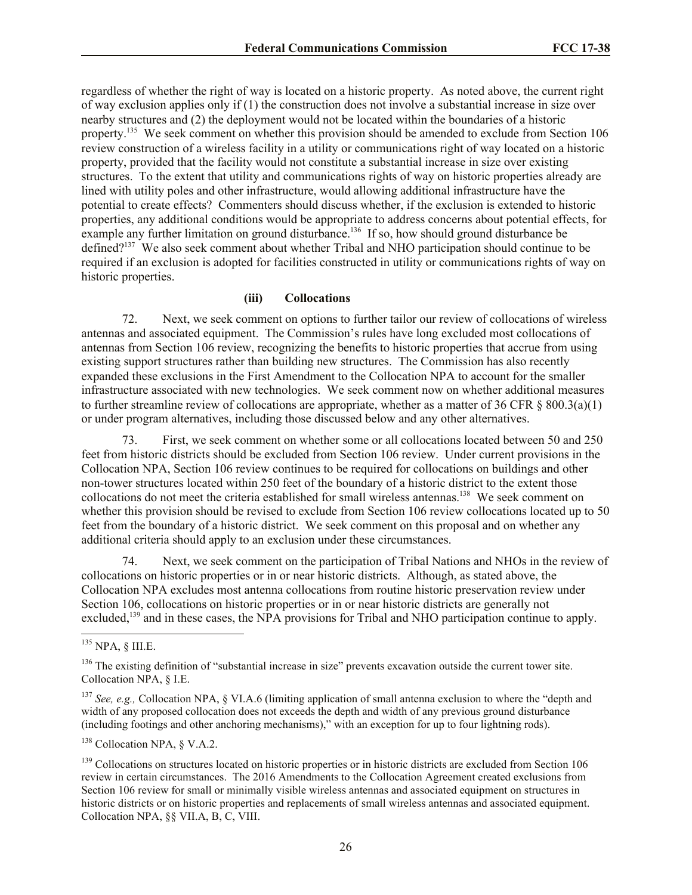regardless of whether the right of way is located on a historic property. As noted above, the current right of way exclusion applies only if (1) the construction does not involve a substantial increase in size over nearby structures and (2) the deployment would not be located within the boundaries of a historic property.<sup>135</sup> We seek comment on whether this provision should be amended to exclude from Section 106 review construction of a wireless facility in a utility or communications right of way located on a historic property, provided that the facility would not constitute a substantial increase in size over existing structures. To the extent that utility and communications rights of way on historic properties already are lined with utility poles and other infrastructure, would allowing additional infrastructure have the potential to create effects? Commenters should discuss whether, if the exclusion is extended to historic properties, any additional conditions would be appropriate to address concerns about potential effects, for example any further limitation on ground disturbance.<sup>136</sup> If so, how should ground disturbance be defined?<sup>137</sup> We also seek comment about whether Tribal and NHO participation should continue to be required if an exclusion is adopted for facilities constructed in utility or communications rights of way on historic properties.

### **(iii) Collocations**

72. Next, we seek comment on options to further tailor our review of collocations of wireless antennas and associated equipment. The Commission's rules have long excluded most collocations of antennas from Section 106 review, recognizing the benefits to historic properties that accrue from using existing support structures rather than building new structures. The Commission has also recently expanded these exclusions in the First Amendment to the Collocation NPA to account for the smaller infrastructure associated with new technologies. We seek comment now on whether additional measures to further streamline review of collocations are appropriate, whether as a matter of 36 CFR § 800.3(a)(1) or under program alternatives, including those discussed below and any other alternatives.

73. First, we seek comment on whether some or all collocations located between 50 and 250 feet from historic districts should be excluded from Section 106 review. Under current provisions in the Collocation NPA, Section 106 review continues to be required for collocations on buildings and other non-tower structures located within 250 feet of the boundary of a historic district to the extent those collocations do not meet the criteria established for small wireless antennas.<sup>138</sup> We seek comment on whether this provision should be revised to exclude from Section 106 review collocations located up to 50 feet from the boundary of a historic district. We seek comment on this proposal and on whether any additional criteria should apply to an exclusion under these circumstances.

74. Next, we seek comment on the participation of Tribal Nations and NHOs in the review of collocations on historic properties or in or near historic districts. Although, as stated above, the Collocation NPA excludes most antenna collocations from routine historic preservation review under Section 106, collocations on historic properties or in or near historic districts are generally not excluded,<sup>139</sup> and in these cases, the NPA provisions for Tribal and NHO participation continue to apply.

 $\overline{\phantom{a}}$ 

<sup>138</sup> Collocation NPA, § V.A.2.

 $^{135}$  NPA, § III.E.

<sup>&</sup>lt;sup>136</sup> The existing definition of "substantial increase in size" prevents excavation outside the current tower site. Collocation NPA, § I.E.

<sup>137</sup> *See, e.g.,* Collocation NPA, § VI.A.6 (limiting application of small antenna exclusion to where the "depth and width of any proposed collocation does not exceeds the depth and width of any previous ground disturbance (including footings and other anchoring mechanisms)," with an exception for up to four lightning rods).

<sup>&</sup>lt;sup>139</sup> Collocations on structures located on historic properties or in historic districts are excluded from Section 106 review in certain circumstances. The 2016 Amendments to the Collocation Agreement created exclusions from Section 106 review for small or minimally visible wireless antennas and associated equipment on structures in historic districts or on historic properties and replacements of small wireless antennas and associated equipment. Collocation NPA, §§ VII.A, B, C, VIII.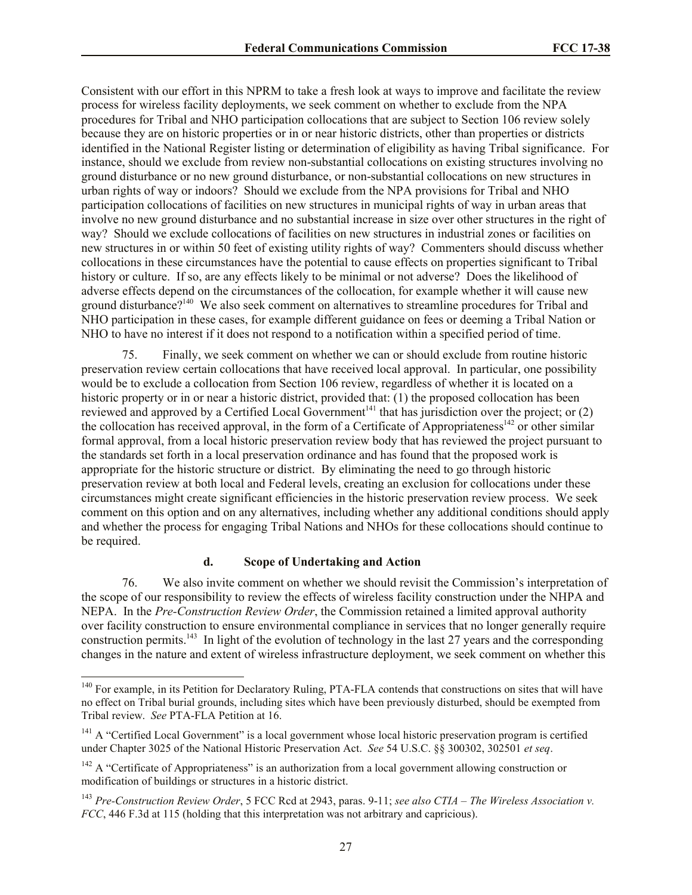Consistent with our effort in this NPRM to take a fresh look at ways to improve and facilitate the review process for wireless facility deployments, we seek comment on whether to exclude from the NPA procedures for Tribal and NHO participation collocations that are subject to Section 106 review solely because they are on historic properties or in or near historic districts, other than properties or districts identified in the National Register listing or determination of eligibility as having Tribal significance. For instance, should we exclude from review non-substantial collocations on existing structures involving no ground disturbance or no new ground disturbance, or non-substantial collocations on new structures in urban rights of way or indoors? Should we exclude from the NPA provisions for Tribal and NHO participation collocations of facilities on new structures in municipal rights of way in urban areas that involve no new ground disturbance and no substantial increase in size over other structures in the right of way? Should we exclude collocations of facilities on new structures in industrial zones or facilities on new structures in or within 50 feet of existing utility rights of way? Commenters should discuss whether collocations in these circumstances have the potential to cause effects on properties significant to Tribal history or culture. If so, are any effects likely to be minimal or not adverse? Does the likelihood of adverse effects depend on the circumstances of the collocation, for example whether it will cause new ground disturbance?<sup>140</sup> We also seek comment on alternatives to streamline procedures for Tribal and NHO participation in these cases, for example different guidance on fees or deeming a Tribal Nation or NHO to have no interest if it does not respond to a notification within a specified period of time.

75. Finally, we seek comment on whether we can or should exclude from routine historic preservation review certain collocations that have received local approval. In particular, one possibility would be to exclude a collocation from Section 106 review, regardless of whether it is located on a historic property or in or near a historic district, provided that: (1) the proposed collocation has been reviewed and approved by a Certified Local Government<sup>141</sup> that has jurisdiction over the project; or  $(2)$ the collocation has received approval, in the form of a Certificate of Appropriateness<sup>142</sup> or other similar formal approval, from a local historic preservation review body that has reviewed the project pursuant to the standards set forth in a local preservation ordinance and has found that the proposed work is appropriate for the historic structure or district. By eliminating the need to go through historic preservation review at both local and Federal levels, creating an exclusion for collocations under these circumstances might create significant efficiencies in the historic preservation review process. We seek comment on this option and on any alternatives, including whether any additional conditions should apply and whether the process for engaging Tribal Nations and NHOs for these collocations should continue to be required.

### **d. Scope of Undertaking and Action**

 $\overline{\phantom{a}}$ 

76. We also invite comment on whether we should revisit the Commission's interpretation of the scope of our responsibility to review the effects of wireless facility construction under the NHPA and NEPA. In the *Pre-Construction Review Order*, the Commission retained a limited approval authority over facility construction to ensure environmental compliance in services that no longer generally require construction permits.<sup>143</sup> In light of the evolution of technology in the last 27 years and the corresponding changes in the nature and extent of wireless infrastructure deployment, we seek comment on whether this

<sup>&</sup>lt;sup>140</sup> For example, in its Petition for Declaratory Ruling, PTA-FLA contends that constructions on sites that will have no effect on Tribal burial grounds, including sites which have been previously disturbed, should be exempted from Tribal review. *See* PTA-FLA Petition at 16.

<sup>&</sup>lt;sup>141</sup> A "Certified Local Government" is a local government whose local historic preservation program is certified under Chapter 3025 of the National Historic Preservation Act. *See* 54 U.S.C. §§ 300302, 302501 *et seq*.

 $142$  A "Certificate of Appropriateness" is an authorization from a local government allowing construction or modification of buildings or structures in a historic district.

<sup>143</sup> *Pre-Construction Review Order*, 5 FCC Rcd at 2943, paras. 9-11; *see also CTIA – The Wireless Association v. FCC*, 446 F.3d at 115 (holding that this interpretation was not arbitrary and capricious).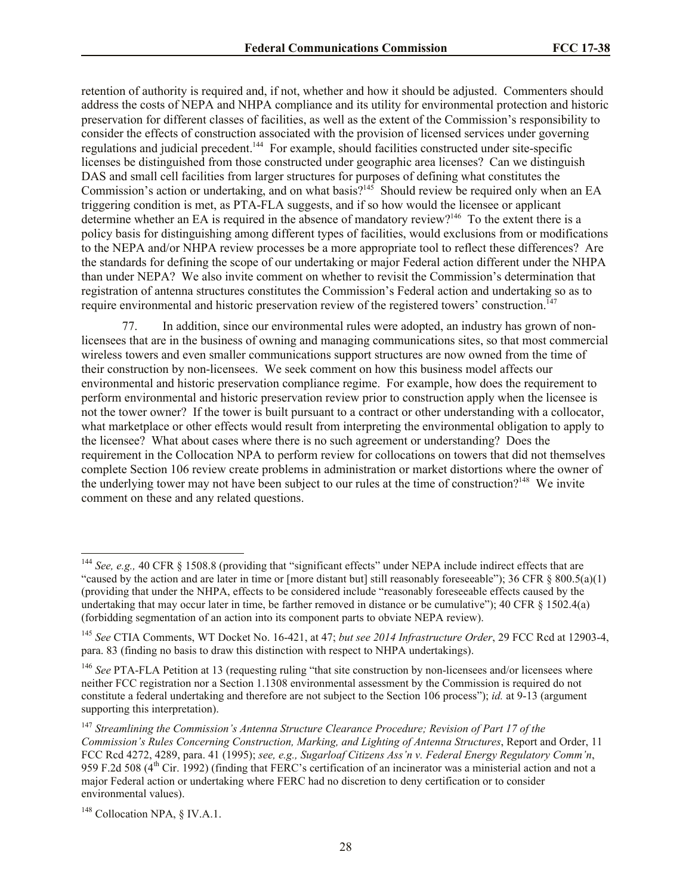retention of authority is required and, if not, whether and how it should be adjusted. Commenters should address the costs of NEPA and NHPA compliance and its utility for environmental protection and historic preservation for different classes of facilities, as well as the extent of the Commission's responsibility to consider the effects of construction associated with the provision of licensed services under governing regulations and judicial precedent.<sup>144</sup> For example, should facilities constructed under site-specific licenses be distinguished from those constructed under geographic area licenses? Can we distinguish DAS and small cell facilities from larger structures for purposes of defining what constitutes the Commission's action or undertaking, and on what basis?<sup>145</sup> Should review be required only when an EA triggering condition is met, as PTA-FLA suggests, and if so how would the licensee or applicant determine whether an EA is required in the absence of mandatory review?<sup>146</sup> To the extent there is a policy basis for distinguishing among different types of facilities, would exclusions from or modifications to the NEPA and/or NHPA review processes be a more appropriate tool to reflect these differences? Are the standards for defining the scope of our undertaking or major Federal action different under the NHPA than under NEPA? We also invite comment on whether to revisit the Commission's determination that registration of antenna structures constitutes the Commission's Federal action and undertaking so as to require environmental and historic preservation review of the registered towers' construction.<sup>147</sup>

77. In addition, since our environmental rules were adopted, an industry has grown of nonlicensees that are in the business of owning and managing communications sites, so that most commercial wireless towers and even smaller communications support structures are now owned from the time of their construction by non-licensees. We seek comment on how this business model affects our environmental and historic preservation compliance regime. For example, how does the requirement to perform environmental and historic preservation review prior to construction apply when the licensee is not the tower owner? If the tower is built pursuant to a contract or other understanding with a collocator, what marketplace or other effects would result from interpreting the environmental obligation to apply to the licensee? What about cases where there is no such agreement or understanding? Does the requirement in the Collocation NPA to perform review for collocations on towers that did not themselves complete Section 106 review create problems in administration or market distortions where the owner of the underlying tower may not have been subject to our rules at the time of construction?<sup>148</sup> We invite comment on these and any related questions.

 $\overline{\phantom{a}}$ 

<sup>&</sup>lt;sup>144</sup> *See, e.g.,* 40 CFR § 1508.8 (providing that "significant effects" under NEPA include indirect effects that are "caused by the action and are later in time or [more distant but] still reasonably foreseeable"); 36 CFR  $\S$  800.5(a)(1) (providing that under the NHPA, effects to be considered include "reasonably foreseeable effects caused by the undertaking that may occur later in time, be farther removed in distance or be cumulative"); 40 CFR § 1502.4(a) (forbidding segmentation of an action into its component parts to obviate NEPA review).

<sup>145</sup> *See* CTIA Comments, WT Docket No. 16-421, at 47; *but see 2014 Infrastructure Order*, 29 FCC Rcd at 12903-4, para. 83 (finding no basis to draw this distinction with respect to NHPA undertakings).

<sup>&</sup>lt;sup>146</sup> See PTA-FLA Petition at 13 (requesting ruling "that site construction by non-licensees and/or licensees where neither FCC registration nor a Section 1.1308 environmental assessment by the Commission is required do not constitute a federal undertaking and therefore are not subject to the Section 106 process"); *id.* at 9-13 (argument supporting this interpretation).

<sup>147</sup> *Streamlining the Commission's Antenna Structure Clearance Procedure; Revision of Part 17 of the Commission's Rules Concerning Construction, Marking, and Lighting of Antenna Structures*, Report and Order, 11 FCC Rcd 4272, 4289, para. 41 (1995); *see, e.g., Sugarloaf Citizens Ass'n v. Federal Energy Regulatory Comm'n*, 959 F.2d 508 (4th Cir. 1992) (finding that FERC's certification of an incinerator was a ministerial action and not a major Federal action or undertaking where FERC had no discretion to deny certification or to consider environmental values).

<sup>&</sup>lt;sup>148</sup> Collocation NPA, § IV.A.1.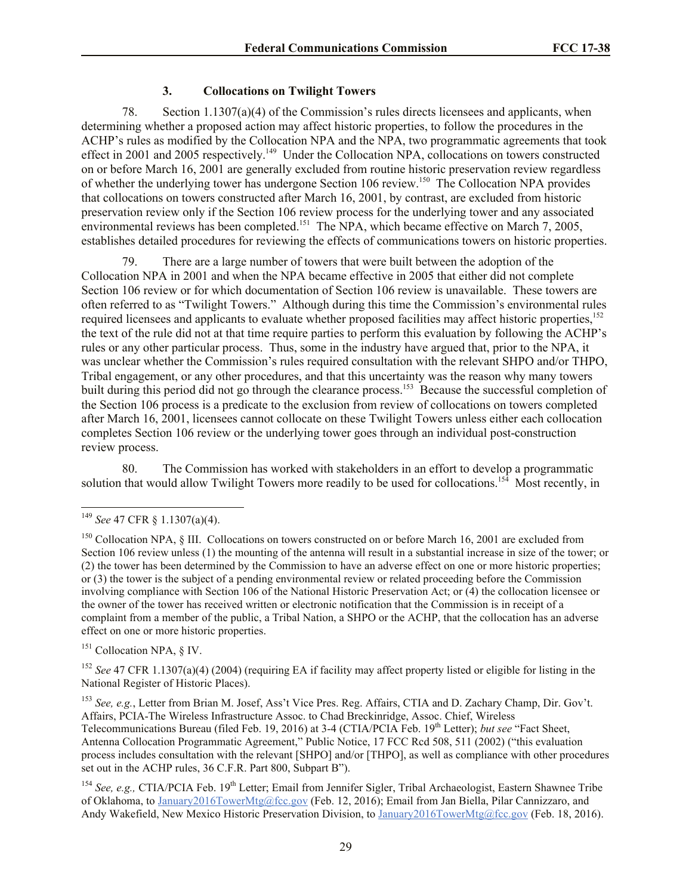## **3. Collocations on Twilight Towers**

78. Section 1.1307(a)(4) of the Commission's rules directs licensees and applicants, when determining whether a proposed action may affect historic properties, to follow the procedures in the ACHP's rules as modified by the Collocation NPA and the NPA, two programmatic agreements that took effect in 2001 and 2005 respectively.<sup>149</sup> Under the Collocation NPA, collocations on towers constructed on or before March 16, 2001 are generally excluded from routine historic preservation review regardless of whether the underlying tower has undergone Section 106 review.<sup>150</sup> The Collocation NPA provides that collocations on towers constructed after March 16, 2001, by contrast, are excluded from historic preservation review only if the Section 106 review process for the underlying tower and any associated environmental reviews has been completed.<sup>151</sup> The NPA, which became effective on March 7, 2005, establishes detailed procedures for reviewing the effects of communications towers on historic properties.

79. There are a large number of towers that were built between the adoption of the Collocation NPA in 2001 and when the NPA became effective in 2005 that either did not complete Section 106 review or for which documentation of Section 106 review is unavailable. These towers are often referred to as "Twilight Towers." Although during this time the Commission's environmental rules required licensees and applicants to evaluate whether proposed facilities may affect historic properties.<sup>152</sup> the text of the rule did not at that time require parties to perform this evaluation by following the ACHP's rules or any other particular process. Thus, some in the industry have argued that, prior to the NPA, it was unclear whether the Commission's rules required consultation with the relevant SHPO and/or THPO, Tribal engagement, or any other procedures, and that this uncertainty was the reason why many towers built during this period did not go through the clearance process.<sup>153</sup> Because the successful completion of the Section 106 process is a predicate to the exclusion from review of collocations on towers completed after March 16, 2001, licensees cannot collocate on these Twilight Towers unless either each collocation completes Section 106 review or the underlying tower goes through an individual post-construction review process.

80. The Commission has worked with stakeholders in an effort to develop a programmatic solution that would allow Twilight Towers more readily to be used for collocations.<sup>154</sup> Most recently, in

 $\overline{\phantom{a}}$ 

<sup>151</sup> Collocation NPA, § IV.

<sup>152</sup> *See* 47 CFR 1.1307(a)(4) (2004) (requiring EA if facility may affect property listed or eligible for listing in the National Register of Historic Places).

<sup>153</sup> *See, e.g.*, Letter from Brian M. Josef, Ass't Vice Pres. Reg. Affairs, CTIA and D. Zachary Champ, Dir. Gov't. Affairs, PCIA-The Wireless Infrastructure Assoc. to Chad Breckinridge, Assoc. Chief, Wireless Telecommunications Bureau (filed Feb. 19, 2016) at 3-4 (CTIA/PCIA Feb. 19<sup>th</sup> Letter); *but see* "Fact Sheet, Antenna Collocation Programmatic Agreement," Public Notice, 17 FCC Rcd 508, 511 (2002) ("this evaluation process includes consultation with the relevant [SHPO] and/or [THPO], as well as compliance with other procedures set out in the ACHP rules, 36 C.F.R. Part 800, Subpart B").

<sup>154</sup> See, e.g., CTIA/PCIA Feb. 19<sup>th</sup> Letter; Email from Jennifer Sigler, Tribal Archaeologist, Eastern Shawnee Tribe of Oklahoma, to January2016TowerMtg@fcc.gov (Feb. 12, 2016); Email from Jan Biella, Pilar Cannizzaro, and Andy Wakefield, New Mexico Historic Preservation Division, to January2016TowerMtg@fcc.gov (Feb. 18, 2016).

<sup>149</sup> *See* 47 CFR § 1.1307(a)(4).

<sup>&</sup>lt;sup>150</sup> Collocation NPA, § III. Collocations on towers constructed on or before March 16, 2001 are excluded from Section 106 review unless (1) the mounting of the antenna will result in a substantial increase in size of the tower; or (2) the tower has been determined by the Commission to have an adverse effect on one or more historic properties; or (3) the tower is the subject of a pending environmental review or related proceeding before the Commission involving compliance with Section 106 of the National Historic Preservation Act; or (4) the collocation licensee or the owner of the tower has received written or electronic notification that the Commission is in receipt of a complaint from a member of the public, a Tribal Nation, a SHPO or the ACHP, that the collocation has an adverse effect on one or more historic properties.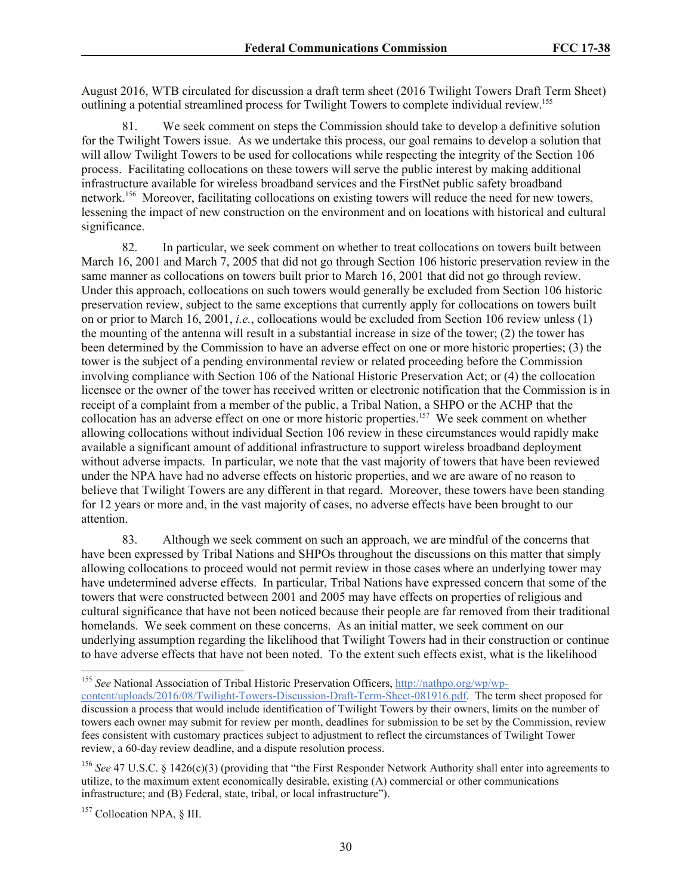August 2016, WTB circulated for discussion a draft term sheet (2016 Twilight Towers Draft Term Sheet) outlining a potential streamlined process for Twilight Towers to complete individual review.<sup>155</sup>

81. We seek comment on steps the Commission should take to develop a definitive solution for the Twilight Towers issue. As we undertake this process, our goal remains to develop a solution that will allow Twilight Towers to be used for collocations while respecting the integrity of the Section 106 process. Facilitating collocations on these towers will serve the public interest by making additional infrastructure available for wireless broadband services and the FirstNet public safety broadband network.<sup>156</sup> Moreover, facilitating collocations on existing towers will reduce the need for new towers, lessening the impact of new construction on the environment and on locations with historical and cultural significance.

82. In particular, we seek comment on whether to treat collocations on towers built between March 16, 2001 and March 7, 2005 that did not go through Section 106 historic preservation review in the same manner as collocations on towers built prior to March 16, 2001 that did not go through review. Under this approach, collocations on such towers would generally be excluded from Section 106 historic preservation review, subject to the same exceptions that currently apply for collocations on towers built on or prior to March 16, 2001, *i.e.*, collocations would be excluded from Section 106 review unless (1) the mounting of the antenna will result in a substantial increase in size of the tower; (2) the tower has been determined by the Commission to have an adverse effect on one or more historic properties; (3) the tower is the subject of a pending environmental review or related proceeding before the Commission involving compliance with Section 106 of the National Historic Preservation Act; or (4) the collocation licensee or the owner of the tower has received written or electronic notification that the Commission is in receipt of a complaint from a member of the public, a Tribal Nation, a SHPO or the ACHP that the collocation has an adverse effect on one or more historic properties. 157 We seek comment on whether allowing collocations without individual Section 106 review in these circumstances would rapidly make available a significant amount of additional infrastructure to support wireless broadband deployment without adverse impacts. In particular, we note that the vast majority of towers that have been reviewed under the NPA have had no adverse effects on historic properties, and we are aware of no reason to believe that Twilight Towers are any different in that regard. Moreover, these towers have been standing for 12 years or more and, in the vast majority of cases, no adverse effects have been brought to our attention.

83. Although we seek comment on such an approach, we are mindful of the concerns that have been expressed by Tribal Nations and SHPOs throughout the discussions on this matter that simply allowing collocations to proceed would not permit review in those cases where an underlying tower may have undetermined adverse effects. In particular, Tribal Nations have expressed concern that some of the towers that were constructed between 2001 and 2005 may have effects on properties of religious and cultural significance that have not been noticed because their people are far removed from their traditional homelands. We seek comment on these concerns. As an initial matter, we seek comment on our underlying assumption regarding the likelihood that Twilight Towers had in their construction or continue to have adverse effects that have not been noted. To the extent such effects exist, what is the likelihood

l

<sup>155</sup> *See* National Association of Tribal Historic Preservation Officers, http://nathpo.org/wp/wpcontent/uploads/2016/08/Twilight-Towers-Discussion-Draft-Term-Sheet-081916.pdf. The term sheet proposed for discussion a process that would include identification of Twilight Towers by their owners, limits on the number of towers each owner may submit for review per month, deadlines for submission to be set by the Commission, review fees consistent with customary practices subject to adjustment to reflect the circumstances of Twilight Tower review, a 60-day review deadline, and a dispute resolution process.

<sup>156</sup> *See* 47 U.S.C. § 1426(c)(3) (providing that "the First Responder Network Authority shall enter into agreements to utilize, to the maximum extent economically desirable, existing (A) commercial or other communications infrastructure; and (B) Federal, state, tribal, or local infrastructure").

<sup>157</sup> Collocation NPA, § III.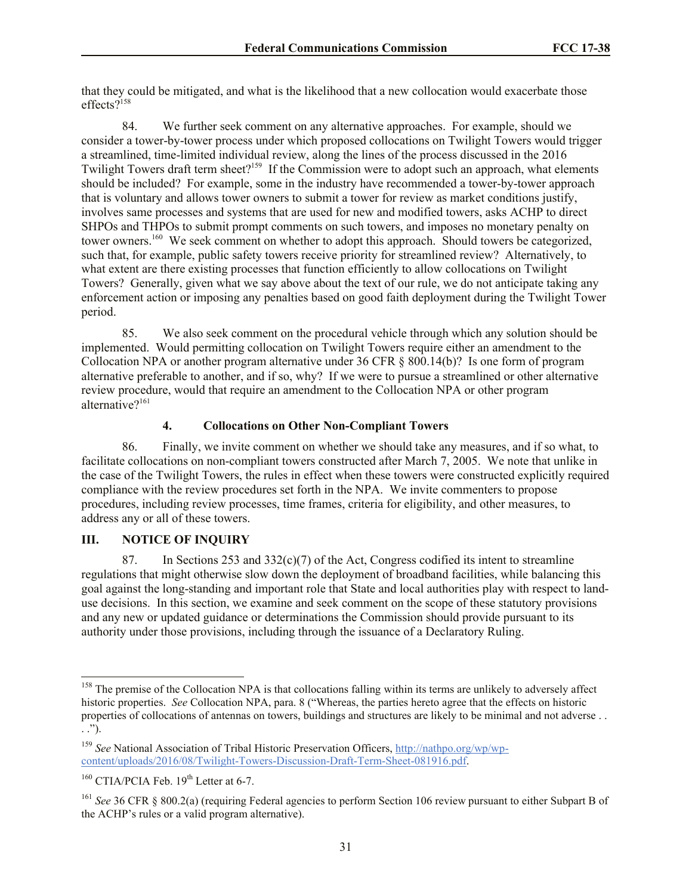that they could be mitigated, and what is the likelihood that a new collocation would exacerbate those effects?<sup>158</sup>

84. We further seek comment on any alternative approaches. For example, should we consider a tower-by-tower process under which proposed collocations on Twilight Towers would trigger a streamlined, time-limited individual review, along the lines of the process discussed in the 2016 Twilight Towers draft term sheet?<sup>159</sup> If the Commission were to adopt such an approach, what elements should be included? For example, some in the industry have recommended a tower-by-tower approach that is voluntary and allows tower owners to submit a tower for review as market conditions justify, involves same processes and systems that are used for new and modified towers, asks ACHP to direct SHPOs and THPOs to submit prompt comments on such towers, and imposes no monetary penalty on tower owners.<sup>160</sup> We seek comment on whether to adopt this approach. Should towers be categorized, such that, for example, public safety towers receive priority for streamlined review? Alternatively, to what extent are there existing processes that function efficiently to allow collocations on Twilight Towers? Generally, given what we say above about the text of our rule, we do not anticipate taking any enforcement action or imposing any penalties based on good faith deployment during the Twilight Tower period.

85. We also seek comment on the procedural vehicle through which any solution should be implemented. Would permitting collocation on Twilight Towers require either an amendment to the Collocation NPA or another program alternative under 36 CFR § 800.14(b)? Is one form of program alternative preferable to another, and if so, why? If we were to pursue a streamlined or other alternative review procedure, would that require an amendment to the Collocation NPA or other program alternative?<sup>161</sup>

### **4. Collocations on Other Non-Compliant Towers**

86. Finally, we invite comment on whether we should take any measures, and if so what, to facilitate collocations on non-compliant towers constructed after March 7, 2005. We note that unlike in the case of the Twilight Towers, the rules in effect when these towers were constructed explicitly required compliance with the review procedures set forth in the NPA. We invite commenters to propose procedures, including review processes, time frames, criteria for eligibility, and other measures, to address any or all of these towers.

### **III. NOTICE OF INQUIRY**

87. In Sections 253 and  $332(c)(7)$  of the Act, Congress codified its intent to streamline regulations that might otherwise slow down the deployment of broadband facilities, while balancing this goal against the long-standing and important role that State and local authorities play with respect to landuse decisions. In this section, we examine and seek comment on the scope of these statutory provisions and any new or updated guidance or determinations the Commission should provide pursuant to its authority under those provisions, including through the issuance of a Declaratory Ruling.

 $\overline{\phantom{a}}$ 

<sup>&</sup>lt;sup>158</sup> The premise of the Collocation NPA is that collocations falling within its terms are unlikely to adversely affect historic properties. *See* Collocation NPA, para. 8 ("Whereas, the parties hereto agree that the effects on historic properties of collocations of antennas on towers, buildings and structures are likely to be minimal and not adverse . . . .").

<sup>159</sup> *See* National Association of Tribal Historic Preservation Officers, http://nathpo.org/wp/wpcontent/uploads/2016/08/Twilight-Towers-Discussion-Draft-Term-Sheet-081916.pdf.

 $160$  CTIA/PCIA Feb.  $19<sup>th</sup>$  Letter at 6-7.

<sup>161</sup> *See* 36 CFR § 800.2(a) (requiring Federal agencies to perform Section 106 review pursuant to either Subpart B of the ACHP's rules or a valid program alternative).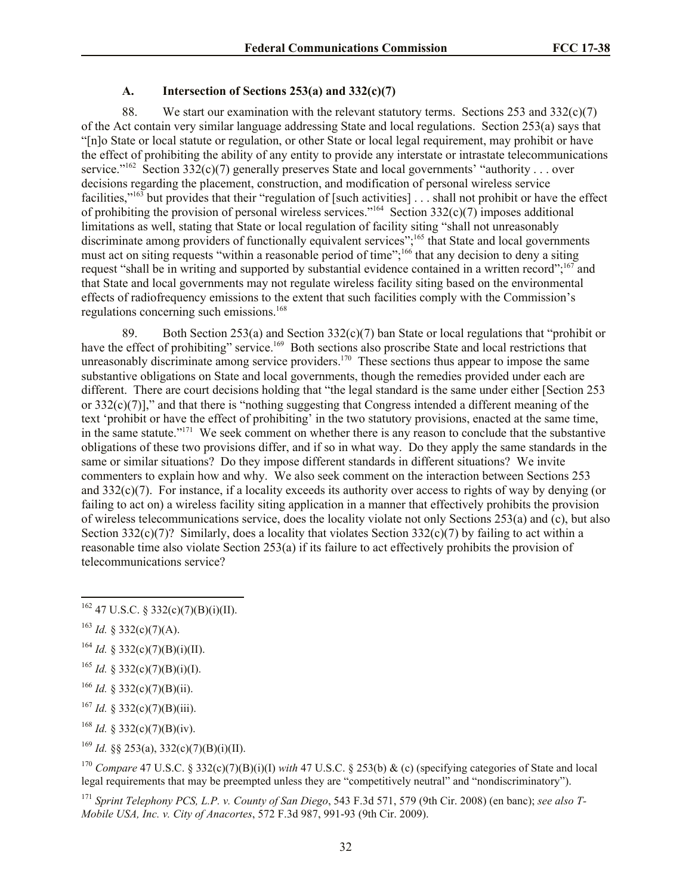### **A. Intersection of Sections 253(a) and 332(c)(7)**

88. We start our examination with the relevant statutory terms. Sections 253 and 332(c)(7) of the Act contain very similar language addressing State and local regulations. Section 253(a) says that "[n]o State or local statute or regulation, or other State or local legal requirement, may prohibit or have the effect of prohibiting the ability of any entity to provide any interstate or intrastate telecommunications service."<sup>162</sup> Section 332(c)(7) generally preserves State and local governments' "authority . . . over decisions regarding the placement, construction, and modification of personal wireless service facilities,"<sup>163</sup> but provides that their "regulation of [such activities] . . . shall not prohibit or have the effect of prohibiting the provision of personal wireless services."<sup>164</sup> Section  $332(c)(7)$  imposes additional limitations as well, stating that State or local regulation of facility siting "shall not unreasonably discriminate among providers of functionally equivalent services";<sup>165</sup> that State and local governments must act on siting requests "within a reasonable period of time";<sup>166</sup> that any decision to deny a siting request "shall be in writing and supported by substantial evidence contained in a written record";<sup>167</sup> and that State and local governments may not regulate wireless facility siting based on the environmental effects of radiofrequency emissions to the extent that such facilities comply with the Commission's regulations concerning such emissions. 168

89. Both Section 253(a) and Section 332(c)(7) ban State or local regulations that "prohibit or have the effect of prohibiting" service.<sup>169</sup> Both sections also proscribe State and local restrictions that unreasonably discriminate among service providers.<sup>170</sup> These sections thus appear to impose the same substantive obligations on State and local governments, though the remedies provided under each are different. There are court decisions holding that "the legal standard is the same under either [Section 253 or 332(c)(7)]," and that there is "nothing suggesting that Congress intended a different meaning of the text 'prohibit or have the effect of prohibiting' in the two statutory provisions, enacted at the same time, in the same statute."<sup>171</sup> We seek comment on whether there is any reason to conclude that the substantive obligations of these two provisions differ, and if so in what way. Do they apply the same standards in the same or similar situations? Do they impose different standards in different situations? We invite commenters to explain how and why. We also seek comment on the interaction between Sections 253 and 332(c)(7). For instance, if a locality exceeds its authority over access to rights of way by denying (or failing to act on) a wireless facility siting application in a manner that effectively prohibits the provision of wireless telecommunications service, does the locality violate not only Sections 253(a) and (c), but also Section 332(c)(7)? Similarly, does a locality that violates Section 332(c)(7) by failing to act within a reasonable time also violate Section 253(a) if its failure to act effectively prohibits the provision of telecommunications service?

 $\overline{a}$ 

- <sup>165</sup> *Id.* § 332(c)(7)(B)(i)(I).
- <sup>166</sup> *Id.* § 332(c)(7)(B)(ii).
- <sup>167</sup> *Id.* § 332(c)(7)(B)(iii).
- <sup>168</sup> *Id.* § 332(c)(7)(B)(iv).
- <sup>169</sup> *Id.* §§ 253(a), 332(c)(7)(B)(i)(II).

<sup>170</sup> *Compare* 47 U.S.C. § 332(c)(7)(B)(i)(I) *with* 47 U.S.C. § 253(b) & (c) (specifying categories of State and local legal requirements that may be preempted unless they are "competitively neutral" and "nondiscriminatory").

 $162$  47 U.S.C. § 332(c)(7)(B)(i)(II).

 $^{163}$  *Id.* § 332(c)(7)(A).

<sup>&</sup>lt;sup>164</sup> *Id.* § 332(c)(7)(B)(i)(II).

<sup>171</sup> *Sprint Telephony PCS, L.P. v. County of San Diego*, 543 F.3d 571, 579 (9th Cir. 2008) (en banc); *see also T-Mobile USA, Inc. v. City of Anacortes*, 572 F.3d 987, 991-93 (9th Cir. 2009).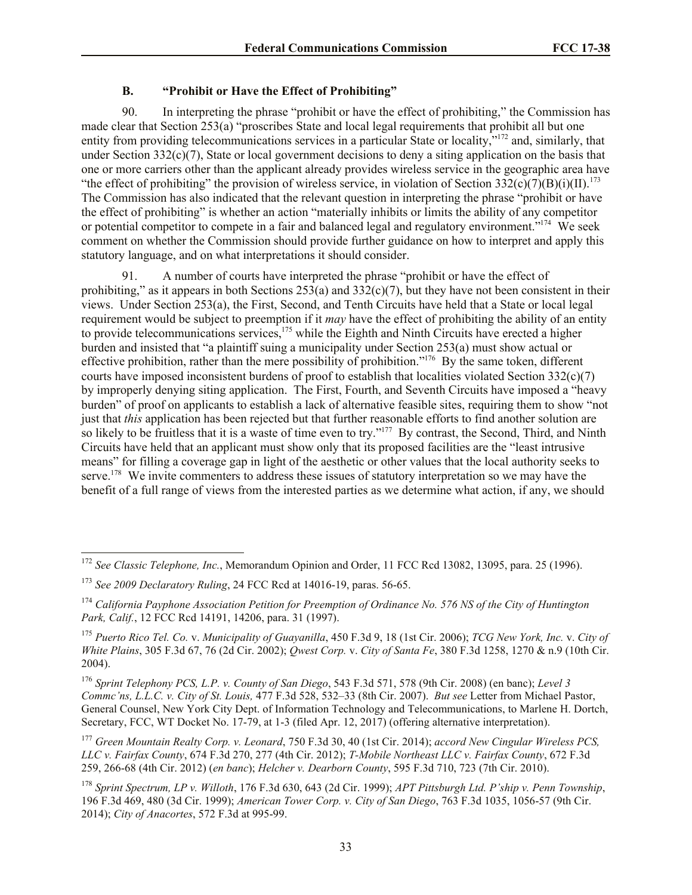# **B. "Prohibit or Have the Effect of Prohibiting"**

90. In interpreting the phrase "prohibit or have the effect of prohibiting," the Commission has made clear that Section 253(a) "proscribes State and local legal requirements that prohibit all but one entity from providing telecommunications services in a particular State or locality,<sup>"172</sup> and, similarly, that under Section  $332(c)(7)$ , State or local government decisions to deny a siting application on the basis that one or more carriers other than the applicant already provides wireless service in the geographic area have "the effect of prohibiting" the provision of wireless service, in violation of Section  $332(c)(7)(B)(i)(II).$ <sup>173</sup> The Commission has also indicated that the relevant question in interpreting the phrase "prohibit or have the effect of prohibiting" is whether an action "materially inhibits or limits the ability of any competitor or potential competitor to compete in a fair and balanced legal and regulatory environment."<sup>174</sup> We seek comment on whether the Commission should provide further guidance on how to interpret and apply this statutory language, and on what interpretations it should consider.

91. A number of courts have interpreted the phrase "prohibit or have the effect of prohibiting," as it appears in both Sections  $253(a)$  and  $332(c)(7)$ , but they have not been consistent in their views. Under Section 253(a), the First, Second, and Tenth Circuits have held that a State or local legal requirement would be subject to preemption if it *may* have the effect of prohibiting the ability of an entity to provide telecommunications services,<sup>175</sup> while the Eighth and Ninth Circuits have erected a higher burden and insisted that "a plaintiff suing a municipality under Section 253(a) must show actual or effective prohibition, rather than the mere possibility of prohibition."<sup>176</sup> By the same token, different courts have imposed inconsistent burdens of proof to establish that localities violated Section 332(c)(7) by improperly denying siting application. The First, Fourth, and Seventh Circuits have imposed a "heavy burden" of proof on applicants to establish a lack of alternative feasible sites, requiring them to show "not just that *this* application has been rejected but that further reasonable efforts to find another solution are so likely to be fruitless that it is a waste of time even to try."<sup>177</sup> By contrast, the Second, Third, and Ninth Circuits have held that an applicant must show only that its proposed facilities are the "least intrusive means" for filling a coverage gap in light of the aesthetic or other values that the local authority seeks to serve.<sup>178</sup> We invite commenters to address these issues of statutory interpretation so we may have the benefit of a full range of views from the interested parties as we determine what action, if any, we should

l

<sup>&</sup>lt;sup>172</sup> See Classic Telephone, Inc., Memorandum Opinion and Order, 11 FCC Rcd 13082, 13095, para. 25 (1996).

<sup>173</sup> *See 2009 Declaratory Ruling*, 24 FCC Rcd at 14016-19, paras. 56-65.

<sup>174</sup> *California Payphone Association Petition for Preemption of Ordinance No. 576 NS of the City of Huntington Park, Calif.*, 12 FCC Rcd 14191, 14206, para. 31 (1997).

<sup>175</sup> *Puerto Rico Tel. Co.* v. *Municipality of Guayanilla*, 450 F.3d 9, 18 (1st Cir. 2006); *TCG New York, Inc.* v. *City of White Plains*, 305 F.3d 67, 76 (2d Cir. 2002); *Qwest Corp.* v. *City of Santa Fe*, 380 F.3d 1258, 1270 & n.9 (10th Cir. 2004).

<sup>176</sup> *Sprint Telephony PCS, L.P. v. County of San Diego*, 543 F.3d 571, 578 (9th Cir. 2008) (en banc); *Level 3 Commc'ns, L.L.C. v. City of St. Louis,* 477 F.3d 528, 532–33 (8th Cir. 2007). *But see* Letter from Michael Pastor, General Counsel, New York City Dept. of Information Technology and Telecommunications, to Marlene H. Dortch, Secretary, FCC, WT Docket No. 17-79, at 1-3 (filed Apr. 12, 2017) (offering alternative interpretation).

<sup>177</sup> *Green Mountain Realty Corp. v. Leonard*, 750 F.3d 30, 40 (1st Cir. 2014); *accord New Cingular Wireless PCS, LLC v. Fairfax County*, 674 F.3d 270, 277 (4th Cir. 2012); *T-Mobile Northeast LLC v. Fairfax County*, 672 F.3d 259, 266-68 (4th Cir. 2012) (*en banc*); *Helcher v. Dearborn County*, 595 F.3d 710, 723 (7th Cir. 2010).

<sup>178</sup> *Sprint Spectrum, LP v. Willoth*, 176 F.3d 630, 643 (2d Cir. 1999); *APT Pittsburgh Ltd. P'ship v. Penn Township*, 196 F.3d 469, 480 (3d Cir. 1999); *American Tower Corp. v. City of San Diego*, 763 F.3d 1035, 1056-57 (9th Cir. 2014); *City of Anacortes*, 572 F.3d at 995-99.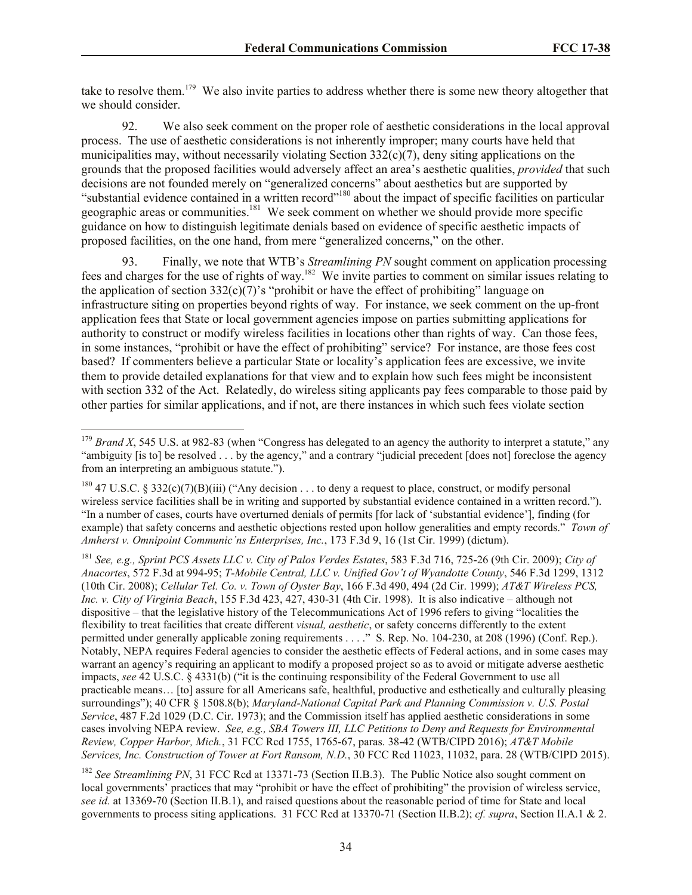take to resolve them.<sup>179</sup> We also invite parties to address whether there is some new theory altogether that we should consider.

92. We also seek comment on the proper role of aesthetic considerations in the local approval process. The use of aesthetic considerations is not inherently improper; many courts have held that municipalities may, without necessarily violating Section  $332(c)(7)$ , deny siting applications on the grounds that the proposed facilities would adversely affect an area's aesthetic qualities, *provided* that such decisions are not founded merely on "generalized concerns" about aesthetics but are supported by "substantial evidence contained in a written record"<sup>180</sup> about the impact of specific facilities on particular geographic areas or communities.<sup>181</sup> We seek comment on whether we should provide more specific guidance on how to distinguish legitimate denials based on evidence of specific aesthetic impacts of proposed facilities, on the one hand, from mere "generalized concerns," on the other.

93. Finally, we note that WTB's *Streamlining PN* sought comment on application processing fees and charges for the use of rights of way.<sup>182</sup> We invite parties to comment on similar issues relating to the application of section  $332(c)(7)$ 's "prohibit or have the effect of prohibiting" language on infrastructure siting on properties beyond rights of way. For instance, we seek comment on the up-front application fees that State or local government agencies impose on parties submitting applications for authority to construct or modify wireless facilities in locations other than rights of way. Can those fees, in some instances, "prohibit or have the effect of prohibiting" service? For instance, are those fees cost based? If commenters believe a particular State or locality's application fees are excessive, we invite them to provide detailed explanations for that view and to explain how such fees might be inconsistent with section 332 of the Act. Relatedly, do wireless siting applicants pay fees comparable to those paid by other parties for similar applications, and if not, are there instances in which such fees violate section

l

<sup>182</sup> See Streamlining PN, 31 FCC Rcd at 13371-73 (Section II.B.3). The Public Notice also sought comment on local governments' practices that may "prohibit or have the effect of prohibiting" the provision of wireless service, *see id.* at 13369-70 (Section II.B.1), and raised questions about the reasonable period of time for State and local governments to process siting applications. 31 FCC Rcd at 13370-71 (Section II.B.2); *cf. supra*, Section II.A.1 & 2.

 $179$  *Brand X*, 545 U.S. at 982-83 (when "Congress has delegated to an agency the authority to interpret a statute," any "ambiguity [is to] be resolved . . . by the agency," and a contrary "judicial precedent [does not] foreclose the agency from an interpreting an ambiguous statute.").

<sup>&</sup>lt;sup>180</sup> 47 U.S.C. § 332(c)(7)(B)(iii) ("Any decision . . . to deny a request to place, construct, or modify personal wireless service facilities shall be in writing and supported by substantial evidence contained in a written record."). "In a number of cases, courts have overturned denials of permits [for lack of 'substantial evidence'], finding (for example) that safety concerns and aesthetic objections rested upon hollow generalities and empty records." *Town of Amherst v. Omnipoint Communic'ns Enterprises, Inc.*, 173 F.3d 9, 16 (1st Cir. 1999) (dictum).

<sup>181</sup> *See, e.g., Sprint PCS Assets LLC v. City of Palos Verdes Estates*, 583 F.3d 716, 725-26 (9th Cir. 2009); *City of Anacortes*, 572 F.3d at 994-95; *T-Mobile Central, LLC v. Unified Gov't of Wyandotte County*, 546 F.3d 1299, 1312 (10th Cir. 2008); *Cellular Tel. Co. v. Town of Oyster Bay*, 166 F.3d 490, 494 (2d Cir. 1999); *AT&T Wireless PCS, Inc. v. City of Virginia Beach*, 155 F.3d 423, 427, 430-31 (4th Cir. 1998). It is also indicative – although not dispositive – that the legislative history of the Telecommunications Act of 1996 refers to giving "localities the flexibility to treat facilities that create different *visual, aesthetic*, or safety concerns differently to the extent permitted under generally applicable zoning requirements . . . ." S. Rep. No. 104-230, at 208 (1996) (Conf. Rep.). Notably, NEPA requires Federal agencies to consider the aesthetic effects of Federal actions, and in some cases may warrant an agency's requiring an applicant to modify a proposed project so as to avoid or mitigate adverse aesthetic impacts, *see* 42 U.S.C. § 4331(b) ("it is the continuing responsibility of the Federal Government to use all practicable means… [to] assure for all Americans safe, healthful, productive and esthetically and culturally pleasing surroundings"); 40 CFR § 1508.8(b); *Maryland-National Capital Park and Planning Commission v. U.S. Postal Service*, 487 F.2d 1029 (D.C. Cir. 1973); and the Commission itself has applied aesthetic considerations in some cases involving NEPA review. *See, e.g., SBA Towers III, LLC Petitions to Deny and Requests for Environmental Review, Copper Harbor, Mich.*, 31 FCC Rcd 1755, 1765-67, paras. 38-42 (WTB/CIPD 2016); *AT&T Mobile Services, Inc. Construction of Tower at Fort Ransom, N.D.*, 30 FCC Rcd 11023, 11032, para. 28 (WTB/CIPD 2015).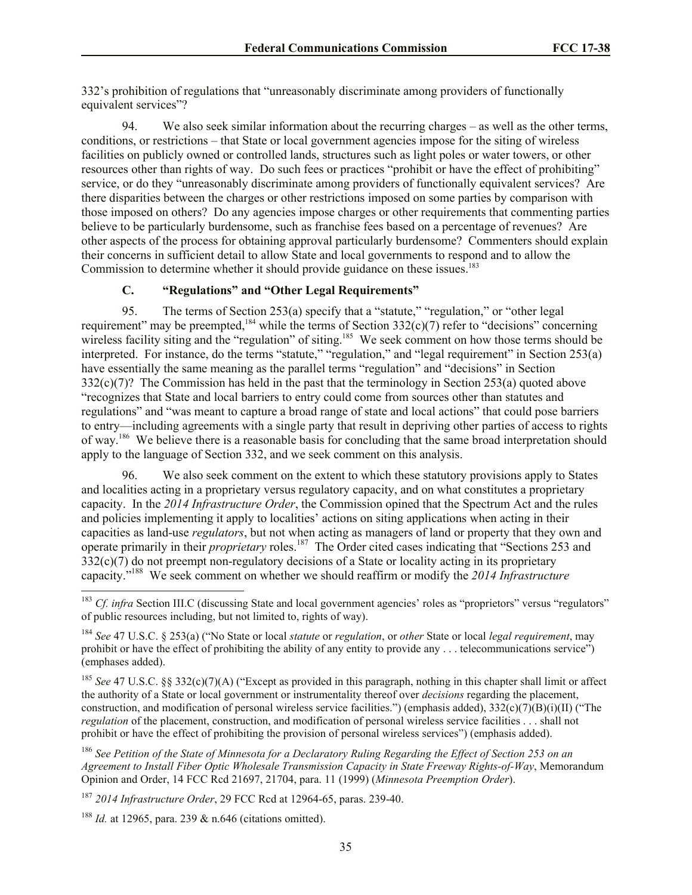332's prohibition of regulations that "unreasonably discriminate among providers of functionally equivalent services"?

94. We also seek similar information about the recurring charges – as well as the other terms, conditions, or restrictions – that State or local government agencies impose for the siting of wireless facilities on publicly owned or controlled lands, structures such as light poles or water towers, or other resources other than rights of way. Do such fees or practices "prohibit or have the effect of prohibiting" service, or do they "unreasonably discriminate among providers of functionally equivalent services? Are there disparities between the charges or other restrictions imposed on some parties by comparison with those imposed on others? Do any agencies impose charges or other requirements that commenting parties believe to be particularly burdensome, such as franchise fees based on a percentage of revenues? Are other aspects of the process for obtaining approval particularly burdensome? Commenters should explain their concerns in sufficient detail to allow State and local governments to respond and to allow the Commission to determine whether it should provide guidance on these issues.<sup>183</sup>

### **C. "Regulations" and "Other Legal Requirements"**

95. The terms of Section 253(a) specify that a "statute," "regulation," or "other legal requirement" may be preempted,<sup>184</sup> while the terms of Section  $332(c)(7)$  refer to "decisions" concerning wireless facility siting and the "regulation" of siting.<sup>185</sup> We seek comment on how those terms should be interpreted. For instance, do the terms "statute," "regulation," and "legal requirement" in Section 253(a) have essentially the same meaning as the parallel terms "regulation" and "decisions" in Section 332(c)(7)? The Commission has held in the past that the terminology in Section 253(a) quoted above "recognizes that State and local barriers to entry could come from sources other than statutes and regulations" and "was meant to capture a broad range of state and local actions" that could pose barriers to entry—including agreements with a single party that result in depriving other parties of access to rights of way.<sup>186</sup> We believe there is a reasonable basis for concluding that the same broad interpretation should apply to the language of Section 332, and we seek comment on this analysis.

96. We also seek comment on the extent to which these statutory provisions apply to States and localities acting in a proprietary versus regulatory capacity, and on what constitutes a proprietary capacity. In the *2014 Infrastructure Order*, the Commission opined that the Spectrum Act and the rules and policies implementing it apply to localities' actions on siting applications when acting in their capacities as land-use *regulators*, but not when acting as managers of land or property that they own and operate primarily in their *proprietary* roles.<sup>187</sup> The Order cited cases indicating that "Sections 253 and  $332(c)(7)$  do not preempt non-regulatory decisions of a State or locality acting in its proprietary capacity."<sup>188</sup> We seek comment on whether we should reaffirm or modify the *2014 Infrastructure* 

<sup>&</sup>lt;sup>183</sup> *Cf. infra* Section III.C (discussing State and local government agencies' roles as "proprietors" versus "regulators" of public resources including, but not limited to, rights of way).

<sup>184</sup> *See* 47 U.S.C. § 253(a) ("No State or local *statute* or *regulation*, or *other* State or local *legal requirement*, may prohibit or have the effect of prohibiting the ability of any entity to provide any . . . telecommunications service") (emphases added).

<sup>185</sup> *See* 47 U.S.C. §§ 332(c)(7)(A) ("Except as provided in this paragraph, nothing in this chapter shall limit or affect the authority of a State or local government or instrumentality thereof over *decisions* regarding the placement, construction, and modification of personal wireless service facilities.") (emphasis added), 332(c)(7)(B)(i)(II) ("The *regulation* of the placement, construction, and modification of personal wireless service facilities . . . shall not prohibit or have the effect of prohibiting the provision of personal wireless services") (emphasis added).

<sup>186</sup> *See Petition of the State of Minnesota for a Declaratory Ruling Regarding the Effect of Section 253 on an Agreement to Install Fiber Optic Wholesale Transmission Capacity in State Freeway Rights-of-Way*, Memorandum Opinion and Order, 14 FCC Rcd 21697, 21704, para. 11 (1999) (*Minnesota Preemption Order*).

<sup>187</sup> *2014 Infrastructure Order*, 29 FCC Rcd at 12964-65, paras. 239-40.

<sup>188</sup> *Id.* at 12965, para. 239 & n.646 (citations omitted).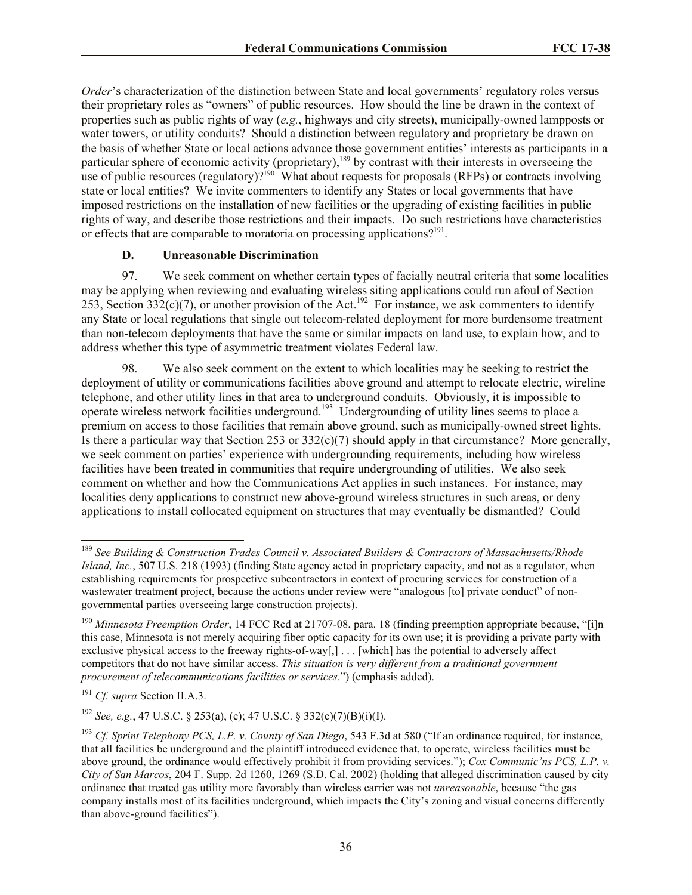*Order*'s characterization of the distinction between State and local governments' regulatory roles versus their proprietary roles as "owners" of public resources. How should the line be drawn in the context of properties such as public rights of way (*e.g.*, highways and city streets), municipally-owned lampposts or water towers, or utility conduits? Should a distinction between regulatory and proprietary be drawn on the basis of whether State or local actions advance those government entities' interests as participants in a particular sphere of economic activity (proprietary),<sup>189</sup> by contrast with their interests in overseeing the use of public resources (regulatory)?<sup>190</sup> What about requests for proposals (RFPs) or contracts involving state or local entities? We invite commenters to identify any States or local governments that have imposed restrictions on the installation of new facilities or the upgrading of existing facilities in public rights of way, and describe those restrictions and their impacts. Do such restrictions have characteristics or effects that are comparable to moratoria on processing applications?<sup>191</sup>.

#### **D. Unreasonable Discrimination**

97. We seek comment on whether certain types of facially neutral criteria that some localities may be applying when reviewing and evaluating wireless siting applications could run afoul of Section 253, Section 332(c)(7), or another provision of the Act.<sup>192</sup> For instance, we ask commenters to identify any State or local regulations that single out telecom-related deployment for more burdensome treatment than non-telecom deployments that have the same or similar impacts on land use, to explain how, and to address whether this type of asymmetric treatment violates Federal law.

98. We also seek comment on the extent to which localities may be seeking to restrict the deployment of utility or communications facilities above ground and attempt to relocate electric, wireline telephone, and other utility lines in that area to underground conduits. Obviously, it is impossible to operate wireless network facilities underground.<sup>193</sup> Undergrounding of utility lines seems to place a premium on access to those facilities that remain above ground, such as municipally-owned street lights. Is there a particular way that Section 253 or  $332(c)(7)$  should apply in that circumstance? More generally, we seek comment on parties' experience with undergrounding requirements, including how wireless facilities have been treated in communities that require undergrounding of utilities. We also seek comment on whether and how the Communications Act applies in such instances. For instance, may localities deny applications to construct new above-ground wireless structures in such areas, or deny applications to install collocated equipment on structures that may eventually be dismantled? Could

l

<sup>189</sup> *See Building & Construction Trades Council v. Associated Builders & Contractors of Massachusetts/Rhode Island, Inc.*, 507 U.S. 218 (1993) (finding State agency acted in proprietary capacity, and not as a regulator, when establishing requirements for prospective subcontractors in context of procuring services for construction of a wastewater treatment project, because the actions under review were "analogous [to] private conduct" of nongovernmental parties overseeing large construction projects).

<sup>&</sup>lt;sup>190</sup> *Minnesota Preemption Order*, 14 FCC Rcd at 21707-08, para. 18 (finding preemption appropriate because, "[i]n] this case, Minnesota is not merely acquiring fiber optic capacity for its own use; it is providing a private party with exclusive physical access to the freeway rights-of-way[,] . . . [which] has the potential to adversely affect competitors that do not have similar access. *This situation is very different from a traditional government procurement of telecommunications facilities or services*.") (emphasis added).

<sup>191</sup> *Cf. supra* Section II.A.3.

<sup>192</sup> *See, e.g.*, 47 U.S.C. § 253(a), (c); 47 U.S.C. § 332(c)(7)(B)(i)(I).

<sup>193</sup> *Cf. Sprint Telephony PCS, L.P. v. County of San Diego*, 543 F.3d at 580 ("If an ordinance required, for instance, that all facilities be underground and the plaintiff introduced evidence that, to operate, wireless facilities must be above ground, the ordinance would effectively prohibit it from providing services."); *Cox Communic'ns PCS, L.P. v. City of San Marcos*, 204 F. Supp. 2d 1260, 1269 (S.D. Cal. 2002) (holding that alleged discrimination caused by city ordinance that treated gas utility more favorably than wireless carrier was not *unreasonable*, because "the gas company installs most of its facilities underground, which impacts the City's zoning and visual concerns differently than above-ground facilities").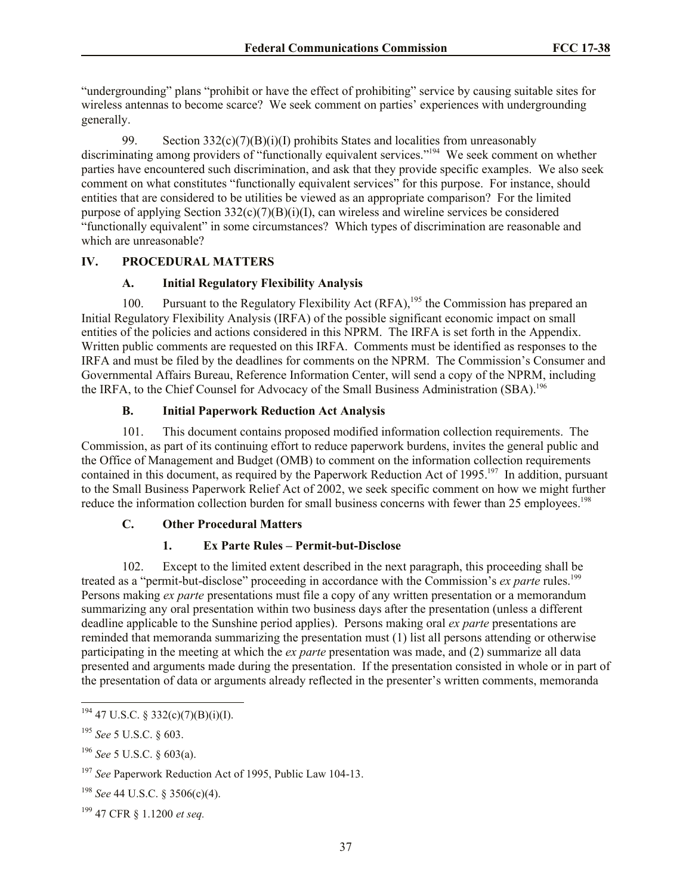"undergrounding" plans "prohibit or have the effect of prohibiting" service by causing suitable sites for wireless antennas to become scarce? We seek comment on parties' experiences with undergrounding generally.

99. Section  $332(c)(7)(B)(i)(I)$  prohibits States and localities from unreasonably discriminating among providers of "functionally equivalent services."<sup>194</sup> We seek comment on whether parties have encountered such discrimination, and ask that they provide specific examples. We also seek comment on what constitutes "functionally equivalent services" for this purpose. For instance, should entities that are considered to be utilities be viewed as an appropriate comparison? For the limited purpose of applying Section  $332(c)(7)(B)(i)(I)$ , can wireless and wireline services be considered "functionally equivalent" in some circumstances? Which types of discrimination are reasonable and which are unreasonable?

# **IV. PROCEDURAL MATTERS**

## **A. Initial Regulatory Flexibility Analysis**

100. Pursuant to the Regulatory Flexibility Act  $(RFA)$ ,<sup>195</sup> the Commission has prepared an Initial Regulatory Flexibility Analysis (IRFA) of the possible significant economic impact on small entities of the policies and actions considered in this NPRM. The IRFA is set forth in the Appendix. Written public comments are requested on this IRFA. Comments must be identified as responses to the IRFA and must be filed by the deadlines for comments on the NPRM. The Commission's Consumer and Governmental Affairs Bureau, Reference Information Center, will send a copy of the NPRM, including the IRFA, to the Chief Counsel for Advocacy of the Small Business Administration (SBA).<sup>196</sup>

# **B. Initial Paperwork Reduction Act Analysis**

101. This document contains proposed modified information collection requirements. The Commission, as part of its continuing effort to reduce paperwork burdens, invites the general public and the Office of Management and Budget (OMB) to comment on the information collection requirements contained in this document, as required by the Paperwork Reduction Act of 1995.<sup>197</sup> In addition, pursuant to the Small Business Paperwork Relief Act of 2002, we seek specific comment on how we might further reduce the information collection burden for small business concerns with fewer than 25 employees.<sup>198</sup>

# **C. Other Procedural Matters**

# **1. Ex Parte Rules – Permit-but-Disclose**

102. Except to the limited extent described in the next paragraph, this proceeding shall be treated as a "permit-but-disclose" proceeding in accordance with the Commission's *ex parte* rules.<sup>199</sup> Persons making *ex parte* presentations must file a copy of any written presentation or a memorandum summarizing any oral presentation within two business days after the presentation (unless a different deadline applicable to the Sunshine period applies). Persons making oral *ex parte* presentations are reminded that memoranda summarizing the presentation must (1) list all persons attending or otherwise participating in the meeting at which the *ex parte* presentation was made, and (2) summarize all data presented and arguments made during the presentation. If the presentation consisted in whole or in part of the presentation of data or arguments already reflected in the presenter's written comments, memoranda

 $194$  47 U.S.C. § 332(c)(7)(B)(i)(I).

<sup>195</sup> *See* 5 U.S.C. § 603.

<sup>196</sup> *See* 5 U.S.C. § 603(a).

<sup>197</sup> *See* Paperwork Reduction Act of 1995, Public Law 104-13.

<sup>198</sup> *See* 44 U.S.C. § 3506(c)(4).

<sup>199</sup> 47 CFR § 1.1200 *et seq.*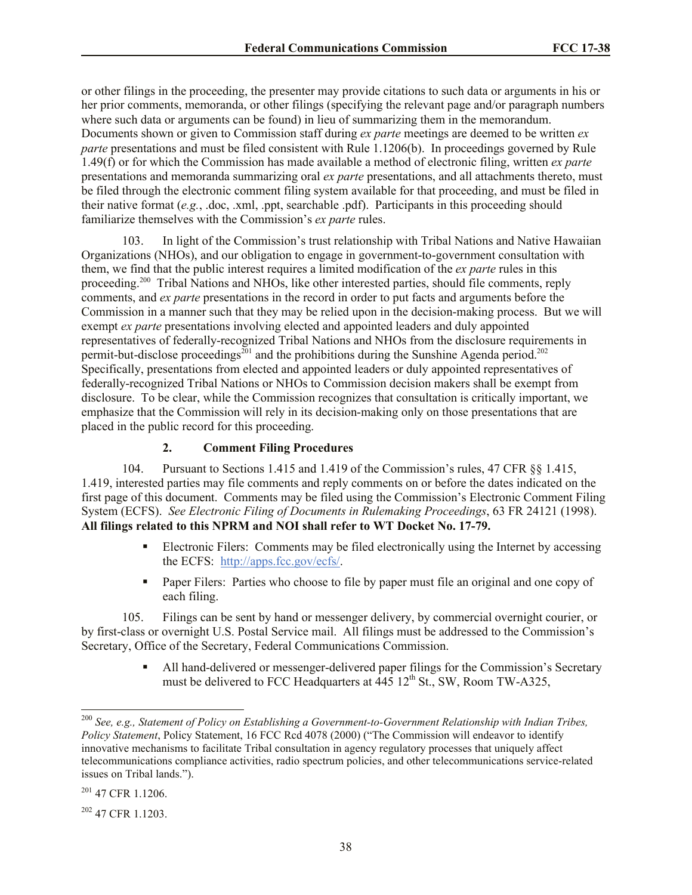or other filings in the proceeding, the presenter may provide citations to such data or arguments in his or her prior comments, memoranda, or other filings (specifying the relevant page and/or paragraph numbers where such data or arguments can be found) in lieu of summarizing them in the memorandum. Documents shown or given to Commission staff during *ex parte* meetings are deemed to be written *ex parte* presentations and must be filed consistent with Rule 1.1206(b). In proceedings governed by Rule 1.49(f) or for which the Commission has made available a method of electronic filing, written *ex parte*  presentations and memoranda summarizing oral *ex parte* presentations, and all attachments thereto, must be filed through the electronic comment filing system available for that proceeding, and must be filed in their native format (*e.g.*, .doc, .xml, .ppt, searchable .pdf). Participants in this proceeding should familiarize themselves with the Commission's *ex parte* rules.

103. In light of the Commission's trust relationship with Tribal Nations and Native Hawaiian Organizations (NHOs), and our obligation to engage in government-to-government consultation with them, we find that the public interest requires a limited modification of the *ex parte* rules in this proceeding.<sup>200</sup> Tribal Nations and NHOs, like other interested parties, should file comments, reply comments, and *ex parte* presentations in the record in order to put facts and arguments before the Commission in a manner such that they may be relied upon in the decision-making process. But we will exempt *ex parte* presentations involving elected and appointed leaders and duly appointed representatives of federally-recognized Tribal Nations and NHOs from the disclosure requirements in permit-but-disclose proceedings<sup>201</sup> and the prohibitions during the Sunshine Agenda period.<sup>202</sup> Specifically, presentations from elected and appointed leaders or duly appointed representatives of federally-recognized Tribal Nations or NHOs to Commission decision makers shall be exempt from disclosure. To be clear, while the Commission recognizes that consultation is critically important, we emphasize that the Commission will rely in its decision-making only on those presentations that are placed in the public record for this proceeding.

# **2. Comment Filing Procedures**

104. Pursuant to Sections 1.415 and 1.419 of the Commission's rules, 47 CFR §§ 1.415, 1.419, interested parties may file comments and reply comments on or before the dates indicated on the first page of this document. Comments may be filed using the Commission's Electronic Comment Filing System (ECFS). *See Electronic Filing of Documents in Rulemaking Proceedings*, 63 FR 24121 (1998). **All filings related to this NPRM and NOI shall refer to WT Docket No. 17-79.**

- **Electronic Filers:** Comments may be filed electronically using the Internet by accessing the ECFS: http://apps.fcc.gov/ecfs/.
- **Paper Filers:** Parties who choose to file by paper must file an original and one copy of each filing.

105. Filings can be sent by hand or messenger delivery, by commercial overnight courier, or by first-class or overnight U.S. Postal Service mail. All filings must be addressed to the Commission's Secretary, Office of the Secretary, Federal Communications Commission.

> All hand-delivered or messenger-delivered paper filings for the Commission's Secretary must be delivered to FCC Headquarters at  $\frac{445}{12}$ th St., SW, Room TW-A325,

<sup>200</sup> *See, e.g., Statement of Policy on Establishing a Government-to-Government Relationship with Indian Tribes, Policy Statement*, Policy Statement, 16 FCC Rcd 4078 (2000) ("The Commission will endeavor to identify innovative mechanisms to facilitate Tribal consultation in agency regulatory processes that uniquely affect telecommunications compliance activities, radio spectrum policies, and other telecommunications service-related issues on Tribal lands.").

<sup>201</sup> 47 CFR 1.1206.

<sup>202</sup> 47 CFR 1.1203.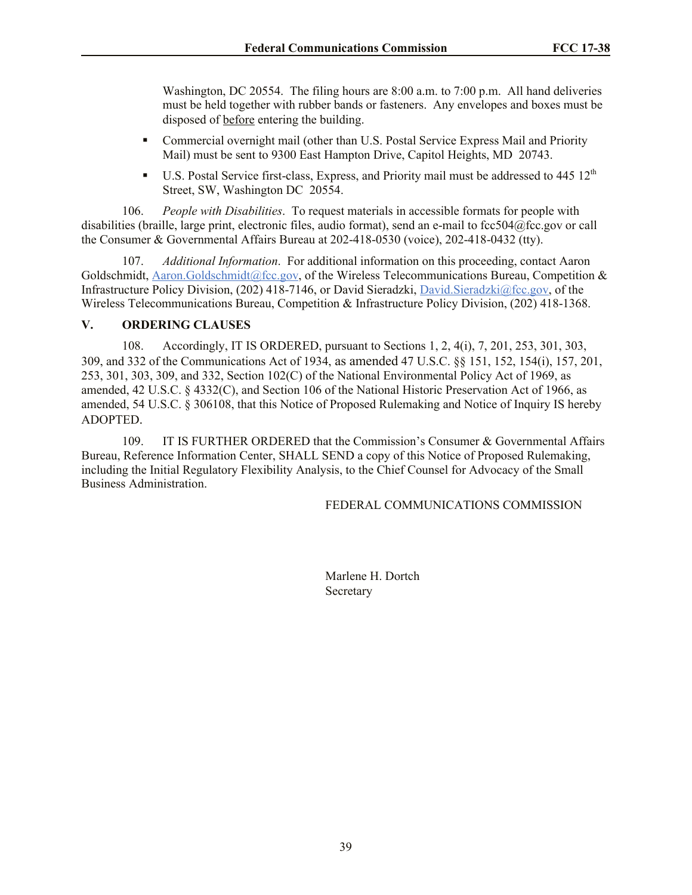Washington, DC 20554. The filing hours are 8:00 a.m. to 7:00 p.m. All hand deliveries must be held together with rubber bands or fasteners. Any envelopes and boxes must be disposed of before entering the building.

- Commercial overnight mail (other than U.S. Postal Service Express Mail and Priority Mail) must be sent to 9300 East Hampton Drive, Capitol Heights, MD 20743.
- U.S. Postal Service first-class, Express, and Priority mail must be addressed to  $445 \times 12^{th}$ Street, SW, Washington DC 20554.

106. *People with Disabilities*. To request materials in accessible formats for people with disabilities (braille, large print, electronic files, audio format), send an e-mail to fcc504@fcc.gov or call the Consumer & Governmental Affairs Bureau at 202-418-0530 (voice), 202-418-0432 (tty).

107. *Additional Information*. For additional information on this proceeding, contact Aaron Goldschmidt, Aaron.Goldschmidt@fcc.gov, of the Wireless Telecommunications Bureau, Competition & Infrastructure Policy Division, (202) 418-7146, or David Sieradzki, David.Sieradzki@fcc.gov, of the Wireless Telecommunications Bureau, Competition & Infrastructure Policy Division, (202) 418-1368.

### **V. ORDERING CLAUSES**

108. Accordingly, IT IS ORDERED, pursuant to Sections 1, 2, 4(i), 7, 201, 253, 301, 303, 309, and 332 of the Communications Act of 1934, as amended 47 U.S.C. §§ 151, 152, 154(i), 157, 201, 253, 301, 303, 309, and 332, Section 102(C) of the National Environmental Policy Act of 1969, as amended, 42 U.S.C. § 4332(C), and Section 106 of the National Historic Preservation Act of 1966, as amended, 54 U.S.C. § 306108, that this Notice of Proposed Rulemaking and Notice of Inquiry IS hereby ADOPTED.

109. IT IS FURTHER ORDERED that the Commission's Consumer & Governmental Affairs Bureau, Reference Information Center, SHALL SEND a copy of this Notice of Proposed Rulemaking, including the Initial Regulatory Flexibility Analysis, to the Chief Counsel for Advocacy of the Small Business Administration.

FEDERAL COMMUNICATIONS COMMISSION

Marlene H. Dortch Secretary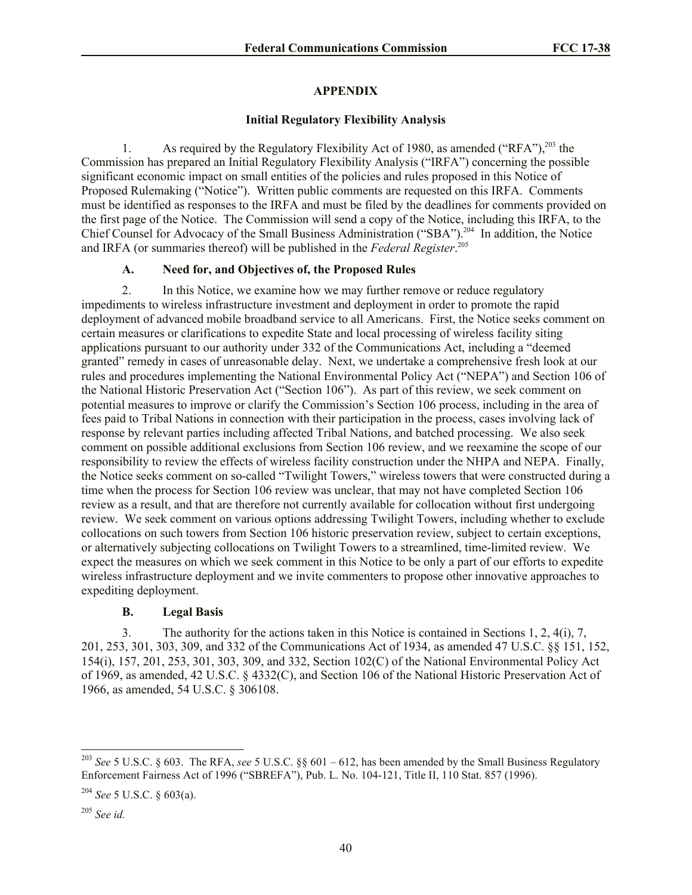### **APPENDIX**

### **Initial Regulatory Flexibility Analysis**

1. As required by the Regulatory Flexibility Act of 1980, as amended ("RFA"),<sup>203</sup> the Commission has prepared an Initial Regulatory Flexibility Analysis ("IRFA") concerning the possible significant economic impact on small entities of the policies and rules proposed in this Notice of Proposed Rulemaking ("Notice"). Written public comments are requested on this IRFA. Comments must be identified as responses to the IRFA and must be filed by the deadlines for comments provided on the first page of the Notice. The Commission will send a copy of the Notice, including this IRFA, to the Chief Counsel for Advocacy of the Small Business Administration ("SBA").<sup>204</sup> In addition, the Notice and IRFA (or summaries thereof) will be published in the *Federal Register*. 205

### **A. Need for, and Objectives of, the Proposed Rules**

2. In this Notice, we examine how we may further remove or reduce regulatory impediments to wireless infrastructure investment and deployment in order to promote the rapid deployment of advanced mobile broadband service to all Americans. First, the Notice seeks comment on certain measures or clarifications to expedite State and local processing of wireless facility siting applications pursuant to our authority under 332 of the Communications Act, including a "deemed granted" remedy in cases of unreasonable delay. Next, we undertake a comprehensive fresh look at our rules and procedures implementing the National Environmental Policy Act ("NEPA") and Section 106 of the National Historic Preservation Act ("Section 106"). As part of this review, we seek comment on potential measures to improve or clarify the Commission's Section 106 process, including in the area of fees paid to Tribal Nations in connection with their participation in the process, cases involving lack of response by relevant parties including affected Tribal Nations, and batched processing. We also seek comment on possible additional exclusions from Section 106 review, and we reexamine the scope of our responsibility to review the effects of wireless facility construction under the NHPA and NEPA. Finally, the Notice seeks comment on so-called "Twilight Towers," wireless towers that were constructed during a time when the process for Section 106 review was unclear, that may not have completed Section 106 review as a result, and that are therefore not currently available for collocation without first undergoing review. We seek comment on various options addressing Twilight Towers, including whether to exclude collocations on such towers from Section 106 historic preservation review, subject to certain exceptions, or alternatively subjecting collocations on Twilight Towers to a streamlined, time-limited review. We expect the measures on which we seek comment in this Notice to be only a part of our efforts to expedite wireless infrastructure deployment and we invite commenters to propose other innovative approaches to expediting deployment.

### **B. Legal Basis**

3. The authority for the actions taken in this Notice is contained in Sections 1, 2, 4(i), 7, 201, 253, 301, 303, 309, and 332 of the Communications Act of 1934, as amended 47 U.S.C. §§ 151, 152, 154(i), 157, 201, 253, 301, 303, 309, and 332, Section 102(C) of the National Environmental Policy Act of 1969, as amended, 42 U.S.C. § 4332(C), and Section 106 of the National Historic Preservation Act of 1966, as amended, 54 U.S.C. § 306108.

 $\overline{\phantom{a}}$ 

<sup>203</sup> *See* 5 U.S.C. § 603. The RFA, *see* 5 U.S.C. §§ 601 – 612, has been amended by the Small Business Regulatory Enforcement Fairness Act of 1996 ("SBREFA"), Pub. L. No. 104-121, Title II, 110 Stat. 857 (1996).

<sup>204</sup> *See* 5 U.S.C. § 603(a).

<sup>205</sup> *See id.*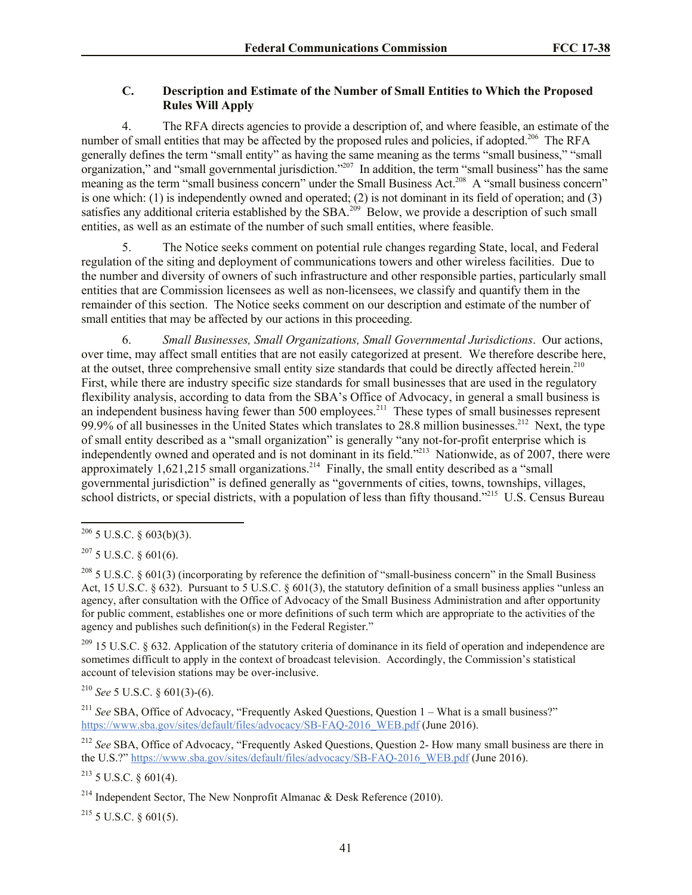# **C. Description and Estimate of the Number of Small Entities to Which the Proposed Rules Will Apply**

4. The RFA directs agencies to provide a description of, and where feasible, an estimate of the number of small entities that may be affected by the proposed rules and policies, if adopted.<sup>206</sup> The RFA generally defines the term "small entity" as having the same meaning as the terms "small business," "small organization," and "small governmental jurisdiction."<sup>207</sup> In addition, the term "small business" has the same meaning as the term "small business concern" under the Small Business Act.<sup>208</sup> A "small business concern" is one which: (1) is independently owned and operated; (2) is not dominant in its field of operation; and (3) satisfies any additional criteria established by the SBA.<sup>209</sup> Below, we provide a description of such small entities, as well as an estimate of the number of such small entities, where feasible.

5. The Notice seeks comment on potential rule changes regarding State, local, and Federal regulation of the siting and deployment of communications towers and other wireless facilities. Due to the number and diversity of owners of such infrastructure and other responsible parties, particularly small entities that are Commission licensees as well as non-licensees, we classify and quantify them in the remainder of this section. The Notice seeks comment on our description and estimate of the number of small entities that may be affected by our actions in this proceeding.

6. *Small Businesses, Small Organizations, Small Governmental Jurisdictions*. Our actions, over time, may affect small entities that are not easily categorized at present. We therefore describe here, at the outset, three comprehensive small entity size standards that could be directly affected herein.<sup>210</sup> First, while there are industry specific size standards for small businesses that are used in the regulatory flexibility analysis, according to data from the SBA's Office of Advocacy, in general a small business is an independent business having fewer than 500 employees.<sup>211</sup> These types of small businesses represent 99.9% of all businesses in the United States which translates to 28.8 million businesses.<sup>212</sup> Next, the type of small entity described as a "small organization" is generally "any not-for-profit enterprise which is independently owned and operated and is not dominant in its field."<sup>213</sup> Nationwide, as of 2007, there were approximately  $1,621,215$  small organizations.<sup>214</sup> Finally, the small entity described as a "small governmental jurisdiction" is defined generally as "governments of cities, towns, townships, villages, school districts, or special districts, with a population of less than fifty thousand."<sup>215</sup> U.S. Census Bureau

 $209$  15 U.S.C. § 632. Application of the statutory criteria of dominance in its field of operation and independence are sometimes difficult to apply in the context of broadcast television. Accordingly, the Commission's statistical account of television stations may be over-inclusive.

<sup>210</sup> *See* 5 U.S.C. § 601(3)-(6).

<sup>211</sup> See SBA, Office of Advocacy, "Frequently Asked Questions, Question 1 – What is a small business?" https://www.sba.gov/sites/default/files/advocacy/SB-FAQ-2016\_WEB.pdf (June 2016).

<sup>212</sup> *See* SBA, Office of Advocacy, "Frequently Asked Questions, Question 2- How many small business are there in the U.S.?" https://www.sba.gov/sites/default/files/advocacy/SB-FAQ-2016\_WEB.pdf (June 2016).

 $213$  5 U.S.C. § 601(4).

 $^{215}$  5 U.S.C.  $\delta$  601(5).

 $\overline{a}$  $206$  5 U.S.C. § 603(b)(3).

 $207$  5 U.S.C. § 601(6).

<sup>&</sup>lt;sup>208</sup> 5 U.S.C. § 601(3) (incorporating by reference the definition of "small-business concern" in the Small Business Act, 15 U.S.C. § 632). Pursuant to 5 U.S.C. § 601(3), the statutory definition of a small business applies "unless an agency, after consultation with the Office of Advocacy of the Small Business Administration and after opportunity for public comment, establishes one or more definitions of such term which are appropriate to the activities of the agency and publishes such definition(s) in the Federal Register."

<sup>&</sup>lt;sup>214</sup> Independent Sector, The New Nonprofit Almanac & Desk Reference (2010).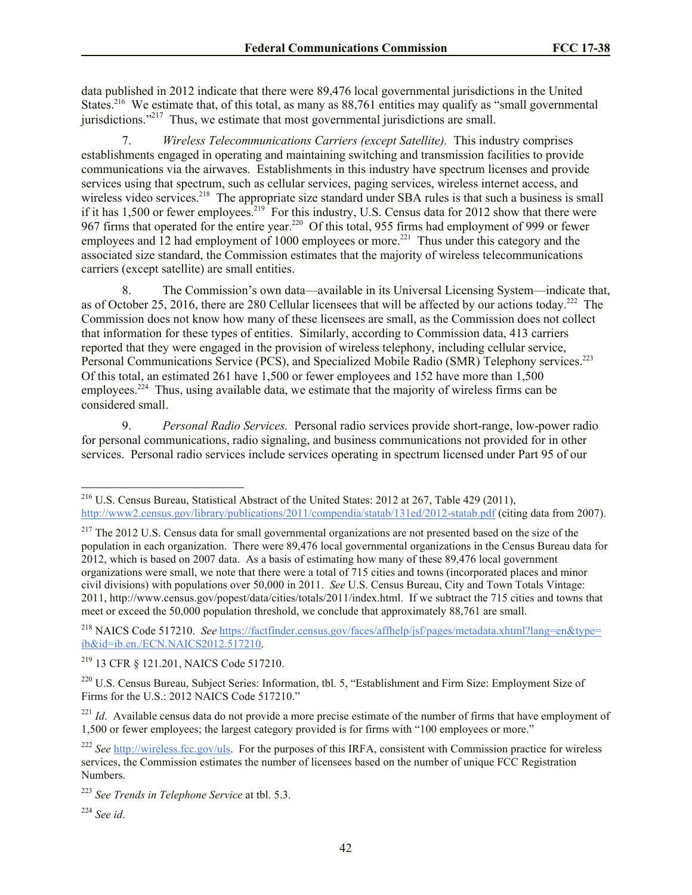data published in 2012 indicate that there were 89,476 local governmental jurisdictions in the United States.<sup>216</sup> We estimate that, of this total, as many as 88,761 entities may qualify as "small governmental" jurisdictions."<sup>217</sup> Thus, we estimate that most governmental jurisdictions are small.

7. *Wireless Telecommunications Carriers (except Satellite).* This industry comprises establishments engaged in operating and maintaining switching and transmission facilities to provide communications via the airwaves. Establishments in this industry have spectrum licenses and provide services using that spectrum, such as cellular services, paging services, wireless internet access, and wireless video services.<sup>218</sup> The appropriate size standard under SBA rules is that such a business is small if it has 1,500 or fewer employees.<sup>219</sup> For this industry, U.S. Census data for 2012 show that there were 967 firms that operated for the entire year.<sup>220</sup> Of this total, 955 firms had employment of 999 or fewer employees and 12 had employment of 1000 employees or more.<sup>221</sup> Thus under this category and the associated size standard, the Commission estimates that the majority of wireless telecommunications carriers (except satellite) are small entities.

8. The Commission's own data—available in its Universal Licensing System—indicate that, as of October 25, 2016, there are 280 Cellular licensees that will be affected by our actions today.<sup>222</sup> The Commission does not know how many of these licensees are small, as the Commission does not collect that information for these types of entities. Similarly, according to Commission data, 413 carriers reported that they were engaged in the provision of wireless telephony, including cellular service, Personal Communications Service (PCS), and Specialized Mobile Radio (SMR) Telephony services.<sup>223</sup> Of this total, an estimated 261 have 1,500 or fewer employees and 152 have more than 1,500 employees.<sup>224</sup> Thus, using available data, we estimate that the majority of wireless firms can be considered small.

9. *Personal Radio Services.* Personal radio services provide short-range, low-power radio for personal communications, radio signaling, and business communications not provided for in other services. Personal radio services include services operating in spectrum licensed under Part 95 of our

<sup>218</sup> NAICS Code 517210. *See* https://factfinder.census.gov/faces/affhelp/jsf/pages/metadata.xhtml?lang=en&type= ib&id=ib.en./ECN.NAICS2012.517210.

<sup>219</sup> 13 CFR § 121.201, NAICS Code 517210.

<sup>220</sup> U.S. Census Bureau, Subject Series: Information, tbl. 5, "Establishment and Firm Size: Employment Size of Firms for the U.S.: 2012 NAICS Code 517210."

<sup>221</sup> *Id.* Available census data do not provide a more precise estimate of the number of firms that have employment of 1,500 or fewer employees; the largest category provided is for firms with "100 employees or more."

 $\overline{\phantom{a}}$ 

<sup>&</sup>lt;sup>216</sup> U.S. Census Bureau, Statistical Abstract of the United States: 2012 at 267, Table 429 (2011), http://www2.census.gov/library/publications/2011/compendia/statab/131ed/2012-statab.pdf (citing data from 2007).

<sup>&</sup>lt;sup>217</sup> The 2012 U.S. Census data for small governmental organizations are not presented based on the size of the population in each organization. There were 89,476 local governmental organizations in the Census Bureau data for 2012, which is based on 2007 data. As a basis of estimating how many of these 89,476 local government organizations were small, we note that there were a total of 715 cities and towns (incorporated places and minor civil divisions) with populations over 50,000 in 2011. *See* U.S. Census Bureau, City and Town Totals Vintage: 2011, http://www.census.gov/popest/data/cities/totals/2011/index.html. If we subtract the 715 cities and towns that meet or exceed the 50,000 population threshold, we conclude that approximately 88,761 are small.

<sup>222</sup> *See* http://wireless.fcc.gov/uls. For the purposes of this IRFA, consistent with Commission practice for wireless services, the Commission estimates the number of licensees based on the number of unique FCC Registration Numbers.

<sup>223</sup> *See Trends in Telephone Service* at tbl. 5.3.

<sup>224</sup> *See id*.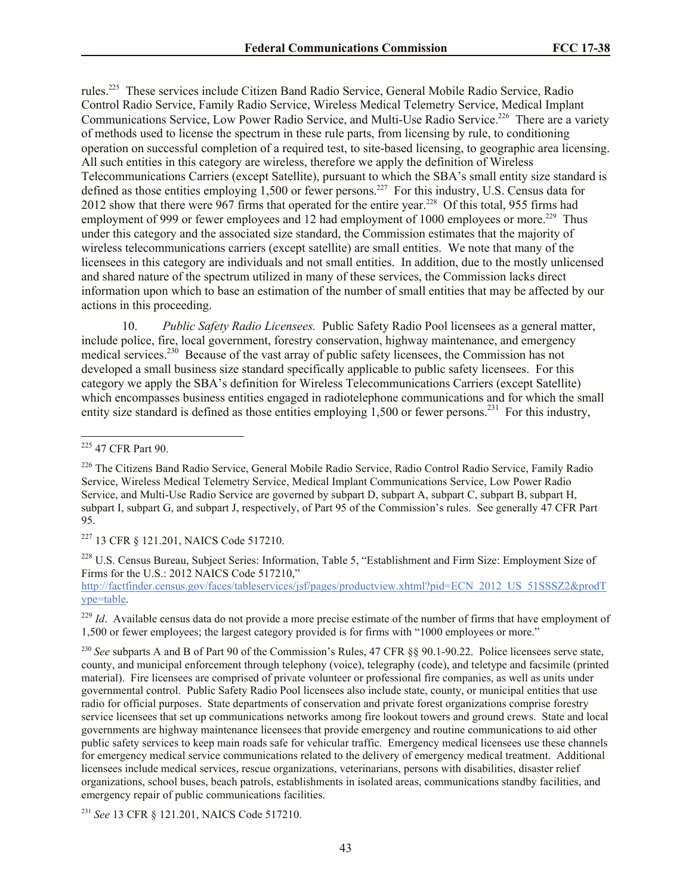rules.<sup>225</sup> These services include Citizen Band Radio Service, General Mobile Radio Service, Radio Control Radio Service, Family Radio Service, Wireless Medical Telemetry Service, Medical Implant Communications Service, Low Power Radio Service, and Multi-Use Radio Service.<sup>226</sup> There are a variety of methods used to license the spectrum in these rule parts, from licensing by rule, to conditioning operation on successful completion of a required test, to site-based licensing, to geographic area licensing. All such entities in this category are wireless, therefore we apply the definition of Wireless Telecommunications Carriers (except Satellite), pursuant to which the SBA's small entity size standard is defined as those entities employing 1,500 or fewer persons.<sup>227</sup> For this industry, U.S. Census data for 2012 show that there were 967 firms that operated for the entire year.<sup>228</sup> Of this total, 955 firms had employment of 999 or fewer employees and 12 had employment of 1000 employees or more.<sup>229</sup> Thus under this category and the associated size standard, the Commission estimates that the majority of wireless telecommunications carriers (except satellite) are small entities. We note that many of the licensees in this category are individuals and not small entities. In addition, due to the mostly unlicensed and shared nature of the spectrum utilized in many of these services, the Commission lacks direct information upon which to base an estimation of the number of small entities that may be affected by our actions in this proceeding.

10. *Public Safety Radio Licensees.* Public Safety Radio Pool licensees as a general matter, include police, fire, local government, forestry conservation, highway maintenance, and emergency medical services.<sup>230</sup> Because of the vast array of public safety licensees, the Commission has not developed a small business size standard specifically applicable to public safety licensees. For this category we apply the SBA's definition for Wireless Telecommunications Carriers (except Satellite) which encompasses business entities engaged in radiotelephone communications and for which the small entity size standard is defined as those entities employing  $1,500$  or fewer persons.<sup>231</sup> For this industry,

<sup>227</sup> 13 CFR § 121.201, NAICS Code 517210.

<sup>228</sup> U.S. Census Bureau, Subject Series: Information, Table 5, "Establishment and Firm Size: Employment Size of Firms for the U.S.: 2012 NAICS Code 517210,"

http://factfinder.census.gov/faces/tableservices/jsf/pages/productview.xhtml?pid=ECN\_2012\_US\_51SSSZ2&prodT ype=table.

<sup>229</sup> *Id.* Available census data do not provide a more precise estimate of the number of firms that have employment of 1,500 or fewer employees; the largest category provided is for firms with "1000 employees or more."

<sup>230</sup> *See* subparts A and B of Part 90 of the Commission's Rules, 47 CFR §§ 90.1-90.22. Police licensees serve state, county, and municipal enforcement through telephony (voice), telegraphy (code), and teletype and facsimile (printed material). Fire licensees are comprised of private volunteer or professional fire companies, as well as units under governmental control. Public Safety Radio Pool licensees also include state, county, or municipal entities that use radio for official purposes. State departments of conservation and private forest organizations comprise forestry service licensees that set up communications networks among fire lookout towers and ground crews. State and local governments are highway maintenance licensees that provide emergency and routine communications to aid other public safety services to keep main roads safe for vehicular traffic. Emergency medical licensees use these channels for emergency medical service communications related to the delivery of emergency medical treatment. Additional licensees include medical services, rescue organizations, veterinarians, persons with disabilities, disaster relief organizations, school buses, beach patrols, establishments in isolated areas, communications standby facilities, and emergency repair of public communications facilities.

<sup>231</sup> *See* 13 CFR § 121.201, NAICS Code 517210.

 $\overline{a}$ <sup>225</sup> 47 CFR Part 90.

<sup>&</sup>lt;sup>226</sup> The Citizens Band Radio Service, General Mobile Radio Service, Radio Control Radio Service, Family Radio Service, Wireless Medical Telemetry Service, Medical Implant Communications Service, Low Power Radio Service, and Multi-Use Radio Service are governed by subpart D, subpart A, subpart C, subpart B, subpart H, subpart I, subpart G, and subpart J, respectively, of Part 95 of the Commission's rules. See generally 47 CFR Part 95.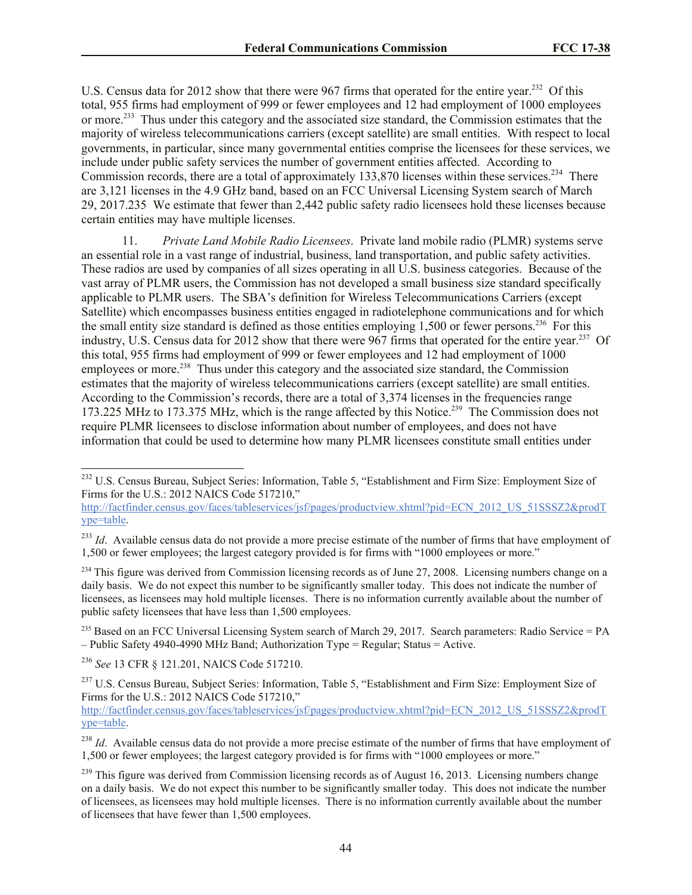U.S. Census data for 2012 show that there were 967 firms that operated for the entire year.<sup>232</sup> Of this total, 955 firms had employment of 999 or fewer employees and 12 had employment of 1000 employees or more.<sup>233</sup> Thus under this category and the associated size standard, the Commission estimates that the majority of wireless telecommunications carriers (except satellite) are small entities. With respect to local governments, in particular, since many governmental entities comprise the licensees for these services, we include under public safety services the number of government entities affected. According to Commission records, there are a total of approximately 133,870 licenses within these services.<sup>234</sup> There are 3,121 licenses in the 4.9 GHz band, based on an FCC Universal Licensing System search of March 29, 2017.235 We estimate that fewer than 2,442 public safety radio licensees hold these licenses because certain entities may have multiple licenses.

11. *Private Land Mobile Radio Licensees*. Private land mobile radio (PLMR) systems serve an essential role in a vast range of industrial, business, land transportation, and public safety activities. These radios are used by companies of all sizes operating in all U.S. business categories. Because of the vast array of PLMR users, the Commission has not developed a small business size standard specifically applicable to PLMR users. The SBA's definition for Wireless Telecommunications Carriers (except Satellite) which encompasses business entities engaged in radiotelephone communications and for which the small entity size standard is defined as those entities employing 1,500 or fewer persons.<sup>236</sup> For this industry, U.S. Census data for 2012 show that there were 967 firms that operated for the entire year.<sup>237</sup> Of this total, 955 firms had employment of 999 or fewer employees and 12 had employment of 1000 employees or more.<sup>238</sup> Thus under this category and the associated size standard, the Commission estimates that the majority of wireless telecommunications carriers (except satellite) are small entities. According to the Commission's records, there are a total of 3,374 licenses in the frequencies range 173.225 MHz to 173.375 MHz, which is the range affected by this Notice. 239 The Commission does not require PLMR licensees to disclose information about number of employees, and does not have information that could be used to determine how many PLMR licensees constitute small entities under

<sup>234</sup> This figure was derived from Commission licensing records as of June 27, 2008. Licensing numbers change on a daily basis. We do not expect this number to be significantly smaller today. This does not indicate the number of licensees, as licensees may hold multiple licenses. There is no information currently available about the number of public safety licensees that have less than 1,500 employees.

<sup>236</sup> *See* 13 CFR § 121.201, NAICS Code 517210.

 $\overline{a}$ 

http://factfinder.census.gov/faces/tableservices/jsf/pages/productview.xhtml?pid=ECN\_2012\_US\_51SSSZ2&prodT ype=table.

<sup>&</sup>lt;sup>232</sup> U.S. Census Bureau, Subject Series: Information, Table 5, "Establishment and Firm Size: Employment Size of Firms for the U.S.: 2012 NAICS Code 517210,"

http://factfinder.census.gov/faces/tableservices/jsf/pages/productview.xhtml?pid=ECN\_2012\_US\_51SSSZ2&prodT ype=table.

<sup>&</sup>lt;sup>233</sup> *Id.* Available census data do not provide a more precise estimate of the number of firms that have employment of 1,500 or fewer employees; the largest category provided is for firms with "1000 employees or more."

<sup>&</sup>lt;sup>235</sup> Based on an FCC Universal Licensing System search of March 29, 2017. Search parameters: Radio Service = PA – Public Safety 4940-4990 MHz Band; Authorization Type = Regular; Status = Active.

<sup>&</sup>lt;sup>237</sup> U.S. Census Bureau, Subject Series: Information, Table 5, "Establishment and Firm Size: Employment Size of Firms for the U.S.: 2012 NAICS Code 517210,"

<sup>&</sup>lt;sup>238</sup> *Id.* Available census data do not provide a more precise estimate of the number of firms that have employment of 1,500 or fewer employees; the largest category provided is for firms with "1000 employees or more."

<sup>&</sup>lt;sup>239</sup> This figure was derived from Commission licensing records as of August 16, 2013. Licensing numbers change on a daily basis. We do not expect this number to be significantly smaller today. This does not indicate the number of licensees, as licensees may hold multiple licenses. There is no information currently available about the number of licensees that have fewer than 1,500 employees.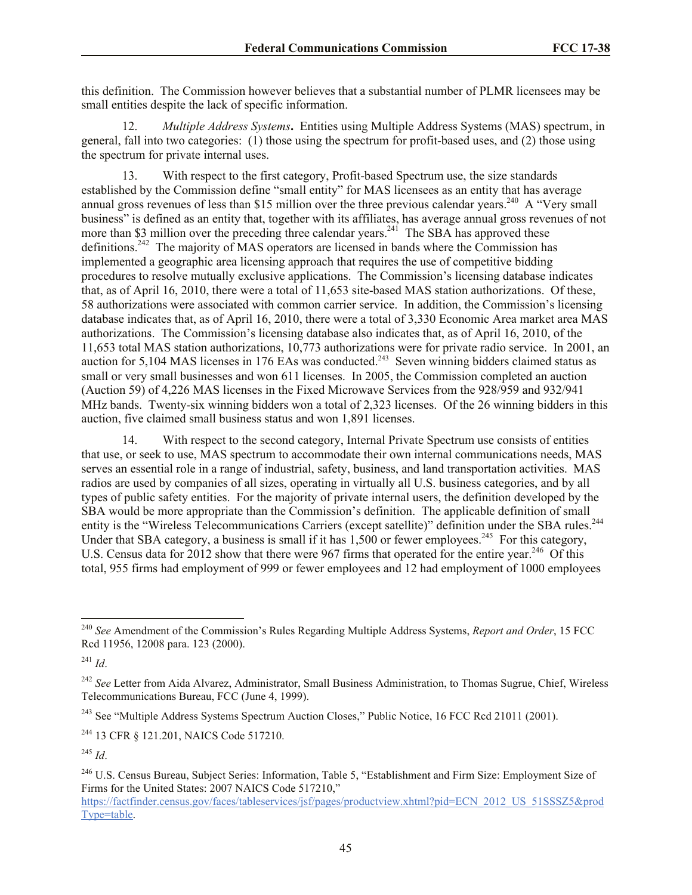this definition. The Commission however believes that a substantial number of PLMR licensees may be small entities despite the lack of specific information.

12. *Multiple Address Systems***.** Entities using Multiple Address Systems (MAS) spectrum, in general, fall into two categories: (1) those using the spectrum for profit-based uses, and (2) those using the spectrum for private internal uses.

13. With respect to the first category, Profit-based Spectrum use, the size standards established by the Commission define "small entity" for MAS licensees as an entity that has average annual gross revenues of less than \$15 million over the three previous calendar years.<sup>240</sup> A "Very small business" is defined as an entity that, together with its affiliates, has average annual gross revenues of not more than \$3 million over the preceding three calendar years.<sup>241</sup> The SBA has approved these definitions.<sup>242</sup> The majority of MAS operators are licensed in bands where the Commission has implemented a geographic area licensing approach that requires the use of competitive bidding procedures to resolve mutually exclusive applications. The Commission's licensing database indicates that, as of April 16, 2010, there were a total of 11,653 site-based MAS station authorizations. Of these, 58 authorizations were associated with common carrier service. In addition, the Commission's licensing database indicates that, as of April 16, 2010, there were a total of 3,330 Economic Area market area MAS authorizations. The Commission's licensing database also indicates that, as of April 16, 2010, of the 11,653 total MAS station authorizations, 10,773 authorizations were for private radio service. In 2001, an auction for  $5,104$  MAS licenses in 176 EAs was conducted.<sup>243</sup> Seven winning bidders claimed status as small or very small businesses and won 611 licenses. In 2005, the Commission completed an auction (Auction 59) of 4,226 MAS licenses in the Fixed Microwave Services from the 928/959 and 932/941 MHz bands. Twenty-six winning bidders won a total of 2,323 licenses. Of the 26 winning bidders in this auction, five claimed small business status and won 1,891 licenses.

14. With respect to the second category, Internal Private Spectrum use consists of entities that use, or seek to use, MAS spectrum to accommodate their own internal communications needs, MAS serves an essential role in a range of industrial, safety, business, and land transportation activities. MAS radios are used by companies of all sizes, operating in virtually all U.S. business categories, and by all types of public safety entities. For the majority of private internal users, the definition developed by the SBA would be more appropriate than the Commission's definition. The applicable definition of small entity is the "Wireless Telecommunications Carriers (except satellite)" definition under the SBA rules.<sup>244</sup> Under that SBA category, a business is small if it has  $1,500$  or fewer employees.<sup>245</sup> For this category, U.S. Census data for 2012 show that there were 967 firms that operated for the entire year.<sup>246</sup> Of this total, 955 firms had employment of 999 or fewer employees and 12 had employment of 1000 employees

<sup>240</sup> *See* Amendment of the Commission's Rules Regarding Multiple Address Systems, *Report and Order*, 15 FCC Rcd 11956, 12008 para. 123 (2000).

<sup>241</sup> *Id*.

<sup>&</sup>lt;sup>242</sup> See Letter from Aida Alvarez, Administrator, Small Business Administration, to Thomas Sugrue, Chief, Wireless Telecommunications Bureau, FCC (June 4, 1999).

<sup>&</sup>lt;sup>243</sup> See "Multiple Address Systems Spectrum Auction Closes," Public Notice, 16 FCC Rcd 21011 (2001).

<sup>244</sup> 13 CFR § 121.201, NAICS Code 517210.

<sup>245</sup> *Id*.

<sup>&</sup>lt;sup>246</sup> U.S. Census Bureau, Subject Series: Information, Table 5, "Establishment and Firm Size: Employment Size of Firms for the United States: 2007 NAICS Code 517210,"

https://factfinder.census.gov/faces/tableservices/jsf/pages/productview.xhtml?pid=ECN\_2012\_US\_51SSSZ5&prod Type=table.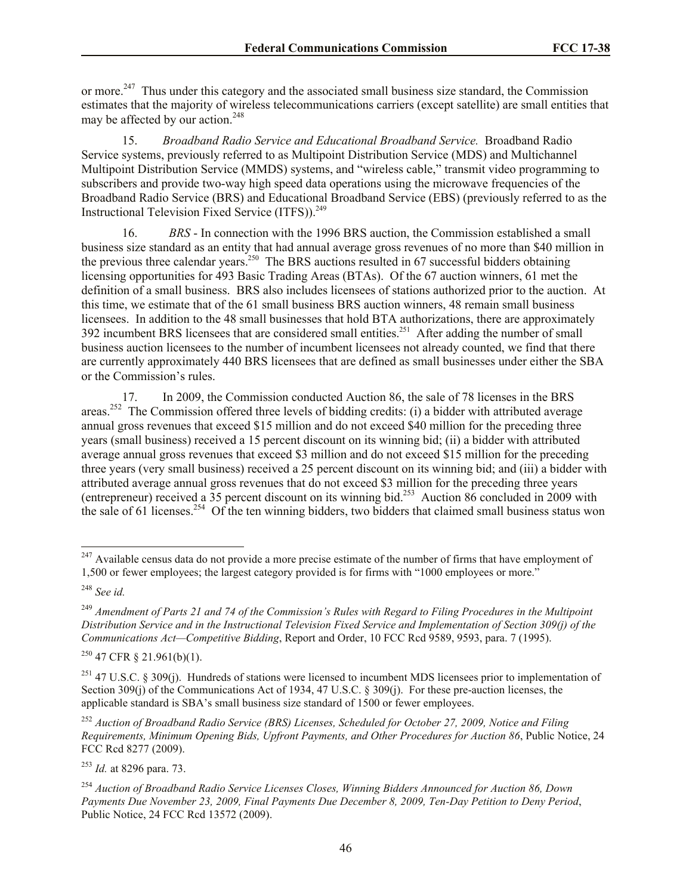or more.<sup>247</sup> Thus under this category and the associated small business size standard, the Commission estimates that the majority of wireless telecommunications carriers (except satellite) are small entities that may be affected by our action.<sup>248</sup>

15. *Broadband Radio Service and Educational Broadband Service.* Broadband Radio Service systems, previously referred to as Multipoint Distribution Service (MDS) and Multichannel Multipoint Distribution Service (MMDS) systems, and "wireless cable," transmit video programming to subscribers and provide two-way high speed data operations using the microwave frequencies of the Broadband Radio Service (BRS) and Educational Broadband Service (EBS) (previously referred to as the Instructional Television Fixed Service (ITFS)).<sup>249</sup>

16. *BRS* - In connection with the 1996 BRS auction, the Commission established a small business size standard as an entity that had annual average gross revenues of no more than \$40 million in the previous three calendar years.<sup>250</sup> The BRS auctions resulted in 67 successful bidders obtaining licensing opportunities for 493 Basic Trading Areas (BTAs). Of the 67 auction winners, 61 met the definition of a small business. BRS also includes licensees of stations authorized prior to the auction. At this time, we estimate that of the 61 small business BRS auction winners, 48 remain small business licensees. In addition to the 48 small businesses that hold BTA authorizations, there are approximately 392 incumbent BRS licensees that are considered small entities.<sup>251</sup> After adding the number of small business auction licensees to the number of incumbent licensees not already counted, we find that there are currently approximately 440 BRS licensees that are defined as small businesses under either the SBA or the Commission's rules.

17. In 2009, the Commission conducted Auction 86, the sale of 78 licenses in the BRS areas.<sup>252</sup> The Commission offered three levels of bidding credits: (i) a bidder with attributed average annual gross revenues that exceed \$15 million and do not exceed \$40 million for the preceding three years (small business) received a 15 percent discount on its winning bid; (ii) a bidder with attributed average annual gross revenues that exceed \$3 million and do not exceed \$15 million for the preceding three years (very small business) received a 25 percent discount on its winning bid; and (iii) a bidder with attributed average annual gross revenues that do not exceed \$3 million for the preceding three years (entrepreneur) received a 35 percent discount on its winning bid.<sup>253</sup> Auction 86 concluded in 2009 with the sale of 61 licenses.<sup>254</sup> Of the ten winning bidders, two bidders that claimed small business status won

 $247$  Available census data do not provide a more precise estimate of the number of firms that have employment of 1,500 or fewer employees; the largest category provided is for firms with "1000 employees or more."

<sup>248</sup> *See id.*

<sup>249</sup> *Amendment of Parts 21 and 74 of the Commission's Rules with Regard to Filing Procedures in the Multipoint Distribution Service and in the Instructional Television Fixed Service and Implementation of Section 309(j) of the Communications Act—Competitive Bidding*, Report and Order, 10 FCC Rcd 9589, 9593, para. 7 (1995).

 $250$  47 CFR § 21.961(b)(1).

<sup>&</sup>lt;sup>251</sup> 47 U.S.C. § 309(j). Hundreds of stations were licensed to incumbent MDS licensees prior to implementation of Section 309(j) of the Communications Act of 1934, 47 U.S.C. § 309(j). For these pre-auction licenses, the applicable standard is SBA's small business size standard of 1500 or fewer employees.

<sup>252</sup> *Auction of Broadband Radio Service (BRS) Licenses, Scheduled for October 27, 2009, Notice and Filing Requirements, Minimum Opening Bids, Upfront Payments, and Other Procedures for Auction 86*, Public Notice, 24 FCC Rcd 8277 (2009).

<sup>253</sup> *Id.* at 8296 para. 73.

<sup>254</sup> *Auction of Broadband Radio Service Licenses Closes, Winning Bidders Announced for Auction 86, Down Payments Due November 23, 2009, Final Payments Due December 8, 2009, Ten-Day Petition to Deny Period*, Public Notice, 24 FCC Rcd 13572 (2009).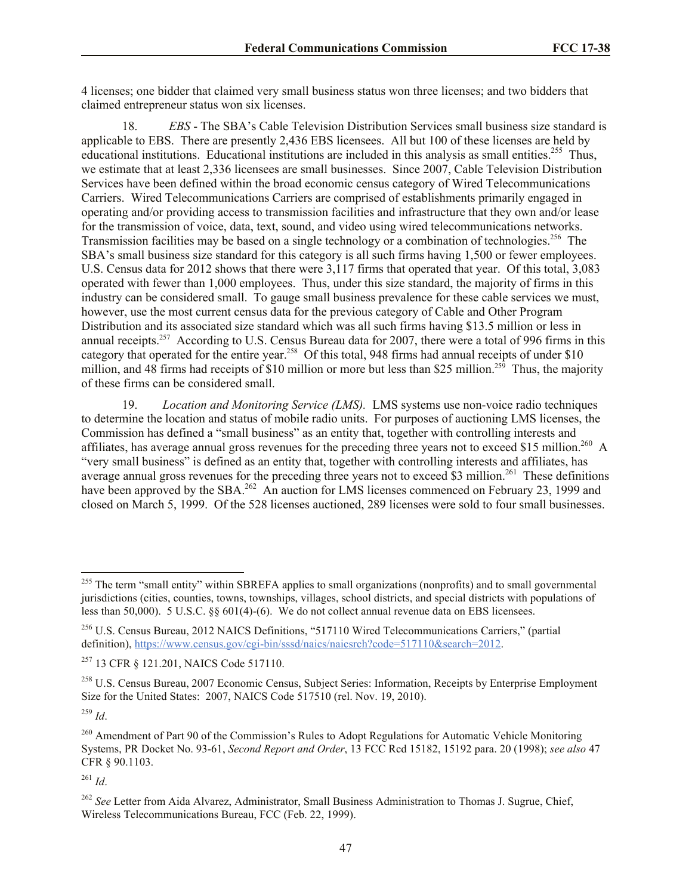4 licenses; one bidder that claimed very small business status won three licenses; and two bidders that claimed entrepreneur status won six licenses.

18. *EBS* - The SBA's Cable Television Distribution Services small business size standard is applicable to EBS. There are presently 2,436 EBS licensees. All but 100 of these licenses are held by educational institutions. Educational institutions are included in this analysis as small entities.<sup>255</sup> Thus, we estimate that at least 2,336 licensees are small businesses. Since 2007, Cable Television Distribution Services have been defined within the broad economic census category of Wired Telecommunications Carriers. Wired Telecommunications Carriers are comprised of establishments primarily engaged in operating and/or providing access to transmission facilities and infrastructure that they own and/or lease for the transmission of voice, data, text, sound, and video using wired telecommunications networks. Transmission facilities may be based on a single technology or a combination of technologies. 256 The SBA's small business size standard for this category is all such firms having 1,500 or fewer employees. U.S. Census data for 2012 shows that there were 3,117 firms that operated that year. Of this total, 3,083 operated with fewer than 1,000 employees. Thus, under this size standard, the majority of firms in this industry can be considered small. To gauge small business prevalence for these cable services we must, however, use the most current census data for the previous category of Cable and Other Program Distribution and its associated size standard which was all such firms having \$13.5 million or less in annual receipts.<sup>257</sup> According to U.S. Census Bureau data for 2007, there were a total of 996 firms in this category that operated for the entire year.<sup>258</sup> Of this total, 948 firms had annual receipts of under \$10 million, and 48 firms had receipts of \$10 million or more but less than \$25 million.<sup>259</sup> Thus, the majority of these firms can be considered small.

19. *Location and Monitoring Service (LMS).* LMS systems use non-voice radio techniques to determine the location and status of mobile radio units. For purposes of auctioning LMS licenses, the Commission has defined a "small business" as an entity that, together with controlling interests and affiliates, has average annual gross revenues for the preceding three years not to exceed \$15 million.<sup>260</sup> A "very small business" is defined as an entity that, together with controlling interests and affiliates, has average annual gross revenues for the preceding three years not to exceed \$3 million.<sup>261</sup> These definitions have been approved by the SBA.<sup>262</sup> An auction for LMS licenses commenced on February 23, 1999 and closed on March 5, 1999. Of the 528 licenses auctioned, 289 licenses were sold to four small businesses.

<sup>259</sup> *Id*.

 $\overline{\phantom{a}}$ 

<sup>261</sup> *Id*.

<sup>&</sup>lt;sup>255</sup> The term "small entity" within SBREFA applies to small organizations (nonprofits) and to small governmental jurisdictions (cities, counties, towns, townships, villages, school districts, and special districts with populations of less than 50,000). 5 U.S.C. §§ 601(4)-(6). We do not collect annual revenue data on EBS licensees.

<sup>256</sup> U.S. Census Bureau, 2012 NAICS Definitions, "517110 Wired Telecommunications Carriers," (partial definition), https://www.census.gov/cgi-bin/sssd/naics/naicsrch?code=517110&search=2012.

<sup>257</sup> 13 CFR § 121.201, NAICS Code 517110.

<sup>&</sup>lt;sup>258</sup> U.S. Census Bureau, 2007 Economic Census, Subject Series: Information, Receipts by Enterprise Employment Size for the United States: 2007, NAICS Code 517510 (rel. Nov. 19, 2010).

<sup>&</sup>lt;sup>260</sup> Amendment of Part 90 of the Commission's Rules to Adopt Regulations for Automatic Vehicle Monitoring Systems, PR Docket No. 93-61, *Second Report and Order*, 13 FCC Rcd 15182, 15192 para. 20 (1998); *see also* 47 CFR § 90.1103.

<sup>262</sup> *See* Letter from Aida Alvarez, Administrator, Small Business Administration to Thomas J. Sugrue, Chief, Wireless Telecommunications Bureau, FCC (Feb. 22, 1999).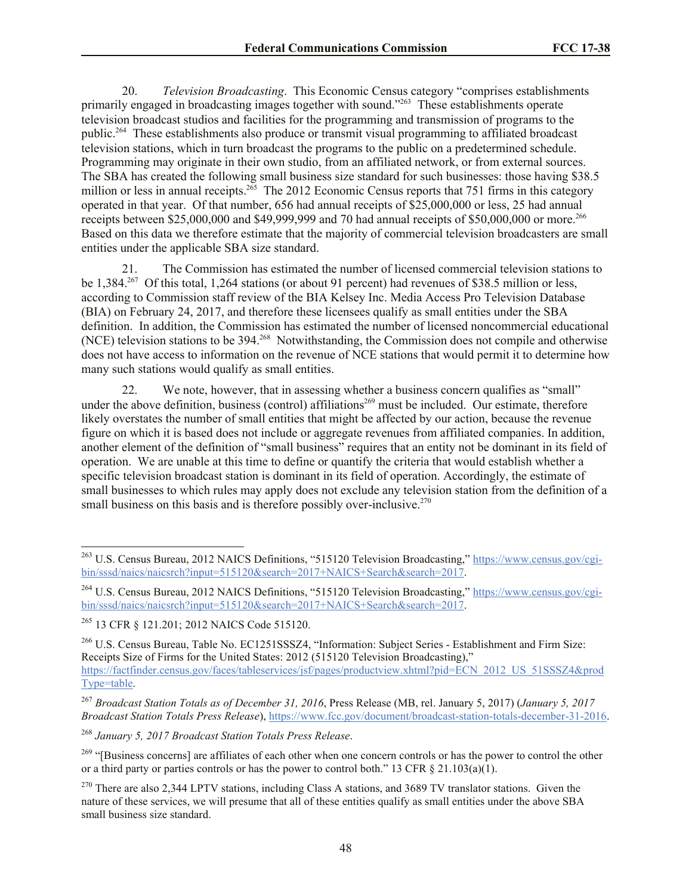20. *Television Broadcasting*. This Economic Census category "comprises establishments primarily engaged in broadcasting images together with sound.<sup>2263</sup> These establishments operate television broadcast studios and facilities for the programming and transmission of programs to the public.<sup>264</sup> These establishments also produce or transmit visual programming to affiliated broadcast television stations, which in turn broadcast the programs to the public on a predetermined schedule. Programming may originate in their own studio, from an affiliated network, or from external sources. The SBA has created the following small business size standard for such businesses: those having \$38.5 million or less in annual receipts.<sup>265</sup> The 2012 Economic Census reports that 751 firms in this category operated in that year. Of that number, 656 had annual receipts of \$25,000,000 or less, 25 had annual receipts between \$25,000,000 and \$49,999,999 and 70 had annual receipts of \$50,000,000 or more.<sup>266</sup> Based on this data we therefore estimate that the majority of commercial television broadcasters are small entities under the applicable SBA size standard.

21. The Commission has estimated the number of licensed commercial television stations to be 1,384.<sup>267</sup> Of this total, 1,264 stations (or about 91 percent) had revenues of \$38.5 million or less, according to Commission staff review of the BIA Kelsey Inc. Media Access Pro Television Database (BIA) on February 24, 2017, and therefore these licensees qualify as small entities under the SBA definition. In addition, the Commission has estimated the number of licensed noncommercial educational (NCE) television stations to be 394.<sup>268</sup> Notwithstanding, the Commission does not compile and otherwise does not have access to information on the revenue of NCE stations that would permit it to determine how many such stations would qualify as small entities.

22. We note, however, that in assessing whether a business concern qualifies as "small" under the above definition, business (control) affiliations<sup>269</sup> must be included. Our estimate, therefore likely overstates the number of small entities that might be affected by our action, because the revenue figure on which it is based does not include or aggregate revenues from affiliated companies. In addition, another element of the definition of "small business" requires that an entity not be dominant in its field of operation. We are unable at this time to define or quantify the criteria that would establish whether a specific television broadcast station is dominant in its field of operation. Accordingly, the estimate of small businesses to which rules may apply does not exclude any television station from the definition of a small business on this basis and is therefore possibly over-inclusive.<sup>270</sup>

 $\overline{a}$ 

<sup>266</sup> U.S. Census Bureau, Table No. EC1251SSSZ4, "Information: Subject Series - Establishment and Firm Size: Receipts Size of Firms for the United States: 2012 (515120 Television Broadcasting)," https://factfinder.census.gov/faces/tableservices/jsf/pages/productview.xhtml?pid=ECN\_2012\_US\_51SSSZ4&prod Type=table.

<sup>268</sup> *January 5, 2017 Broadcast Station Totals Press Release*.

<sup>&</sup>lt;sup>263</sup> U.S. Census Bureau, 2012 NAICS Definitions, "515120 Television Broadcasting," https://www.census.gov/cgibin/sssd/naics/naicsrch?input=515120&search=2017+NAICS+Search&search=2017.

<sup>&</sup>lt;sup>264</sup> U.S. Census Bureau, 2012 NAICS Definitions, "515120 Television Broadcasting," https://www.census.gov/cgibin/sssd/naics/naicsrch?input=515120&search=2017+NAICS+Search&search=2017.

<sup>265</sup> 13 CFR § 121.201; 2012 NAICS Code 515120.

<sup>267</sup> *Broadcast Station Totals as of December 31, 2016*, Press Release (MB, rel. January 5, 2017) (*January 5, 2017 Broadcast Station Totals Press Release*), https://www.fcc.gov/document/broadcast-station-totals-december-31-2016.

<sup>&</sup>lt;sup>269</sup> "[Business concerns] are affiliates of each other when one concern controls or has the power to control the other or a third party or parties controls or has the power to control both." 13 CFR  $\S$  21.103(a)(1).

<sup>&</sup>lt;sup>270</sup> There are also 2,344 LPTV stations, including Class A stations, and 3689 TV translator stations. Given the nature of these services, we will presume that all of these entities qualify as small entities under the above SBA small business size standard.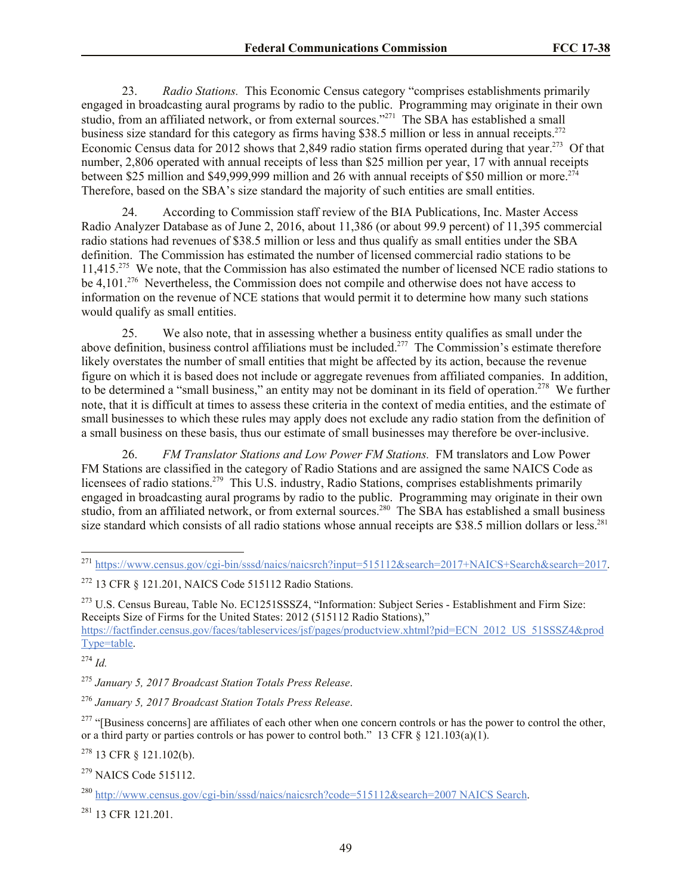23. *Radio Stations.* This Economic Census category "comprises establishments primarily engaged in broadcasting aural programs by radio to the public. Programming may originate in their own studio, from an affiliated network, or from external sources."<sup>271</sup> The SBA has established a small business size standard for this category as firms having \$38.5 million or less in annual receipts.<sup>272</sup> Economic Census data for 2012 shows that 2,849 radio station firms operated during that year.<sup>273</sup> Of that number, 2,806 operated with annual receipts of less than \$25 million per year, 17 with annual receipts between \$25 million and \$49,999,999 million and 26 with annual receipts of \$50 million or more.<sup>274</sup> Therefore, based on the SBA's size standard the majority of such entities are small entities.

24. According to Commission staff review of the BIA Publications, Inc. Master Access Radio Analyzer Database as of June 2, 2016, about 11,386 (or about 99.9 percent) of 11,395 commercial radio stations had revenues of \$38.5 million or less and thus qualify as small entities under the SBA definition. The Commission has estimated the number of licensed commercial radio stations to be 11,415.<sup>275</sup> We note, that the Commission has also estimated the number of licensed NCE radio stations to be 4,101.<sup>276</sup> Nevertheless, the Commission does not compile and otherwise does not have access to information on the revenue of NCE stations that would permit it to determine how many such stations would qualify as small entities.

25. We also note, that in assessing whether a business entity qualifies as small under the above definition, business control affiliations must be included.<sup>277</sup> The Commission's estimate therefore likely overstates the number of small entities that might be affected by its action, because the revenue figure on which it is based does not include or aggregate revenues from affiliated companies. In addition, to be determined a "small business," an entity may not be dominant in its field of operation.<sup>278</sup> We further note, that it is difficult at times to assess these criteria in the context of media entities, and the estimate of small businesses to which these rules may apply does not exclude any radio station from the definition of a small business on these basis, thus our estimate of small businesses may therefore be over-inclusive.

26. *FM Translator Stations and Low Power FM Stations.* FM translators and Low Power FM Stations are classified in the category of Radio Stations and are assigned the same NAICS Code as licensees of radio stations.<sup>279</sup> This U.S. industry, Radio Stations, comprises establishments primarily engaged in broadcasting aural programs by radio to the public. Programming may originate in their own studio, from an affiliated network, or from external sources.<sup>280</sup> The SBA has established a small business size standard which consists of all radio stations whose annual receipts are \$38.5 million dollars or less.<sup>281</sup>

 $\overline{\phantom{a}}$ <sup>271</sup> https://www.census.gov/cgi-bin/sssd/naics/naicsrch?input=515112&search=2017+NAICS+Search&search=2017.

<sup>273</sup> U.S. Census Bureau, Table No. EC1251SSSZ4, "Information: Subject Series - Establishment and Firm Size: Receipts Size of Firms for the United States: 2012 (515112 Radio Stations),"

https://factfinder.census.gov/faces/tableservices/jsf/pages/productview.xhtml?pid=ECN\_2012\_US\_51SSSZ4&prod Type=table.

<sup>274</sup> *Id.*

 $278$  13 CFR  $\frac{121.102(b)}{b}$ .

<sup>281</sup> 13 CFR 121.201.

<sup>272</sup> 13 CFR § 121.201, NAICS Code 515112 Radio Stations.

<sup>275</sup> *January 5, 2017 Broadcast Station Totals Press Release*.

<sup>276</sup> *January 5, 2017 Broadcast Station Totals Press Release*.

 $277$  "[Business concerns] are affiliates of each other when one concern controls or has the power to control the other, or a third party or parties controls or has power to control both." 13 CFR  $\S$  121.103(a)(1).

<sup>279</sup> NAICS Code 515112.

<sup>280</sup> http://www.census.gov/cgi-bin/sssd/naics/naicsrch?code=515112&search=2007 NAICS Search.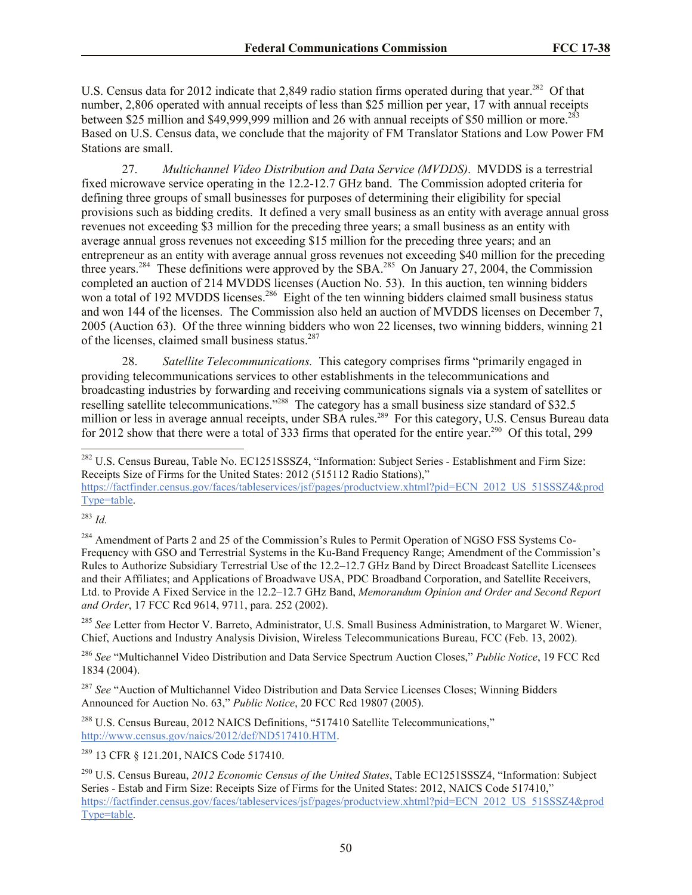U.S. Census data for 2012 indicate that 2,849 radio station firms operated during that year.<sup>282</sup> Of that number, 2,806 operated with annual receipts of less than \$25 million per year, 17 with annual receipts between \$25 million and \$49,999,999 million and 26 with annual receipts of \$50 million or more.<sup>28</sup> Based on U.S. Census data, we conclude that the majority of FM Translator Stations and Low Power FM Stations are small.

27. *Multichannel Video Distribution and Data Service (MVDDS)*. MVDDS is a terrestrial fixed microwave service operating in the 12.2-12.7 GHz band. The Commission adopted criteria for defining three groups of small businesses for purposes of determining their eligibility for special provisions such as bidding credits. It defined a very small business as an entity with average annual gross revenues not exceeding \$3 million for the preceding three years; a small business as an entity with average annual gross revenues not exceeding \$15 million for the preceding three years; and an entrepreneur as an entity with average annual gross revenues not exceeding \$40 million for the preceding three years.<sup>284</sup> These definitions were approved by the SBA.<sup>285</sup> On January 27, 2004, the Commission completed an auction of 214 MVDDS licenses (Auction No. 53). In this auction, ten winning bidders won a total of 192 MVDDS licenses.<sup>286</sup> Eight of the ten winning bidders claimed small business status and won 144 of the licenses. The Commission also held an auction of MVDDS licenses on December 7, 2005 (Auction 63). Of the three winning bidders who won 22 licenses, two winning bidders, winning 21 of the licenses, claimed small business status.<sup>287</sup>

28. *Satellite Telecommunications.* This category comprises firms "primarily engaged in providing telecommunications services to other establishments in the telecommunications and broadcasting industries by forwarding and receiving communications signals via a system of satellites or reselling satellite telecommunications."<sup>288</sup> The category has a small business size standard of \$32.5 million or less in average annual receipts, under SBA rules.<sup>289</sup> For this category, U.S. Census Bureau data for 2012 show that there were a total of 333 firms that operated for the entire year.<sup>290</sup> Of this total, 299

<sup>283</sup> *Id.*

 $\overline{a}$ 

<sup>284</sup> Amendment of Parts 2 and 25 of the Commission's Rules to Permit Operation of NGSO FSS Systems Co-Frequency with GSO and Terrestrial Systems in the Ku-Band Frequency Range; Amendment of the Commission's Rules to Authorize Subsidiary Terrestrial Use of the 12.2–12.7 GHz Band by Direct Broadcast Satellite Licensees and their Affiliates; and Applications of Broadwave USA, PDC Broadband Corporation, and Satellite Receivers, Ltd. to Provide A Fixed Service in the 12.2–12.7 GHz Band, *Memorandum Opinion and Order and Second Report and Order*, 17 FCC Rcd 9614, 9711, para. 252 (2002).

<sup>285</sup> *See* Letter from Hector V. Barreto, Administrator, U.S. Small Business Administration, to Margaret W. Wiener, Chief, Auctions and Industry Analysis Division, Wireless Telecommunications Bureau, FCC (Feb. 13, 2002).

<sup>286</sup> *See* "Multichannel Video Distribution and Data Service Spectrum Auction Closes," *Public Notice*, 19 FCC Rcd 1834 (2004).

<sup>287</sup> *See* "Auction of Multichannel Video Distribution and Data Service Licenses Closes; Winning Bidders Announced for Auction No. 63," *Public Notice*, 20 FCC Rcd 19807 (2005).

<sup>288</sup> U.S. Census Bureau, 2012 NAICS Definitions, "517410 Satellite Telecommunications," http://www.census.gov/naics/2012/def/ND517410.HTM.

<sup>289</sup> 13 CFR § 121.201, NAICS Code 517410.

<sup>&</sup>lt;sup>282</sup> U.S. Census Bureau, Table No. EC1251SSSZ4, "Information: Subject Series - Establishment and Firm Size: Receipts Size of Firms for the United States: 2012 (515112 Radio Stations),"

https://factfinder.census.gov/faces/tableservices/jsf/pages/productview.xhtml?pid=ECN\_2012\_US\_51SSSZ4&prod Type=table.

<sup>290</sup> U.S. Census Bureau, *2012 Economic Census of the United States*, Table EC1251SSSZ4, "Information: Subject Series - Estab and Firm Size: Receipts Size of Firms for the United States: 2012, NAICS Code 517410," https://factfinder.census.gov/faces/tableservices/jsf/pages/productview.xhtml?pid=ECN\_2012\_US\_51SSSZ4&prod Type=table.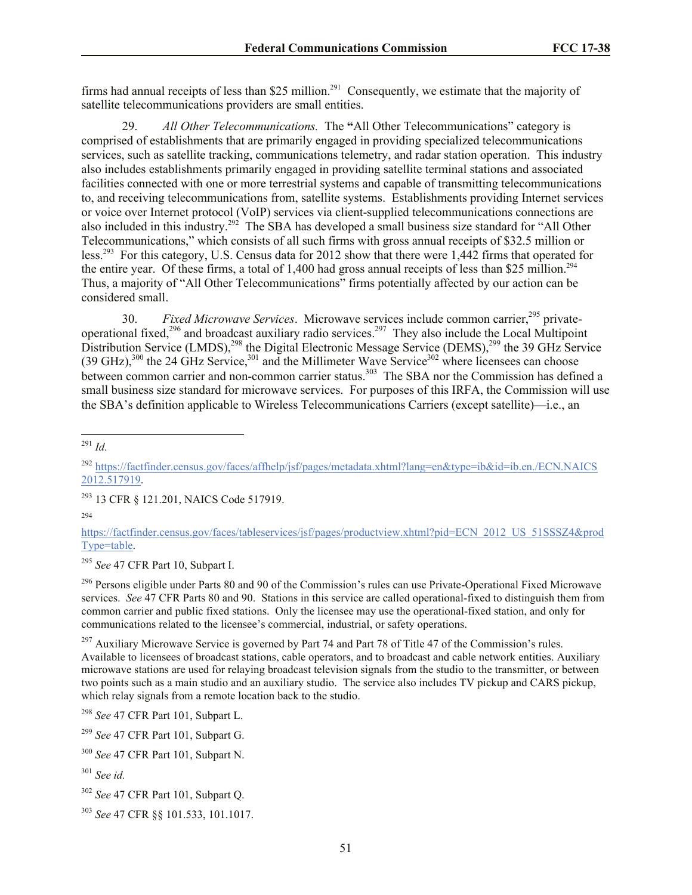firms had annual receipts of less than \$25 million.<sup>291</sup> Consequently, we estimate that the majority of satellite telecommunications providers are small entities.

29. *All Other Telecommunications.* The **"**All Other Telecommunications" category is comprised of establishments that are primarily engaged in providing specialized telecommunications services, such as satellite tracking, communications telemetry, and radar station operation. This industry also includes establishments primarily engaged in providing satellite terminal stations and associated facilities connected with one or more terrestrial systems and capable of transmitting telecommunications to, and receiving telecommunications from, satellite systems. Establishments providing Internet services or voice over Internet protocol (VoIP) services via client-supplied telecommunications connections are also included in this industry.<sup>292</sup> The SBA has developed a small business size standard for "All Other Telecommunications," which consists of all such firms with gross annual receipts of \$32.5 million or less.<sup>293</sup> For this category, U.S. Census data for 2012 show that there were 1,442 firms that operated for the entire year. Of these firms, a total of 1,400 had gross annual receipts of less than \$25 million.<sup>294</sup> Thus, a majority of "All Other Telecommunications" firms potentially affected by our action can be considered small.

30. *Fixed Microwave Services*. Microwave services include common carrier,<sup>295</sup> privateoperational fixed,<sup>296</sup> and broadcast auxiliary radio services.<sup>297</sup> They also include the Local Multipoint Distribution Service (LMDS),<sup>298</sup> the Digital Electronic Message Service (DEMS),<sup>299</sup> the 39 GHz Service  $(39 \text{ GHz})$ ,<sup>300</sup> the 24 GHz Service,<sup>301</sup> and the Millimeter Wave Service<sup>302</sup> where licensees can choose between common carrier and non-common carrier status.<sup>303</sup> The SBA nor the Commission has defined a small business size standard for microwave services. For purposes of this IRFA, the Commission will use the SBA's definition applicable to Wireless Telecommunications Carriers (except satellite)—i.e., an

 $\overline{a}$ <sup>291</sup> *Id.*

<sup>293</sup> 13 CFR § 121.201, NAICS Code 517919.

<sup>295</sup> *See* 47 CFR Part 10, Subpart I.

<sup>296</sup> Persons eligible under Parts 80 and 90 of the Commission's rules can use Private-Operational Fixed Microwave services. *See* 47 CFR Parts 80 and 90. Stations in this service are called operational-fixed to distinguish them from common carrier and public fixed stations. Only the licensee may use the operational-fixed station, and only for communications related to the licensee's commercial, industrial, or safety operations.

 $297$  Auxiliary Microwave Service is governed by Part 74 and Part 78 of Title 47 of the Commission's rules. Available to licensees of broadcast stations, cable operators, and to broadcast and cable network entities. Auxiliary microwave stations are used for relaying broadcast television signals from the studio to the transmitter, or between two points such as a main studio and an auxiliary studio. The service also includes TV pickup and CARS pickup, which relay signals from a remote location back to the studio.

<sup>292</sup> https://factfinder.census.gov/faces/affhelp/jsf/pages/metadata.xhtml?lang=en&type=ib&id=ib.en./ECN.NAICS 2012.517919.

<sup>294</sup>

https://factfinder.census.gov/faces/tableservices/jsf/pages/productview.xhtml?pid=ECN\_2012\_US\_51SSSZ4&prod Type=table.

<sup>298</sup> *See* 47 CFR Part 101, Subpart L.

<sup>299</sup> *See* 47 CFR Part 101, Subpart G.

<sup>300</sup> *See* 47 CFR Part 101, Subpart N.

<sup>301</sup> *See id.*

<sup>302</sup> *See* 47 CFR Part 101, Subpart Q.

<sup>303</sup> *See* 47 CFR §§ 101.533, 101.1017.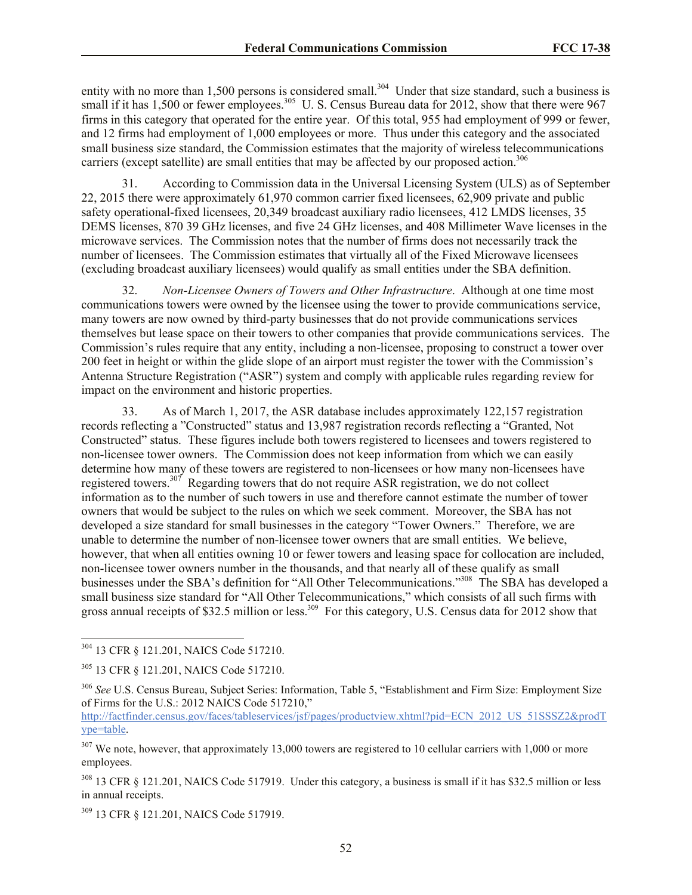entity with no more than 1,500 persons is considered small.<sup>304</sup> Under that size standard, such a business is small if it has 1,500 or fewer employees.<sup>305</sup> U. S. Census Bureau data for 2012, show that there were 967 firms in this category that operated for the entire year. Of this total, 955 had employment of 999 or fewer, and 12 firms had employment of 1,000 employees or more. Thus under this category and the associated small business size standard, the Commission estimates that the majority of wireless telecommunications carriers (except satellite) are small entities that may be affected by our proposed action.<sup>306</sup>

31. According to Commission data in the Universal Licensing System (ULS) as of September 22, 2015 there were approximately 61,970 common carrier fixed licensees, 62,909 private and public safety operational-fixed licensees, 20,349 broadcast auxiliary radio licensees, 412 LMDS licenses, 35 DEMS licenses, 870 39 GHz licenses, and five 24 GHz licenses, and 408 Millimeter Wave licenses in the microwave services. The Commission notes that the number of firms does not necessarily track the number of licensees. The Commission estimates that virtually all of the Fixed Microwave licensees (excluding broadcast auxiliary licensees) would qualify as small entities under the SBA definition.

32. *Non-Licensee Owners of Towers and Other Infrastructure*. Although at one time most communications towers were owned by the licensee using the tower to provide communications service, many towers are now owned by third-party businesses that do not provide communications services themselves but lease space on their towers to other companies that provide communications services. The Commission's rules require that any entity, including a non-licensee, proposing to construct a tower over 200 feet in height or within the glide slope of an airport must register the tower with the Commission's Antenna Structure Registration ("ASR") system and comply with applicable rules regarding review for impact on the environment and historic properties.

33. As of March 1, 2017, the ASR database includes approximately 122,157 registration records reflecting a "Constructed" status and 13,987 registration records reflecting a "Granted, Not Constructed" status. These figures include both towers registered to licensees and towers registered to non-licensee tower owners. The Commission does not keep information from which we can easily determine how many of these towers are registered to non-licensees or how many non-licensees have registered towers.<sup>307</sup> Regarding towers that do not require ASR registration, we do not collect information as to the number of such towers in use and therefore cannot estimate the number of tower owners that would be subject to the rules on which we seek comment. Moreover, the SBA has not developed a size standard for small businesses in the category "Tower Owners." Therefore, we are unable to determine the number of non-licensee tower owners that are small entities. We believe, however, that when all entities owning 10 or fewer towers and leasing space for collocation are included, non-licensee tower owners number in the thousands, and that nearly all of these qualify as small businesses under the SBA's definition for "All Other Telecommunications."<sup>308</sup> The SBA has developed a small business size standard for "All Other Telecommunications," which consists of all such firms with gross annual receipts of \$32.5 million or less.<sup>309</sup> For this category, U.S. Census data for 2012 show that

<sup>304</sup> 13 CFR § 121.201, NAICS Code 517210.

<sup>305</sup> 13 CFR § 121.201, NAICS Code 517210.

<sup>306</sup> *See* U.S. Census Bureau, Subject Series: Information, Table 5, "Establishment and Firm Size: Employment Size of Firms for the U.S.: 2012 NAICS Code 517210," http://factfinder.census.gov/faces/tableservices/jsf/pages/productview.xhtml?pid=ECN\_2012\_US\_51SSSZ2&prodT ype=table.

 $307$  We note, however, that approximately 13,000 towers are registered to 10 cellular carriers with 1,000 or more employees.

<sup>&</sup>lt;sup>308</sup> 13 CFR § 121.201, NAICS Code 517919. Under this category, a business is small if it has \$32.5 million or less in annual receipts.

<sup>309</sup> 13 CFR § 121.201, NAICS Code 517919.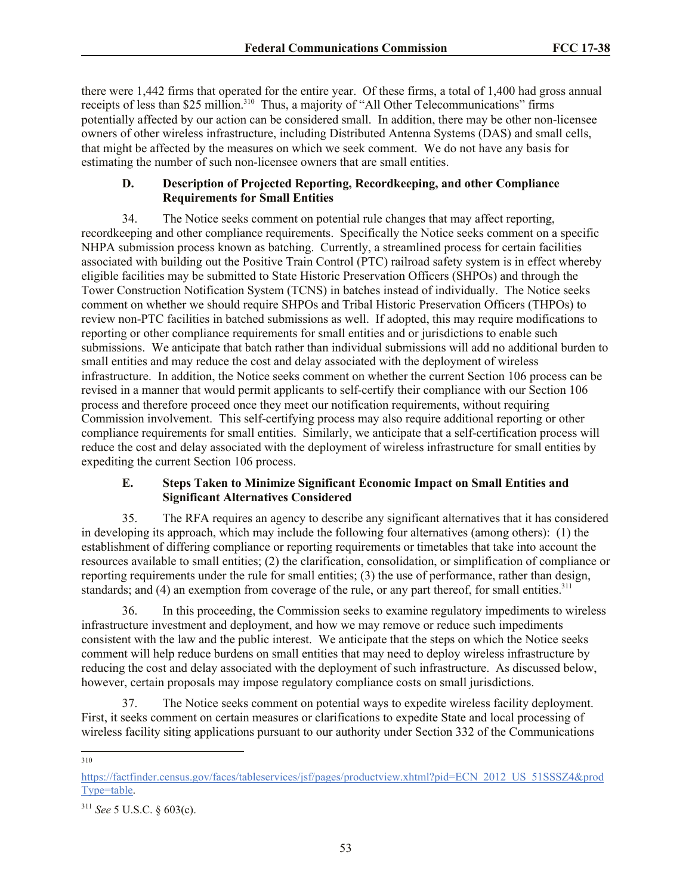there were 1,442 firms that operated for the entire year. Of these firms, a total of 1,400 had gross annual receipts of less than \$25 million.<sup>310</sup> Thus, a majority of "All Other Telecommunications" firms potentially affected by our action can be considered small. In addition, there may be other non-licensee owners of other wireless infrastructure, including Distributed Antenna Systems (DAS) and small cells, that might be affected by the measures on which we seek comment. We do not have any basis for estimating the number of such non-licensee owners that are small entities.

### **D. Description of Projected Reporting, Recordkeeping, and other Compliance Requirements for Small Entities**

34. The Notice seeks comment on potential rule changes that may affect reporting, recordkeeping and other compliance requirements. Specifically the Notice seeks comment on a specific NHPA submission process known as batching. Currently, a streamlined process for certain facilities associated with building out the Positive Train Control (PTC) railroad safety system is in effect whereby eligible facilities may be submitted to State Historic Preservation Officers (SHPOs) and through the Tower Construction Notification System (TCNS) in batches instead of individually. The Notice seeks comment on whether we should require SHPOs and Tribal Historic Preservation Officers (THPOs) to review non-PTC facilities in batched submissions as well. If adopted, this may require modifications to reporting or other compliance requirements for small entities and or jurisdictions to enable such submissions. We anticipate that batch rather than individual submissions will add no additional burden to small entities and may reduce the cost and delay associated with the deployment of wireless infrastructure. In addition, the Notice seeks comment on whether the current Section 106 process can be revised in a manner that would permit applicants to self-certify their compliance with our Section 106 process and therefore proceed once they meet our notification requirements, without requiring Commission involvement. This self-certifying process may also require additional reporting or other compliance requirements for small entities. Similarly, we anticipate that a self-certification process will reduce the cost and delay associated with the deployment of wireless infrastructure for small entities by expediting the current Section 106 process.

### **E. Steps Taken to Minimize Significant Economic Impact on Small Entities and Significant Alternatives Considered**

35. The RFA requires an agency to describe any significant alternatives that it has considered in developing its approach, which may include the following four alternatives (among others): (1) the establishment of differing compliance or reporting requirements or timetables that take into account the resources available to small entities; (2) the clarification, consolidation, or simplification of compliance or reporting requirements under the rule for small entities; (3) the use of performance, rather than design, standards; and  $(4)$  an exemption from coverage of the rule, or any part thereof, for small entities.<sup>311</sup>

36. In this proceeding, the Commission seeks to examine regulatory impediments to wireless infrastructure investment and deployment, and how we may remove or reduce such impediments consistent with the law and the public interest. We anticipate that the steps on which the Notice seeks comment will help reduce burdens on small entities that may need to deploy wireless infrastructure by reducing the cost and delay associated with the deployment of such infrastructure. As discussed below, however, certain proposals may impose regulatory compliance costs on small jurisdictions.

37. The Notice seeks comment on potential ways to expedite wireless facility deployment. First, it seeks comment on certain measures or clarifications to expedite State and local processing of wireless facility siting applications pursuant to our authority under Section 332 of the Communications

<sup>310</sup>

https://factfinder.census.gov/faces/tableservices/jsf/pages/productview.xhtml?pid=ECN\_2012\_US\_51SSSZ4&prod Type=table.

<sup>311</sup> *See* 5 U.S.C. § 603(c).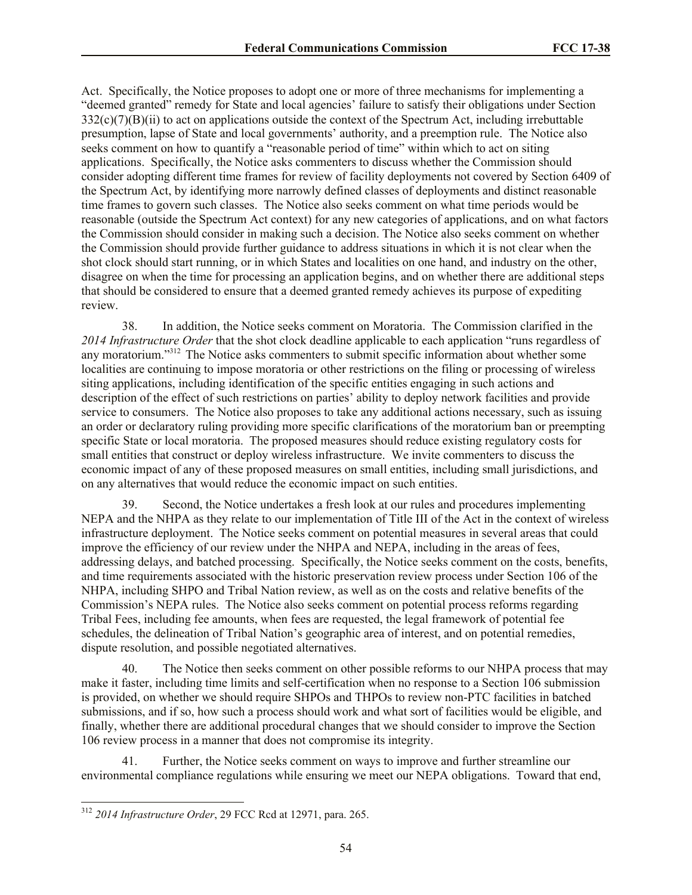Act. Specifically, the Notice proposes to adopt one or more of three mechanisms for implementing a "deemed granted" remedy for State and local agencies' failure to satisfy their obligations under Section 332(c)(7)(B)(ii) to act on applications outside the context of the Spectrum Act, including irrebuttable presumption, lapse of State and local governments' authority, and a preemption rule. The Notice also seeks comment on how to quantify a "reasonable period of time" within which to act on siting applications. Specifically, the Notice asks commenters to discuss whether the Commission should consider adopting different time frames for review of facility deployments not covered by Section 6409 of the Spectrum Act, by identifying more narrowly defined classes of deployments and distinct reasonable time frames to govern such classes. The Notice also seeks comment on what time periods would be reasonable (outside the Spectrum Act context) for any new categories of applications, and on what factors the Commission should consider in making such a decision. The Notice also seeks comment on whether the Commission should provide further guidance to address situations in which it is not clear when the shot clock should start running, or in which States and localities on one hand, and industry on the other, disagree on when the time for processing an application begins, and on whether there are additional steps that should be considered to ensure that a deemed granted remedy achieves its purpose of expediting review.

38. In addition, the Notice seeks comment on Moratoria. The Commission clarified in the *2014 Infrastructure Order* that the shot clock deadline applicable to each application "runs regardless of any moratorium."<sup>312</sup> The Notice asks commenters to submit specific information about whether some localities are continuing to impose moratoria or other restrictions on the filing or processing of wireless siting applications, including identification of the specific entities engaging in such actions and description of the effect of such restrictions on parties' ability to deploy network facilities and provide service to consumers. The Notice also proposes to take any additional actions necessary, such as issuing an order or declaratory ruling providing more specific clarifications of the moratorium ban or preempting specific State or local moratoria. The proposed measures should reduce existing regulatory costs for small entities that construct or deploy wireless infrastructure. We invite commenters to discuss the economic impact of any of these proposed measures on small entities, including small jurisdictions, and on any alternatives that would reduce the economic impact on such entities.

39. Second, the Notice undertakes a fresh look at our rules and procedures implementing NEPA and the NHPA as they relate to our implementation of Title III of the Act in the context of wireless infrastructure deployment. The Notice seeks comment on potential measures in several areas that could improve the efficiency of our review under the NHPA and NEPA, including in the areas of fees, addressing delays, and batched processing. Specifically, the Notice seeks comment on the costs, benefits, and time requirements associated with the historic preservation review process under Section 106 of the NHPA, including SHPO and Tribal Nation review, as well as on the costs and relative benefits of the Commission's NEPA rules. The Notice also seeks comment on potential process reforms regarding Tribal Fees, including fee amounts, when fees are requested, the legal framework of potential fee schedules, the delineation of Tribal Nation's geographic area of interest, and on potential remedies, dispute resolution, and possible negotiated alternatives.

40. The Notice then seeks comment on other possible reforms to our NHPA process that may make it faster, including time limits and self-certification when no response to a Section 106 submission is provided, on whether we should require SHPOs and THPOs to review non-PTC facilities in batched submissions, and if so, how such a process should work and what sort of facilities would be eligible, and finally, whether there are additional procedural changes that we should consider to improve the Section 106 review process in a manner that does not compromise its integrity.

Further, the Notice seeks comment on ways to improve and further streamline our environmental compliance regulations while ensuring we meet our NEPA obligations. Toward that end,

 $\overline{\phantom{a}}$ 

<sup>312</sup> *2014 Infrastructure Order*, 29 FCC Rcd at 12971, para. 265.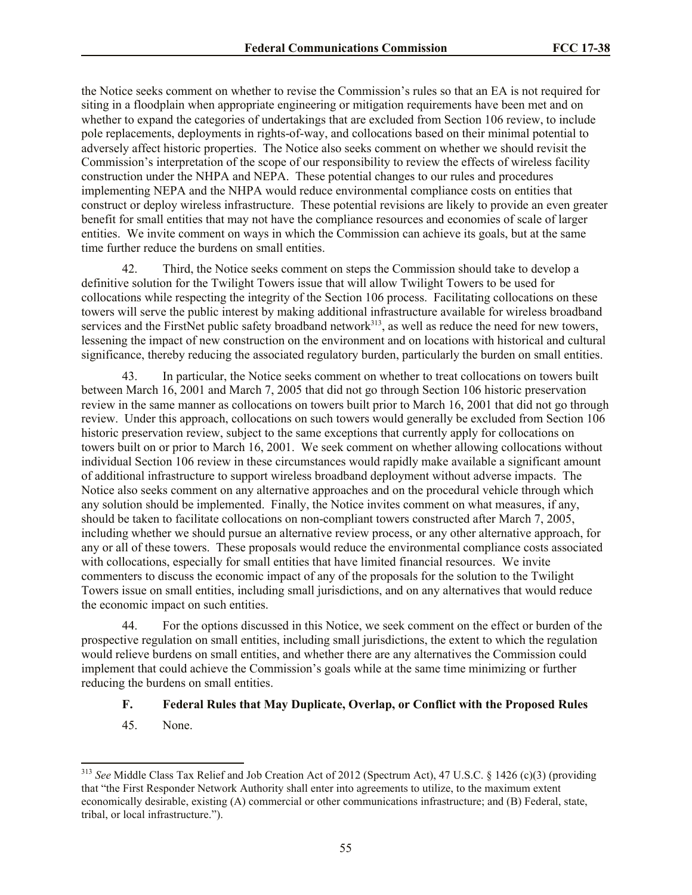the Notice seeks comment on whether to revise the Commission's rules so that an EA is not required for siting in a floodplain when appropriate engineering or mitigation requirements have been met and on whether to expand the categories of undertakings that are excluded from Section 106 review, to include pole replacements, deployments in rights-of-way, and collocations based on their minimal potential to adversely affect historic properties. The Notice also seeks comment on whether we should revisit the Commission's interpretation of the scope of our responsibility to review the effects of wireless facility construction under the NHPA and NEPA. These potential changes to our rules and procedures implementing NEPA and the NHPA would reduce environmental compliance costs on entities that construct or deploy wireless infrastructure. These potential revisions are likely to provide an even greater benefit for small entities that may not have the compliance resources and economies of scale of larger entities. We invite comment on ways in which the Commission can achieve its goals, but at the same time further reduce the burdens on small entities.

42. Third, the Notice seeks comment on steps the Commission should take to develop a definitive solution for the Twilight Towers issue that will allow Twilight Towers to be used for collocations while respecting the integrity of the Section 106 process. Facilitating collocations on these towers will serve the public interest by making additional infrastructure available for wireless broadband services and the FirstNet public safety broadband network $3^{113}$ , as well as reduce the need for new towers, lessening the impact of new construction on the environment and on locations with historical and cultural significance, thereby reducing the associated regulatory burden, particularly the burden on small entities.

43. In particular, the Notice seeks comment on whether to treat collocations on towers built between March 16, 2001 and March 7, 2005 that did not go through Section 106 historic preservation review in the same manner as collocations on towers built prior to March 16, 2001 that did not go through review. Under this approach, collocations on such towers would generally be excluded from Section 106 historic preservation review, subject to the same exceptions that currently apply for collocations on towers built on or prior to March 16, 2001. We seek comment on whether allowing collocations without individual Section 106 review in these circumstances would rapidly make available a significant amount of additional infrastructure to support wireless broadband deployment without adverse impacts. The Notice also seeks comment on any alternative approaches and on the procedural vehicle through which any solution should be implemented. Finally, the Notice invites comment on what measures, if any, should be taken to facilitate collocations on non-compliant towers constructed after March 7, 2005, including whether we should pursue an alternative review process, or any other alternative approach, for any or all of these towers. These proposals would reduce the environmental compliance costs associated with collocations, especially for small entities that have limited financial resources. We invite commenters to discuss the economic impact of any of the proposals for the solution to the Twilight Towers issue on small entities, including small jurisdictions, and on any alternatives that would reduce the economic impact on such entities.

44. For the options discussed in this Notice, we seek comment on the effect or burden of the prospective regulation on small entities, including small jurisdictions, the extent to which the regulation would relieve burdens on small entities, and whether there are any alternatives the Commission could implement that could achieve the Commission's goals while at the same time minimizing or further reducing the burdens on small entities.

### **F. Federal Rules that May Duplicate, Overlap, or Conflict with the Proposed Rules**

45. None.

 $\overline{\phantom{a}}$ 

<sup>313</sup> *See* Middle Class Tax Relief and Job Creation Act of 2012 (Spectrum Act), 47 U.S.C. § 1426 (c)(3) (providing that "the First Responder Network Authority shall enter into agreements to utilize, to the maximum extent economically desirable, existing (A) commercial or other communications infrastructure; and (B) Federal, state, tribal, or local infrastructure.").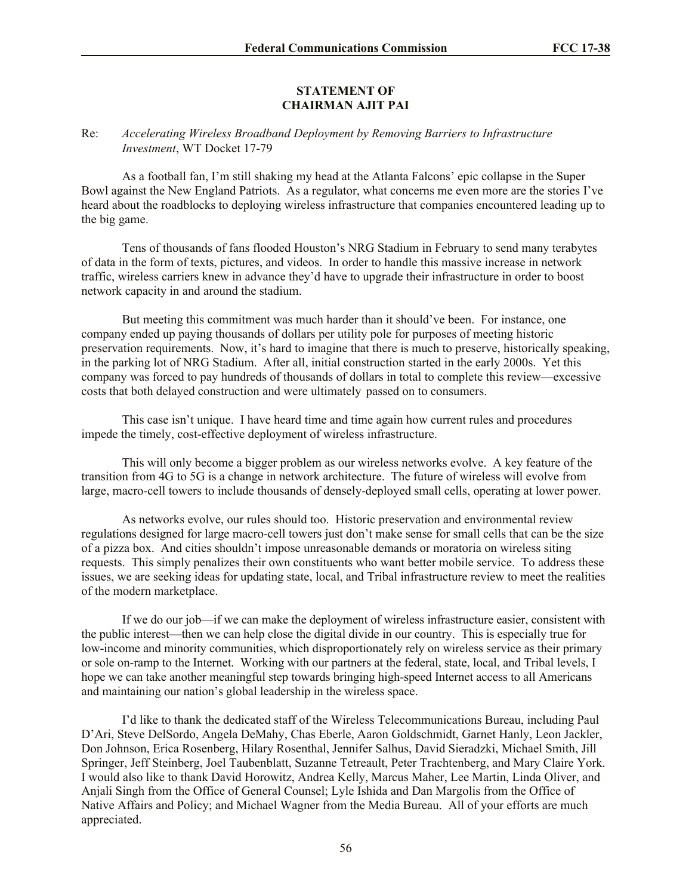### **STATEMENT OF CHAIRMAN AJIT PAI**

### Re: *Accelerating Wireless Broadband Deployment by Removing Barriers to Infrastructure Investment*, WT Docket 17-79

As a football fan, I'm still shaking my head at the Atlanta Falcons' epic collapse in the Super Bowl against the New England Patriots. As a regulator, what concerns me even more are the stories I've heard about the roadblocks to deploying wireless infrastructure that companies encountered leading up to the big game.

Tens of thousands of fans flooded Houston's NRG Stadium in February to send many terabytes of data in the form of texts, pictures, and videos. In order to handle this massive increase in network traffic, wireless carriers knew in advance they'd have to upgrade their infrastructure in order to boost network capacity in and around the stadium.

But meeting this commitment was much harder than it should've been. For instance, one company ended up paying thousands of dollars per utility pole for purposes of meeting historic preservation requirements. Now, it's hard to imagine that there is much to preserve, historically speaking, in the parking lot of NRG Stadium. After all, initial construction started in the early 2000s. Yet this company was forced to pay hundreds of thousands of dollars in total to complete this review—excessive costs that both delayed construction and were ultimately passed on to consumers.

This case isn't unique. I have heard time and time again how current rules and procedures impede the timely, cost-effective deployment of wireless infrastructure.

This will only become a bigger problem as our wireless networks evolve. A key feature of the transition from 4G to 5G is a change in network architecture. The future of wireless will evolve from large, macro-cell towers to include thousands of densely-deployed small cells, operating at lower power.

As networks evolve, our rules should too. Historic preservation and environmental review regulations designed for large macro-cell towers just don't make sense for small cells that can be the size of a pizza box. And cities shouldn't impose unreasonable demands or moratoria on wireless siting requests. This simply penalizes their own constituents who want better mobile service. To address these issues, we are seeking ideas for updating state, local, and Tribal infrastructure review to meet the realities of the modern marketplace.

If we do our job—if we can make the deployment of wireless infrastructure easier, consistent with the public interest—then we can help close the digital divide in our country. This is especially true for low-income and minority communities, which disproportionately rely on wireless service as their primary or sole on-ramp to the Internet. Working with our partners at the federal, state, local, and Tribal levels, I hope we can take another meaningful step towards bringing high-speed Internet access to all Americans and maintaining our nation's global leadership in the wireless space.

I'd like to thank the dedicated staff of the Wireless Telecommunications Bureau, including Paul D'Ari, Steve DelSordo, Angela DeMahy, Chas Eberle, Aaron Goldschmidt, Garnet Hanly, Leon Jackler, Don Johnson, Erica Rosenberg, Hilary Rosenthal, Jennifer Salhus, David Sieradzki, Michael Smith, Jill Springer, Jeff Steinberg, Joel Taubenblatt, Suzanne Tetreault, Peter Trachtenberg, and Mary Claire York. I would also like to thank David Horowitz, Andrea Kelly, Marcus Maher, Lee Martin, Linda Oliver, and Anjali Singh from the Office of General Counsel; Lyle Ishida and Dan Margolis from the Office of Native Affairs and Policy; and Michael Wagner from the Media Bureau. All of your efforts are much appreciated.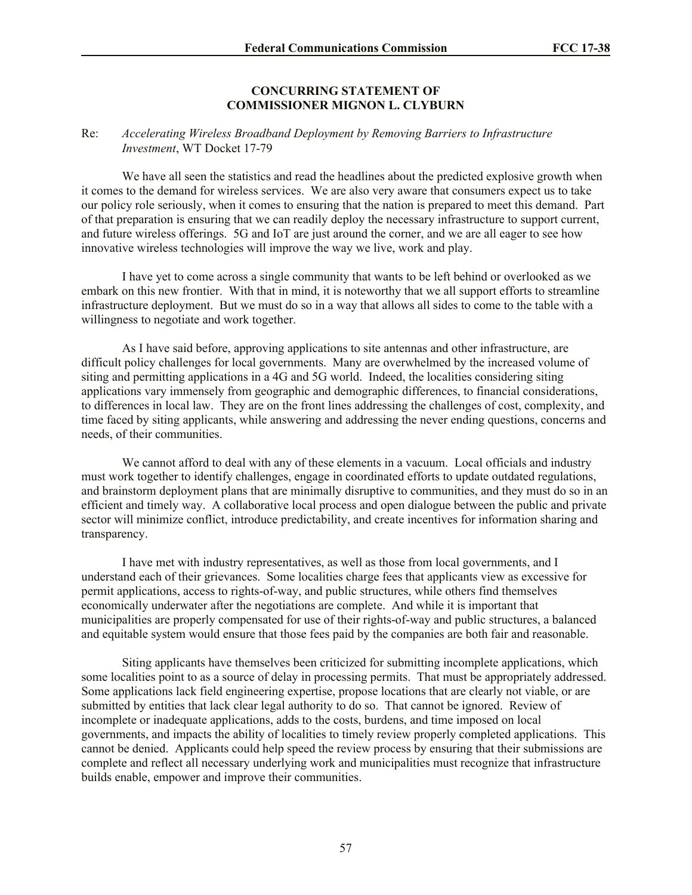### **CONCURRING STATEMENT OF COMMISSIONER MIGNON L. CLYBURN**

### Re: *Accelerating Wireless Broadband Deployment by Removing Barriers to Infrastructure Investment*, WT Docket 17-79

We have all seen the statistics and read the headlines about the predicted explosive growth when it comes to the demand for wireless services. We are also very aware that consumers expect us to take our policy role seriously, when it comes to ensuring that the nation is prepared to meet this demand. Part of that preparation is ensuring that we can readily deploy the necessary infrastructure to support current, and future wireless offerings. 5G and IoT are just around the corner, and we are all eager to see how innovative wireless technologies will improve the way we live, work and play.

I have yet to come across a single community that wants to be left behind or overlooked as we embark on this new frontier. With that in mind, it is noteworthy that we all support efforts to streamline infrastructure deployment. But we must do so in a way that allows all sides to come to the table with a willingness to negotiate and work together.

As I have said before, approving applications to site antennas and other infrastructure, are difficult policy challenges for local governments. Many are overwhelmed by the increased volume of siting and permitting applications in a 4G and 5G world. Indeed, the localities considering siting applications vary immensely from geographic and demographic differences, to financial considerations, to differences in local law. They are on the front lines addressing the challenges of cost, complexity, and time faced by siting applicants, while answering and addressing the never ending questions, concerns and needs, of their communities.

We cannot afford to deal with any of these elements in a vacuum. Local officials and industry must work together to identify challenges, engage in coordinated efforts to update outdated regulations, and brainstorm deployment plans that are minimally disruptive to communities, and they must do so in an efficient and timely way. A collaborative local process and open dialogue between the public and private sector will minimize conflict, introduce predictability, and create incentives for information sharing and transparency.

I have met with industry representatives, as well as those from local governments, and I understand each of their grievances. Some localities charge fees that applicants view as excessive for permit applications, access to rights-of-way, and public structures, while others find themselves economically underwater after the negotiations are complete. And while it is important that municipalities are properly compensated for use of their rights-of-way and public structures, a balanced and equitable system would ensure that those fees paid by the companies are both fair and reasonable.

Siting applicants have themselves been criticized for submitting incomplete applications, which some localities point to as a source of delay in processing permits. That must be appropriately addressed. Some applications lack field engineering expertise, propose locations that are clearly not viable, or are submitted by entities that lack clear legal authority to do so. That cannot be ignored. Review of incomplete or inadequate applications, adds to the costs, burdens, and time imposed on local governments, and impacts the ability of localities to timely review properly completed applications. This cannot be denied. Applicants could help speed the review process by ensuring that their submissions are complete and reflect all necessary underlying work and municipalities must recognize that infrastructure builds enable, empower and improve their communities.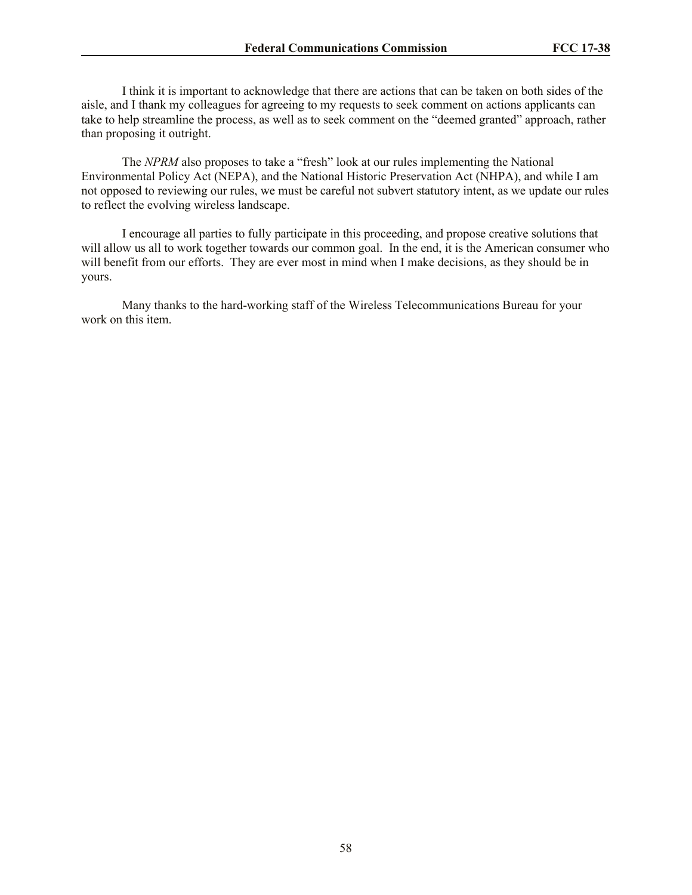I think it is important to acknowledge that there are actions that can be taken on both sides of the aisle, and I thank my colleagues for agreeing to my requests to seek comment on actions applicants can take to help streamline the process, as well as to seek comment on the "deemed granted" approach, rather than proposing it outright.

The *NPRM* also proposes to take a "fresh" look at our rules implementing the National Environmental Policy Act (NEPA), and the National Historic Preservation Act (NHPA), and while I am not opposed to reviewing our rules, we must be careful not subvert statutory intent, as we update our rules to reflect the evolving wireless landscape.

I encourage all parties to fully participate in this proceeding, and propose creative solutions that will allow us all to work together towards our common goal. In the end, it is the American consumer who will benefit from our efforts. They are ever most in mind when I make decisions, as they should be in yours.

Many thanks to the hard-working staff of the Wireless Telecommunications Bureau for your work on this item.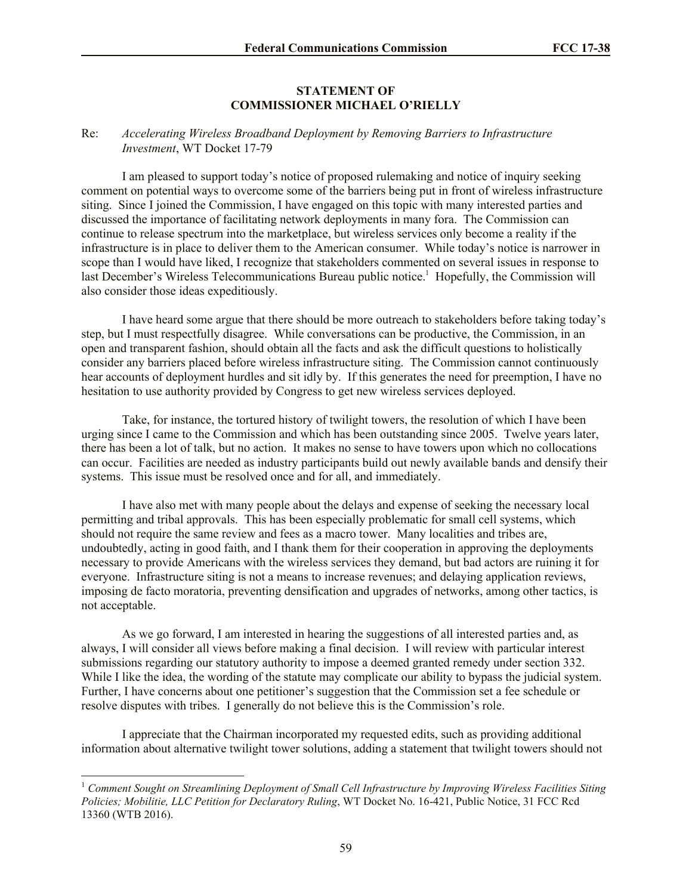#### **STATEMENT OF COMMISSIONER MICHAEL O'RIELLY**

#### Re: *Accelerating Wireless Broadband Deployment by Removing Barriers to Infrastructure Investment*, WT Docket 17-79

I am pleased to support today's notice of proposed rulemaking and notice of inquiry seeking comment on potential ways to overcome some of the barriers being put in front of wireless infrastructure siting. Since I joined the Commission, I have engaged on this topic with many interested parties and discussed the importance of facilitating network deployments in many fora. The Commission can continue to release spectrum into the marketplace, but wireless services only become a reality if the infrastructure is in place to deliver them to the American consumer. While today's notice is narrower in scope than I would have liked, I recognize that stakeholders commented on several issues in response to last December's Wireless Telecommunications Bureau public notice.<sup>1</sup> Hopefully, the Commission will also consider those ideas expeditiously.

I have heard some argue that there should be more outreach to stakeholders before taking today's step, but I must respectfully disagree. While conversations can be productive, the Commission, in an open and transparent fashion, should obtain all the facts and ask the difficult questions to holistically consider any barriers placed before wireless infrastructure siting. The Commission cannot continuously hear accounts of deployment hurdles and sit idly by. If this generates the need for preemption, I have no hesitation to use authority provided by Congress to get new wireless services deployed.

Take, for instance, the tortured history of twilight towers, the resolution of which I have been urging since I came to the Commission and which has been outstanding since 2005. Twelve years later, there has been a lot of talk, but no action. It makes no sense to have towers upon which no collocations can occur. Facilities are needed as industry participants build out newly available bands and densify their systems. This issue must be resolved once and for all, and immediately.

I have also met with many people about the delays and expense of seeking the necessary local permitting and tribal approvals. This has been especially problematic for small cell systems, which should not require the same review and fees as a macro tower. Many localities and tribes are, undoubtedly, acting in good faith, and I thank them for their cooperation in approving the deployments necessary to provide Americans with the wireless services they demand, but bad actors are ruining it for everyone. Infrastructure siting is not a means to increase revenues; and delaying application reviews, imposing de facto moratoria, preventing densification and upgrades of networks, among other tactics, is not acceptable.

As we go forward, I am interested in hearing the suggestions of all interested parties and, as always, I will consider all views before making a final decision. I will review with particular interest submissions regarding our statutory authority to impose a deemed granted remedy under section 332. While I like the idea, the wording of the statute may complicate our ability to bypass the judicial system. Further, I have concerns about one petitioner's suggestion that the Commission set a fee schedule or resolve disputes with tribes. I generally do not believe this is the Commission's role.

I appreciate that the Chairman incorporated my requested edits, such as providing additional information about alternative twilight tower solutions, adding a statement that twilight towers should not

 $\overline{\phantom{a}}$ 

<sup>1</sup> *Comment Sought on Streamlining Deployment of Small Cell Infrastructure by Improving Wireless Facilities Siting Policies; Mobilitie, LLC Petition for Declaratory Ruling*, WT Docket No. 16-421, Public Notice, 31 FCC Rcd 13360 (WTB 2016).